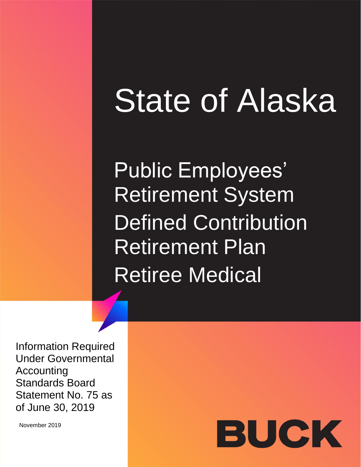# State of Alaska

Public Employees' Retirement System Defined Contribution Retirement Plan Retiree Medical

Information Required Under Governmental Accounting Standards Board Statement No. 75 as of June 30, 2019

November 2019

# BUCK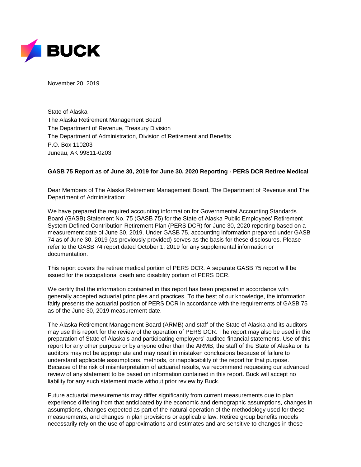

November 20, 2019

State of Alaska The Alaska Retirement Management Board The Department of Revenue, Treasury Division The Department of Administration, Division of Retirement and Benefits P.O. Box 110203 Juneau, AK 99811-0203

# **GASB 75 Report as of June 30, 2019 for June 30, 2020 Reporting - PERS DCR Retiree Medical**

Dear Members of The Alaska Retirement Management Board, The Department of Revenue and The Department of Administration:

We have prepared the required accounting information for Governmental Accounting Standards Board (GASB) Statement No. 75 (GASB 75) for the State of Alaska Public Employees' Retirement System Defined Contribution Retirement Plan (PERS DCR) for June 30, 2020 reporting based on a measurement date of June 30, 2019. Under GASB 75, accounting information prepared under GASB 74 as of June 30, 2019 (as previously provided) serves as the basis for these disclosures. Please refer to the GASB 74 report dated October 1, 2019 for any supplemental information or documentation.

This report covers the retiree medical portion of PERS DCR. A separate GASB 75 report will be issued for the occupational death and disability portion of PERS DCR.

We certify that the information contained in this report has been prepared in accordance with generally accepted actuarial principles and practices. To the best of our knowledge, the information fairly presents the actuarial position of PERS DCR in accordance with the requirements of GASB 75 as of the June 30, 2019 measurement date.

The Alaska Retirement Management Board (ARMB) and staff of the State of Alaska and its auditors may use this report for the review of the operation of PERS DCR. The report may also be used in the preparation of State of Alaska's and participating employers' audited financial statements. Use of this report for any other purpose or by anyone other than the ARMB, the staff of the State of Alaska or its auditors may not be appropriate and may result in mistaken conclusions because of failure to understand applicable assumptions, methods, or inapplicability of the report for that purpose. Because of the risk of misinterpretation of actuarial results, we recommend requesting our advanced review of any statement to be based on information contained in this report. Buck will accept no liability for any such statement made without prior review by Buck.

Future actuarial measurements may differ significantly from current measurements due to plan experience differing from that anticipated by the economic and demographic assumptions, changes in assumptions, changes expected as part of the natural operation of the methodology used for these measurements, and changes in plan provisions or applicable law. Retiree group benefits models necessarily rely on the use of approximations and estimates and are sensitive to changes in these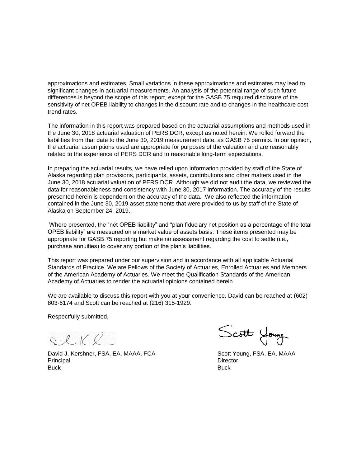approximations and estimates. Small variations in these approximations and estimates may lead to significant changes in actuarial measurements. An analysis of the potential range of such future differences is beyond the scope of this report, except for the GASB 75 required disclosure of the sensitivity of net OPEB liability to changes in the discount rate and to changes in the healthcare cost trend rates.

The information in this report was prepared based on the actuarial assumptions and methods used in the June 30, 2018 actuarial valuation of PERS DCR, except as noted herein. We rolled forward the liabilities from that date to the June 30, 2019 measurement date, as GASB 75 permits. In our opinion, the actuarial assumptions used are appropriate for purposes of the valuation and are reasonably related to the experience of PERS DCR and to reasonable long-term expectations.

In preparing the actuarial results, we have relied upon information provided by staff of the State of Alaska regarding plan provisions, participants, assets, contributions and other matters used in the June 30, 2018 actuarial valuation of PERS DCR. Although we did not audit the data, we reviewed the data for reasonableness and consistency with June 30, 2017 information. The accuracy of the results presented herein is dependent on the accuracy of the data. We also reflected the information contained in the June 30, 2019 asset statements that were provided to us by staff of the State of Alaska on September 24, 2019.

Where presented, the "net OPEB liability" and "plan fiduciary net position as a percentage of the total OPEB liability" are measured on a market value of assets basis. These items presented may be appropriate for GASB 75 reporting but make no assessment regarding the cost to settle (i.e., purchase annuities) to cover any portion of the plan's liabilities.

This report was prepared under our supervision and in accordance with all applicable Actuarial Standards of Practice. We are Fellows of the Society of Actuaries, Enrolled Actuaries and Members of the American Academy of Actuaries. We meet the Qualification Standards of the American Academy of Actuaries to render the actuarial opinions contained herein.

We are available to discuss this report with you at your convenience. David can be reached at (602) 803-6174 and Scott can be reached at (216) 315-1929.

Respectfully submitted,

SCKR

David J. Kershner, FSA, EA, MAAA, FCA Scott Young, FSA, EA, MAAA Principal Director Buck Buck

Scott Young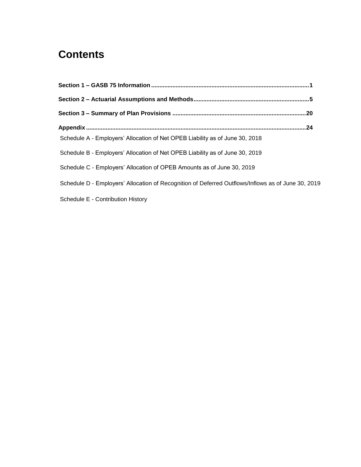# **Contents**

| Schedule A - Employers' Allocation of Net OPEB Liability as of June 30, 2018 |                                                                                                    |  |
|------------------------------------------------------------------------------|----------------------------------------------------------------------------------------------------|--|
| Schedule B - Employers' Allocation of Net OPEB Liability as of June 30, 2019 |                                                                                                    |  |
| Schedule C - Employers' Allocation of OPEB Amounts as of June 30, 2019       |                                                                                                    |  |
|                                                                              | Schedule D - Employers' Allocation of Recognition of Deferred Outflows/Inflows as of June 30, 2019 |  |
| Schedule E - Contribution History                                            |                                                                                                    |  |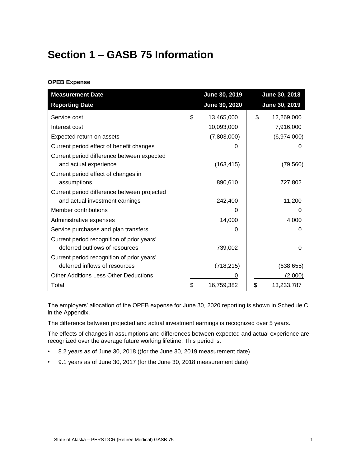# <span id="page-4-0"></span>**Section 1 – GASB 75 Information**

# **OPEB Expense**

| <b>Measurement Date</b>                     | June 30, 2019    | June 30, 2018    |
|---------------------------------------------|------------------|------------------|
| <b>Reporting Date</b>                       | June 30, 2020    | June 30, 2019    |
| Service cost                                | \$<br>13,465,000 | \$<br>12,269,000 |
| Interest cost                               | 10,093,000       | 7,916,000        |
| Expected return on assets                   | (7,803,000)      | (6,974,000)      |
| Current period effect of benefit changes    | $\mathbf{0}$     |                  |
| Current period difference between expected  |                  |                  |
| and actual experience                       | (163, 415)       | (79, 560)        |
| Current period effect of changes in         |                  |                  |
| assumptions                                 | 890,610          | 727,802          |
| Current period difference between projected |                  |                  |
| and actual investment earnings              | 242,400          | 11,200           |
| Member contributions                        |                  |                  |
| Administrative expenses                     | 14,000           | 4,000            |
| Service purchases and plan transfers        | 0                | 0                |
| Current period recognition of prior years'  |                  |                  |
| deferred outflows of resources              | 739,002          | O                |
| Current period recognition of prior years'  |                  |                  |
| deferred inflows of resources               | (718, 215)       | (638, 655)       |
| Other Additions Less Other Deductions       |                  | (2,000)          |
| Total                                       | \$<br>16,759,382 | \$<br>13,233,787 |

The employers' allocation of the OPEB expense for June 30, 2020 reporting is shown in Schedule C in the Appendix.

The difference between projected and actual investment earnings is recognized over 5 years.

The effects of changes in assumptions and differences between expected and actual experience are recognized over the average future working lifetime. This period is:

- 8.2 years as of June 30, 2018 ((for the June 30, 2019 measurement date)
- 9.1 years as of June 30, 2017 (for the June 30, 2018 measurement date)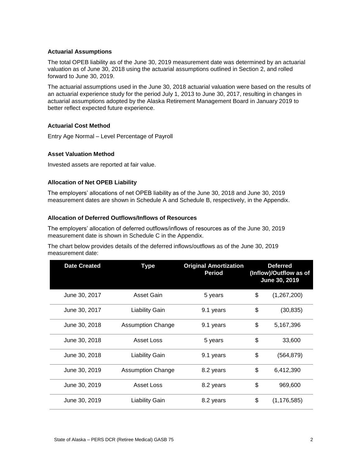#### **Actuarial Assumptions**

The total OPEB liability as of the June 30, 2019 measurement date was determined by an actuarial valuation as of June 30, 2018 using the actuarial assumptions outlined in Section 2, and rolled forward to June 30, 2019.

The actuarial assumptions used in the June 30, 2018 actuarial valuation were based on the results of an actuarial experience study for the period July 1, 2013 to June 30, 2017, resulting in changes in actuarial assumptions adopted by the Alaska Retirement Management Board in January 2019 to better reflect expected future experience.

# **Actuarial Cost Method**

Entry Age Normal – Level Percentage of Payroll

# **Asset Valuation Method**

Invested assets are reported at fair value.

# **Allocation of Net OPEB Liability**

The employers' allocations of net OPEB liability as of the June 30, 2018 and June 30, 2019 measurement dates are shown in Schedule A and Schedule B, respectively, in the Appendix.

# **Allocation of Deferred Outflows/Inflows of Resources**

The employers' allocation of deferred outflows/inflows of resources as of the June 30, 2019 measurement date is shown in Schedule C in the Appendix.

The chart below provides details of the deferred inflows/outflows as of the June 30, 2019 measurement date:

| <b>Date Created</b> | <b>Type</b>              | <b>Original Amortization</b><br><b>Period</b> | <b>Deferred</b><br>(Inflow)/Outflow as of<br>June 30, 2019 |
|---------------------|--------------------------|-----------------------------------------------|------------------------------------------------------------|
| June 30, 2017       | Asset Gain               | 5 years                                       | \$<br>(1,267,200)                                          |
| June 30, 2017       | <b>Liability Gain</b>    | 9.1 years                                     | \$<br>(30, 835)                                            |
| June 30, 2018       | <b>Assumption Change</b> | 9.1 years                                     | \$<br>5,167,396                                            |
| June 30, 2018       | Asset Loss               | 5 years                                       | \$<br>33,600                                               |
| June 30, 2018       | <b>Liability Gain</b>    | 9.1 years                                     | \$<br>(564, 879)                                           |
| June 30, 2019       | <b>Assumption Change</b> | 8.2 years                                     | \$<br>6,412,390                                            |
| June 30, 2019       | Asset Loss               | 8.2 years                                     | \$<br>969,600                                              |
| June 30, 2019       | <b>Liability Gain</b>    | 8.2 years                                     | \$<br>(1, 176, 585)                                        |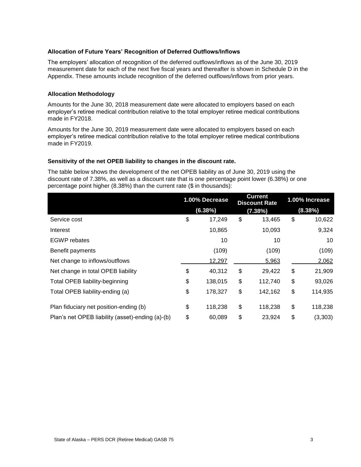#### **Allocation of Future Years' Recognition of Deferred Outflows/Inflows**

The employers' allocation of recognition of the deferred outflows/inflows as of the June 30, 2019 measurement date for each of the next five fiscal years and thereafter is shown in Schedule D in the Appendix. These amounts include recognition of the deferred outflows/inflows from prior years.

#### **Allocation Methodology**

Amounts for the June 30, 2018 measurement date were allocated to employers based on each employer's retiree medical contribution relative to the total employer retiree medical contributions made in FY2018.

Amounts for the June 30, 2019 measurement date were allocated to employers based on each employer's retiree medical contribution relative to the total employer retiree medical contributions made in FY2019.

#### **Sensitivity of the net OPEB liability to changes in the discount rate.**

The table below shows the development of the net OPEB liability as of June 30, 2019 using the discount rate of 7.38%, as well as a discount rate that is one percentage point lower (6.38%) or one percentage point higher (8.38%) than the current rate (\$ in thousands):

|                                                  | 1.00% Decrease | <b>Current</b><br><b>Discount Rate</b> | 1.00% Increase |
|--------------------------------------------------|----------------|----------------------------------------|----------------|
|                                                  | (6.38%)        | (7.38%)                                | (8.38%)        |
| Service cost                                     | \$<br>17,249   | \$<br>13,465                           | \$<br>10,622   |
| Interest                                         | 10,865         | 10,093                                 | 9,324          |
| <b>EGWP</b> rebates                              | 10             | 10                                     | 10             |
| Benefit payments                                 | (109)          | (109)                                  | (109)          |
| Net change to inflows/outflows                   | 12,297         | 5,963                                  | 2,062          |
| Net change in total OPEB liability               | \$<br>40,312   | \$<br>29,422                           | \$<br>21,909   |
| <b>Total OPEB liability-beginning</b>            | \$<br>138,015  | \$<br>112,740                          | \$<br>93,026   |
| Total OPEB liability-ending (a)                  | \$<br>178,327  | \$<br>142,162                          | \$<br>114,935  |
| Plan fiduciary net position-ending (b)           | \$<br>118,238  | \$<br>118,238                          | \$<br>118,238  |
| Plan's net OPEB liability (asset)-ending (a)-(b) | \$<br>60,089   | \$<br>23,924                           | \$<br>(3,303)  |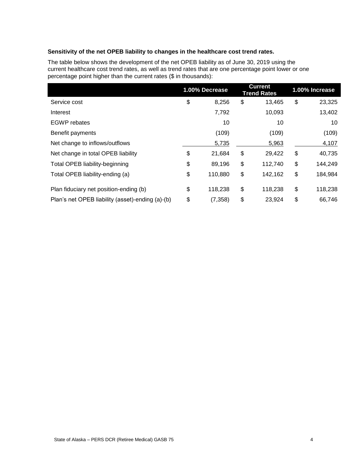# **Sensitivity of the net OPEB liability to changes in the healthcare cost trend rates.**

The table below shows the development of the net OPEB liability as of June 30, 2019 using the current healthcare cost trend rates, as well as trend rates that are one percentage point lower or one percentage point higher than the current rates (\$ in thousands):

|                |                |         |                                      | 1.00% Increase |
|----------------|----------------|---------|--------------------------------------|----------------|
| \$<br>8,256    | \$             | 13,465  | \$                                   | 23,325         |
| 7,792          |                | 10,093  |                                      | 13,402         |
| 10             |                | 10      |                                      | 10             |
| (109)          |                | (109)   |                                      | (109)          |
| 5,735          |                | 5,963   |                                      | 4,107          |
| \$<br>21,684   | \$             | 29,422  | \$                                   | 40,735         |
| \$<br>89,196   | \$             | 112,740 | \$                                   | 144,249        |
| \$<br>110,880  | \$             | 142,162 | \$                                   | 184,984        |
| \$<br>118,238  | \$             | 118,238 | \$                                   | 118,238        |
| \$<br>(7, 358) | \$             | 23,924  | \$                                   | 66,746         |
|                | 1.00% Decrease |         | <b>Current</b><br><b>Trend Rates</b> |                |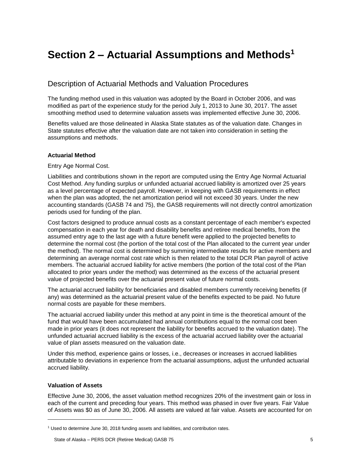# <span id="page-8-0"></span>**Section 2 – Actuarial Assumptions and Methods<sup>1</sup>**

# Description of Actuarial Methods and Valuation Procedures

The funding method used in this valuation was adopted by the Board in October 2006, and was modified as part of the experience study for the period July 1, 2013 to June 30, 2017. The asset smoothing method used to determine valuation assets was implemented effective June 30, 2006.

Benefits valued are those delineated in Alaska State statutes as of the valuation date. Changes in State statutes effective after the valuation date are not taken into consideration in setting the assumptions and methods.

# **Actuarial Method**

Entry Age Normal Cost.

Liabilities and contributions shown in the report are computed using the Entry Age Normal Actuarial Cost Method. Any funding surplus or unfunded actuarial accrued liability is amortized over 25 years as a level percentage of expected payroll. However, in keeping with GASB requirements in effect when the plan was adopted, the net amortization period will not exceed 30 years. Under the new accounting standards (GASB 74 and 75), the GASB requirements will not directly control amortization periods used for funding of the plan.

Cost factors designed to produce annual costs as a constant percentage of each member's expected compensation in each year for death and disability benefits and retiree medical benefits, from the assumed entry age to the last age with a future benefit were applied to the projected benefits to determine the normal cost (the portion of the total cost of the Plan allocated to the current year under the method). The normal cost is determined by summing intermediate results for active members and determining an average normal cost rate which is then related to the total DCR Plan payroll of active members. The actuarial accrued liability for active members (the portion of the total cost of the Plan allocated to prior years under the method) was determined as the excess of the actuarial present value of projected benefits over the actuarial present value of future normal costs.

The actuarial accrued liability for beneficiaries and disabled members currently receiving benefits (if any) was determined as the actuarial present value of the benefits expected to be paid. No future normal costs are payable for these members.

The actuarial accrued liability under this method at any point in time is the theoretical amount of the fund that would have been accumulated had annual contributions equal to the normal cost been made in prior years (it does not represent the liability for benefits accrued to the valuation date). The unfunded actuarial accrued liability is the excess of the actuarial accrued liability over the actuarial value of plan assets measured on the valuation date.

Under this method, experience gains or losses, i.e., decreases or increases in accrued liabilities attributable to deviations in experience from the actuarial assumptions, adjust the unfunded actuarial accrued liability.

#### **Valuation of Assets**

l

Effective June 30, 2006, the asset valuation method recognizes 20% of the investment gain or loss in each of the current and preceding four years. This method was phased in over five years. Fair Value of Assets was \$0 as of June 30, 2006. All assets are valued at fair value. Assets are accounted for on

 $1$  Used to determine June 30, 2018 funding assets and liabilities, and contribution rates.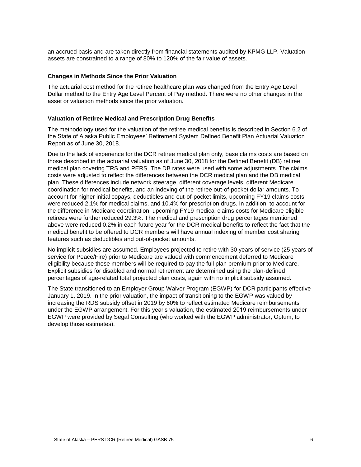an accrued basis and are taken directly from financial statements audited by KPMG LLP. Valuation assets are constrained to a range of 80% to 120% of the fair value of assets.

#### **Changes in Methods Since the Prior Valuation**

The actuarial cost method for the retiree healthcare plan was changed from the Entry Age Level Dollar method to the Entry Age Level Percent of Pay method. There were no other changes in the asset or valuation methods since the prior valuation.

# **Valuation of Retiree Medical and Prescription Drug Benefits**

The methodology used for the valuation of the retiree medical benefits is described in Section 6.2 of the State of Alaska Public Employees' Retirement System Defined Benefit Plan Actuarial Valuation Report as of June 30, 2018.

Due to the lack of experience for the DCR retiree medical plan only, base claims costs are based on those described in the actuarial valuation as of June 30, 2018 for the Defined Benefit (DB) retiree medical plan covering TRS and PERS. The DB rates were used with some adjustments. The claims costs were adjusted to reflect the differences between the DCR medical plan and the DB medical plan. These differences include network steerage, different coverage levels, different Medicare coordination for medical benefits, and an indexing of the retiree out-of-pocket dollar amounts. To account for higher initial copays, deductibles and out-of-pocket limits, upcoming FY19 claims costs were reduced 2.1% for medical claims, and 10.4% for prescription drugs. In addition, to account for the difference in Medicare coordination, upcoming FY19 medical claims costs for Medicare eligible retirees were further reduced 29.3%. The medical and prescription drug percentages mentioned above were reduced 0.2% in each future year for the DCR medical benefits to reflect the fact that the medical benefit to be offered to DCR members will have annual indexing of member cost sharing features such as deductibles and out-of-pocket amounts.

No implicit subsidies are assumed. Employees projected to retire with 30 years of service (25 years of service for Peace/Fire) prior to Medicare are valued with commencement deferred to Medicare eligibility because those members will be required to pay the full plan premium prior to Medicare. Explicit subsidies for disabled and normal retirement are determined using the plan-defined percentages of age-related total projected plan costs, again with no implicit subsidy assumed.

The State transitioned to an Employer Group Waiver Program (EGWP) for DCR participants effective January 1, 2019. In the prior valuation, the impact of transitioning to the EGWP was valued by increasing the RDS subsidy offset in 2019 by 60% to reflect estimated Medicare reimbursements under the EGWP arrangement. For this year's valuation, the estimated 2019 reimbursements under EGWP were provided by Segal Consulting (who worked with the EGWP administrator, Optum, to develop those estimates).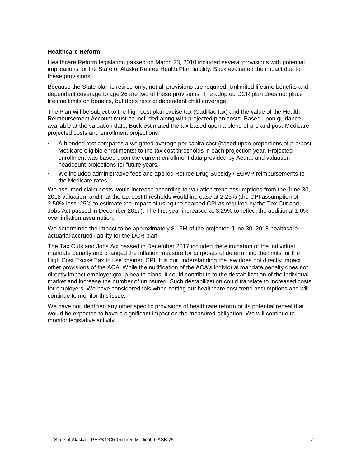#### **Healthcare Reform**

Healthcare Reform legislation passed on March 23, 2010 included several provisions with potential implications for the State of Alaska Retiree Health Plan liability. Buck evaluated the impact due to these provisions.

Because the State plan is retiree-only, not all provisions are required. Unlimited lifetime benefits and dependent coverage to age 26 are two of these provisions. The adopted DCR plan does not place lifetime limits on benefits, but does restrict dependent child coverage.

The Plan will be subject to the high cost plan excise tax (Cadillac tax) and the value of the Health Reimbursement Account must be included along with projected plan costs. Based upon guidance available at the valuation date, Buck estimated the tax based upon a blend of pre and post-Medicare projected costs and enrollment projections.

- A blended test compares a weighted average per capita cost (based upon proportions of pre/post Medicare eligible enrollments) to the tax cost thresholds in each projection year. Projected enrollment was based upon the current enrollment data provided by Aetna, and valuation headcount projections for future years.
- We included administrative fees and applied Retiree Drug Subsidy / EGWP reimbursements to the Medicare rates.

We assumed claim costs would increase according to valuation trend assumptions from the June 30, 2018 valuation, and that the tax cost thresholds would increase at 2.25% (the CPI assumption of 2.50% less .25% to estimate the impact of using the chained CPI as required by the Tax Cut and Jobs Act passed in December 2017). The first year increased at 3.25% to reflect the additional 1.0% over inflation assumption.

We determined the impact to be approximately \$1.6M of the projected June 30, 2018 healthcare actuarial accrued liability for the DCR plan.

The Tax Cuts and Jobs Act passed in December 2017 included the elimination of the individual mandate penalty and changed the inflation measure for purposes of determining the limits for the High Cost Excise Tax to use chained CPI. It is our understanding the law does not directly impact other provisions of the ACA. While the nullification of the ACA's individual mandate penalty does not directly impact employer group health plans, it could contribute to the destabilization of the individual market and increase the number of uninsured. Such destabilization could translate to increased costs for employers. We have considered this when setting our healthcare cost trend assumptions and will continue to monitor this issue.

We have not identified any other specific provisions of healthcare reform or its potential repeal that would be expected to have a significant impact on the measured obligation. We will continue to monitor legislative activity.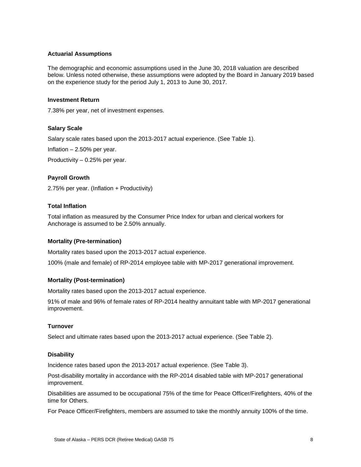#### **Actuarial Assumptions**

The demographic and economic assumptions used in the June 30, 2018 valuation are described below. Unless noted otherwise, these assumptions were adopted by the Board in January 2019 based on the experience study for the period July 1, 2013 to June 30, 2017.

#### **Investment Return**

7.38% per year, net of investment expenses.

# **Salary Scale**

Salary scale rates based upon the 2013-2017 actual experience. (See Table 1).

Inflation – 2.50% per year.

Productivity – 0.25% per year.

# **Payroll Growth**

2.75% per year. (Inflation + Productivity)

# **Total Inflation**

Total inflation as measured by the Consumer Price Index for urban and clerical workers for Anchorage is assumed to be 2.50% annually.

#### **Mortality (Pre-termination)**

Mortality rates based upon the 2013-2017 actual experience.

100% (male and female) of RP-2014 employee table with MP-2017 generational improvement.

#### **Mortality (Post-termination)**

Mortality rates based upon the 2013-2017 actual experience.

91% of male and 96% of female rates of RP-2014 healthy annuitant table with MP-2017 generational improvement.

#### **Turnover**

Select and ultimate rates based upon the 2013-2017 actual experience. (See Table 2).

#### **Disability**

Incidence rates based upon the 2013-2017 actual experience. (See Table 3).

Post-disability mortality in accordance with the RP-2014 disabled table with MP-2017 generational improvement.

Disabilities are assumed to be occupational 75% of the time for Peace Officer/Firefighters, 40% of the time for Others.

For Peace Officer/Firefighters, members are assumed to take the monthly annuity 100% of the time.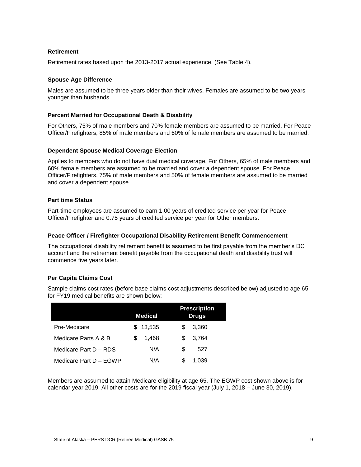#### **Retirement**

Retirement rates based upon the 2013-2017 actual experience. (See Table 4).

# **Spouse Age Difference**

Males are assumed to be three years older than their wives. Females are assumed to be two years younger than husbands.

# **Percent Married for Occupational Death & Disability**

For Others, 75% of male members and 70% female members are assumed to be married. For Peace Officer/Firefighters, 85% of male members and 60% of female members are assumed to be married.

#### **Dependent Spouse Medical Coverage Election**

Applies to members who do not have dual medical coverage. For Others, 65% of male members and 60% female members are assumed to be married and cover a dependent spouse. For Peace Officer/Firefighters, 75% of male members and 50% of female members are assumed to be married and cover a dependent spouse.

# **Part time Status**

Part-time employees are assumed to earn 1.00 years of credited service per year for Peace Officer/Firefighter and 0.75 years of credited service per year for Other members.

# **Peace Officer / Firefighter Occupational Disability Retirement Benefit Commencement**

The occupational disability retirement benefit is assumed to be first payable from the member's DC account and the retirement benefit payable from the occupational death and disability trust will commence five years later.

# **Per Capita Claims Cost**

Sample claims cost rates (before base claims cost adjustments described below) adjusted to age 65 for FY19 medical benefits are shown below:

|                        | <b>Medical</b> | <b>Prescription</b><br><b>Drugs</b> |
|------------------------|----------------|-------------------------------------|
| Pre-Medicare           | 13,535<br>S.   | 3,360<br>S                          |
| Medicare Parts A & B   | 1.468<br>S     | 3,764<br>S                          |
| Medicare Part D - RDS  | N/A            | S<br>527                            |
| Medicare Part D - EGWP | N/A            | 1.039<br>S                          |

Members are assumed to attain Medicare eligibility at age 65. The EGWP cost shown above is for calendar year 2019. All other costs are for the 2019 fiscal year (July 1, 2018 – June 30, 2019).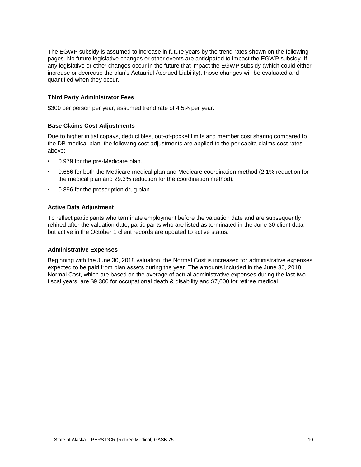The EGWP subsidy is assumed to increase in future years by the trend rates shown on the following pages. No future legislative changes or other events are anticipated to impact the EGWP subsidy. If any legislative or other changes occur in the future that impact the EGWP subsidy (which could either increase or decrease the plan's Actuarial Accrued Liability), those changes will be evaluated and quantified when they occur.

# **Third Party Administrator Fees**

\$300 per person per year; assumed trend rate of 4.5% per year.

#### **Base Claims Cost Adjustments**

Due to higher initial copays, deductibles, out-of-pocket limits and member cost sharing compared to the DB medical plan, the following cost adjustments are applied to the per capita claims cost rates above:

- 0.979 for the pre-Medicare plan.
- 0.686 for both the Medicare medical plan and Medicare coordination method (2.1% reduction for the medical plan and 29.3% reduction for the coordination method).
- 0.896 for the prescription drug plan.

#### **Active Data Adjustment**

To reflect participants who terminate employment before the valuation date and are subsequently rehired after the valuation date, participants who are listed as terminated in the June 30 client data but active in the October 1 client records are updated to active status.

#### **Administrative Expenses**

Beginning with the June 30, 2018 valuation, the Normal Cost is increased for administrative expenses expected to be paid from plan assets during the year. The amounts included in the June 30, 2018 Normal Cost, which are based on the average of actual administrative expenses during the last two fiscal years, are \$9,300 for occupational death & disability and \$7,600 for retiree medical.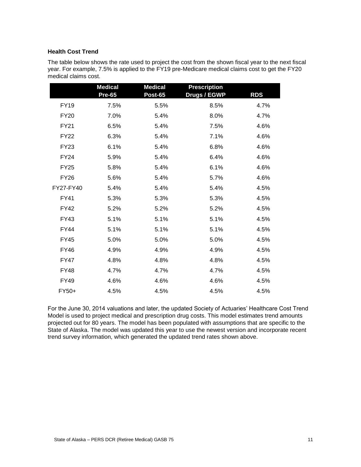#### **Health Cost Trend**

The table below shows the rate used to project the cost from the shown fiscal year to the next fiscal year. For example, 7.5% is applied to the FY19 pre-Medicare medical claims cost to get the FY20 medical claims cost.

|             | <b>Medical</b><br><b>Pre-65</b> | <b>Medical</b><br><b>Post-65</b> | <b>Prescription</b><br>Drugs / EGWP | <b>RDS</b> |
|-------------|---------------------------------|----------------------------------|-------------------------------------|------------|
| <b>FY19</b> | 7.5%                            | 5.5%                             | 8.5%                                | 4.7%       |
| <b>FY20</b> | 7.0%                            | 5.4%                             | 8.0%                                | 4.7%       |
| <b>FY21</b> | 6.5%                            | 5.4%                             | 7.5%                                | 4.6%       |
| <b>FY22</b> | 6.3%                            | 5.4%                             | 7.1%                                | 4.6%       |
| <b>FY23</b> | 6.1%                            | 5.4%                             | 6.8%                                | 4.6%       |
| <b>FY24</b> | 5.9%                            | 5.4%                             | 6.4%                                | 4.6%       |
| <b>FY25</b> | 5.8%                            | 5.4%                             | 6.1%                                | 4.6%       |
| <b>FY26</b> | 5.6%                            | 5.4%                             | 5.7%                                | 4.6%       |
| FY27-FY40   | 5.4%                            | 5.4%                             | 5.4%                                | 4.5%       |
| <b>FY41</b> | 5.3%                            | 5.3%                             | 5.3%                                | 4.5%       |
| <b>FY42</b> | 5.2%                            | 5.2%                             | 5.2%                                | 4.5%       |
| <b>FY43</b> | 5.1%                            | 5.1%                             | 5.1%                                | 4.5%       |
| <b>FY44</b> | 5.1%                            | 5.1%                             | 5.1%                                | 4.5%       |
| <b>FY45</b> | 5.0%                            | 5.0%                             | 5.0%                                | 4.5%       |
| <b>FY46</b> | 4.9%                            | 4.9%                             | 4.9%                                | 4.5%       |
| <b>FY47</b> | 4.8%                            | 4.8%                             | 4.8%                                | 4.5%       |
| <b>FY48</b> | 4.7%                            | 4.7%                             | 4.7%                                | 4.5%       |
| <b>FY49</b> | 4.6%                            | 4.6%                             | 4.6%                                | 4.5%       |
| FY50+       | 4.5%                            | 4.5%                             | 4.5%                                | 4.5%       |

For the June 30, 2014 valuations and later, the updated Society of Actuaries' Healthcare Cost Trend Model is used to project medical and prescription drug costs. This model estimates trend amounts projected out for 80 years. The model has been populated with assumptions that are specific to the State of Alaska. The model was updated this year to use the newest version and incorporate recent trend survey information, which generated the updated trend rates shown above.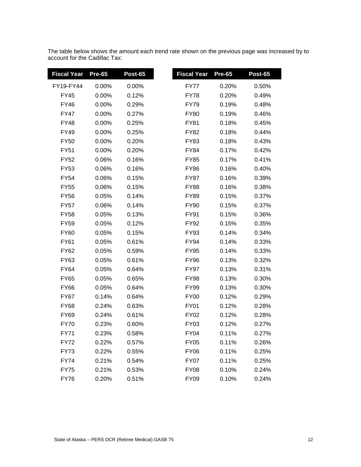The table below shows the amount each trend rate shown on the previous page was increased by to account for the Cadillac Tax:

| <b>Fiscal Year</b> | <b>Pre-65</b> | Post-65 | <b>Fiscal Year</b> | <b>Pre-65</b> | <b>Post-65</b> |
|--------------------|---------------|---------|--------------------|---------------|----------------|
| FY19-FY44          | 0.00%         | 0.00%   | FY77               | 0.20%         | 0.50%          |
| <b>FY45</b>        | 0.00%         | 0.12%   | <b>FY78</b>        | 0.20%         | 0.49%          |
| FY46               | 0.00%         | 0.29%   | <b>FY79</b>        | 0.19%         | 0.48%          |
| FY47               | 0.00%         | 0.27%   | <b>FY80</b>        | 0.19%         | 0.46%          |
| <b>FY48</b>        | 0.00%         | 0.25%   | <b>FY81</b>        | 0.18%         | 0.45%          |
| <b>FY49</b>        | 0.00%         | 0.25%   | <b>FY82</b>        | 0.18%         | 0.44%          |
| <b>FY50</b>        | 0.00%         | 0.20%   | <b>FY83</b>        | 0.18%         | 0.43%          |
| <b>FY51</b>        | 0.00%         | 0.20%   | <b>FY84</b>        | 0.17%         | 0.42%          |
| FY52               | 0.06%         | 0.16%   | <b>FY85</b>        | 0.17%         | 0.41%          |
| <b>FY53</b>        | 0.06%         | 0.16%   | <b>FY86</b>        | 0.16%         | 0.40%          |
| <b>FY54</b>        | 0.06%         | 0.15%   | <b>FY87</b>        | 0.16%         | 0.39%          |
| <b>FY55</b>        | 0.06%         | 0.15%   | <b>FY88</b>        | 0.16%         | 0.38%          |
| <b>FY56</b>        | 0.05%         | 0.14%   | <b>FY89</b>        | 0.15%         | 0.37%          |
| <b>FY57</b>        | 0.06%         | 0.14%   | <b>FY90</b>        | 0.15%         | 0.37%          |
| <b>FY58</b>        | 0.05%         | 0.13%   | <b>FY91</b>        | 0.15%         | 0.36%          |
| <b>FY59</b>        | 0.05%         | 0.12%   | <b>FY92</b>        | 0.15%         | 0.35%          |
| <b>FY60</b>        | 0.05%         | 0.15%   | <b>FY93</b>        | 0.14%         | 0.34%          |
| <b>FY61</b>        | 0.05%         | 0.61%   | <b>FY94</b>        | 0.14%         | 0.33%          |
| FY62               | 0.05%         | 0.59%   | FY95               | 0.14%         | 0.33%          |
| <b>FY63</b>        | 0.05%         | 0.61%   | <b>FY96</b>        | 0.13%         | 0.32%          |
| FY64               | 0.05%         | 0.64%   | <b>FY97</b>        | 0.13%         | 0.31%          |
| <b>FY65</b>        | 0.05%         | 0.65%   | <b>FY98</b>        | 0.13%         | 0.30%          |
| <b>FY66</b>        | 0.05%         | 0.64%   | <b>FY99</b>        | 0.13%         | 0.30%          |
| <b>FY67</b>        | 0.14%         | 0.64%   | <b>FY00</b>        | 0.12%         | 0.29%          |
| <b>FY68</b>        | 0.24%         | 0.63%   | <b>FY01</b>        | 0.12%         | 0.28%          |
| FY69               | 0.24%         | 0.61%   | FY02               | 0.12%         | 0.28%          |
| <b>FY70</b>        | 0.23%         | 0.60%   | <b>FY03</b>        | 0.12%         | 0.27%          |
| <b>FY71</b>        | 0.23%         | 0.58%   | <b>FY04</b>        | 0.11%         | 0.27%          |
| <b>FY72</b>        | 0.22%         | 0.57%   | <b>FY05</b>        | 0.11%         | 0.26%          |
| <b>FY73</b>        | 0.22%         | 0.55%   | <b>FY06</b>        | 0.11%         | 0.25%          |
| FY74               | 0.21%         | 0.54%   | <b>FY07</b>        | 0.11%         | 0.25%          |
| <b>FY75</b>        | 0.21%         | 0.53%   | <b>FY08</b>        | 0.10%         | 0.24%          |
| <b>FY76</b>        | 0.20%         | 0.51%   | <b>FY09</b>        | 0.10%         | 0.24%          |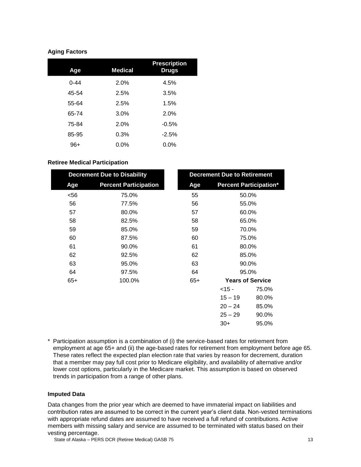# **Aging Factors**

| Age      | <b>Medical</b> | <b>Prescription</b><br><b>Drugs</b> |
|----------|----------------|-------------------------------------|
| $0 - 44$ | 2.0%           | 4.5%                                |
| 45-54    | 2.5%           | 3.5%                                |
| 55-64    | 2.5%           | 1.5%                                |
| 65-74    | 3.0%           | 2.0%                                |
| 75-84    | 2.0%           | $-0.5%$                             |
| 85-95    | 0.3%           | $-2.5%$                             |
| $96+$    | $0.0\%$        | $0.0\%$                             |

# **Retiree Medical Participation**

| <b>Decrement Due to Disability</b> |                              |       | <b>Decrement Due to Retirement</b> |                               |
|------------------------------------|------------------------------|-------|------------------------------------|-------------------------------|
| Age                                | <b>Percent Participation</b> | Age   |                                    | <b>Percent Participation*</b> |
| $56$                               | 75.0%                        | 55    |                                    | 50.0%                         |
| 56                                 | 77.5%                        | 56    |                                    | 55.0%                         |
| 57                                 | 80.0%                        | 57    |                                    | 60.0%                         |
| 58                                 | 82.5%                        | 58    |                                    | 65.0%                         |
| 59                                 | 85.0%                        | 59    | 70.0%                              |                               |
| 60                                 | 87.5%                        | 60    | 75.0%                              |                               |
| 61                                 | 90.0%                        | 61    |                                    | 80.0%                         |
| 62                                 | 92.5%                        | 62    |                                    | 85.0%                         |
| 63                                 | 95.0%                        | 63    |                                    | 90.0%                         |
| 64                                 | 97.5%                        | 64    |                                    | 95.0%                         |
| $65+$                              | 100.0%                       | $65+$ |                                    | <b>Years of Service</b>       |
|                                    |                              |       | $<$ 15 -                           | 75.0%                         |
|                                    |                              |       | $15 - 19$                          | 80.0%                         |
|                                    |                              |       | $20 - 24$                          | 85.0%                         |
|                                    |                              |       | $25 - 29$                          | 90.0%                         |
|                                    |                              |       | $30+$                              | 95.0%                         |

\* Participation assumption is a combination of (i) the service-based rates for retirement from employment at age 65+ and (ii) the age-based rates for retirement from employment before age 65. These rates reflect the expected plan election rate that varies by reason for decrement, duration that a member may pay full cost prior to Medicare eligibility, and availability of alternative and/or lower cost options, particularly in the Medicare market. This assumption is based on observed trends in participation from a range of other plans.

#### **Imputed Data**

Data changes from the prior year which are deemed to have immaterial impact on liabilities and contribution rates are assumed to be correct in the current year's client data. Non-vested terminations with appropriate refund dates are assumed to have received a full refund of contributions. Active members with missing salary and service are assumed to be terminated with status based on their vesting percentage.

State of Alaska – PERS DCR (Retiree Medical) GASB 75 13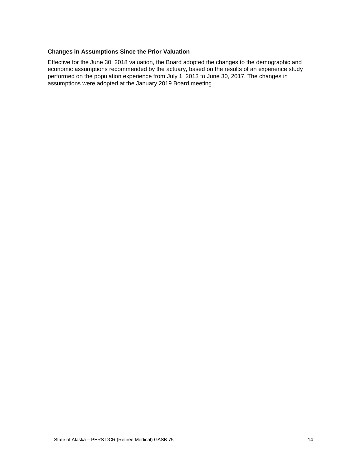# **Changes in Assumptions Since the Prior Valuation**

Effective for the June 30, 2018 valuation, the Board adopted the changes to the demographic and economic assumptions recommended by the actuary, based on the results of an experience study performed on the population experience from July 1, 2013 to June 30, 2017. The changes in assumptions were adopted at the January 2019 Board meeting.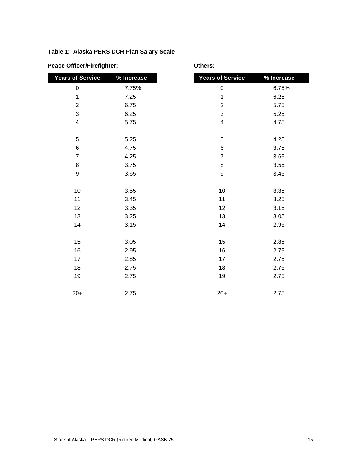# **Table 1: Alaska PERS DCR Plan Salary Scale**

|  |  | <b>Peace Officer/Firefighter:</b> |
|--|--|-----------------------------------|
|--|--|-----------------------------------|

**Peace Officer: Peace Of Executive Contracts:** 

| <b>Years of Service</b> | % Increase | <b>Years of Service</b>  | % Increase |
|-------------------------|------------|--------------------------|------------|
| $\pmb{0}$               | 7.75%      | $\mathbf 0$              | 6.75%      |
| 1                       | 7.25       | 1                        | 6.25       |
| $\overline{2}$          | 6.75       | $\overline{2}$           | 5.75       |
| 3                       | 6.25       | $\sqrt{3}$               | 5.25       |
| 4                       | 5.75       | $\overline{\mathcal{A}}$ | 4.75       |
| 5                       | 5.25       | $\mathbf 5$              | 4.25       |
| $\,6$                   | 4.75       | $\,6$                    | 3.75       |
| $\overline{7}$          | 4.25       | $\overline{7}$           | 3.65       |
| 8                       | 3.75       | $\bf 8$                  | 3.55       |
| $\boldsymbol{9}$        | 3.65       | $\boldsymbol{9}$         | 3.45       |
|                         |            |                          |            |
| 10                      | 3.55       | 10                       | 3.35       |
| 11                      | 3.45       | 11                       | 3.25       |
| 12                      | 3.35       | 12                       | 3.15       |
| 13                      | 3.25       | 13                       | 3.05       |
| 14                      | 3.15       | 14                       | 2.95       |
| 15                      | 3.05       | 15                       | 2.85       |
| 16                      | 2.95       | 16                       | 2.75       |
| 17                      | 2.85       | 17                       | 2.75       |
| 18                      | 2.75       | 18                       | 2.75       |
| 19                      | 2.75       | 19                       | 2.75       |
| $20+$                   | 2.75       | $20+$                    | 2.75       |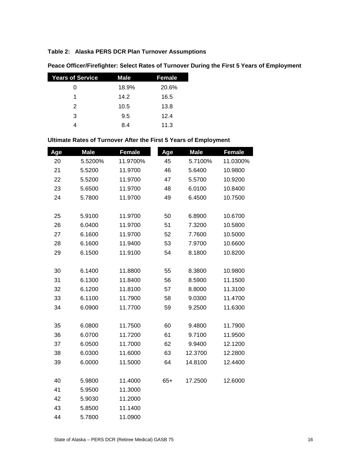# **Table 2: Alaska PERS DCR Plan Turnover Assumptions**

| <b>Years of Service</b> | Male  | Female |
|-------------------------|-------|--------|
| 0                       | 18.9% | 20.6%  |
| 1                       | 14.2  | 16.5   |
| $\mathcal{P}$           | 10.5  | 13.8   |
| 3                       | 9.5   | 12.4   |
|                         | 8.4   | 11.3   |

# **Peace Officer/Firefighter: Select Rates of Turnover During the First 5 Years of Employment**

# **Ultimate Rates of Turnover After the First 5 Years of Employment**

| Age | <b>Male</b> | <b>Female</b> | Age   | <b>Male</b> | <b>Female</b> |
|-----|-------------|---------------|-------|-------------|---------------|
| 20  | 5.5200%     | 11.9700%      | 45    | 5.7100%     | 11.0300%      |
| 21  | 5.5200      | 11.9700       | 46    | 5.6400      | 10.9800       |
| 22  | 5.5200      | 11.9700       | 47    | 5.5700      | 10.9200       |
| 23  | 5.6500      | 11.9700       | 48    | 6.0100      | 10.8400       |
| 24  | 5.7800      | 11.9700       | 49    | 6.4500      | 10.7500       |
|     |             |               |       |             |               |
| 25  | 5.9100      | 11.9700       | 50    | 6.8900      | 10.6700       |
| 26  | 6.0400      | 11.9700       | 51    | 7.3200      | 10.5800       |
| 27  | 6.1600      | 11.9700       | 52    | 7.7600      | 10.5000       |
| 28  | 6.1600      | 11.9400       | 53    | 7.9700      | 10.6600       |
| 29  | 6.1500      | 11.9100       | 54    | 8.1800      | 10.8200       |
|     |             |               |       |             |               |
| 30  | 6.1400      | 11.8800       | 55    | 8.3800      | 10.9800       |
| 31  | 6.1300      | 11.8400       | 56    | 8.5900      | 11.1500       |
| 32  | 6.1200      | 11.8100       | 57    | 8.8000      | 11.3100       |
| 33  | 6.1100      | 11.7900       | 58    | 9.0300      | 11.4700       |
| 34  | 6.0900      | 11.7700       | 59    | 9.2500      | 11.6300       |
|     |             |               |       |             |               |
| 35  | 6.0800      | 11.7500       | 60    | 9.4800      | 11.7900       |
| 36  | 6.0700      | 11.7200       | 61    | 9.7100      | 11.9500       |
| 37  | 6.0500      | 11.7000       | 62    | 9.9400      | 12.1200       |
| 38  | 6.0300      | 11.6000       | 63    | 12.3700     | 12.2800       |
| 39  | 6.0000      | 11.5000       | 64    | 14.8100     | 12.4400       |
|     |             |               |       |             |               |
| 40  | 5.9800      | 11.4000       | $65+$ | 17.2500     | 12.6000       |
| 41  | 5.9500      | 11.3000       |       |             |               |
| 42  | 5.9030      | 11.2000       |       |             |               |
| 43  | 5.8500      | 11.1400       |       |             |               |
| 44  | 5.7800      | 11.0900       |       |             |               |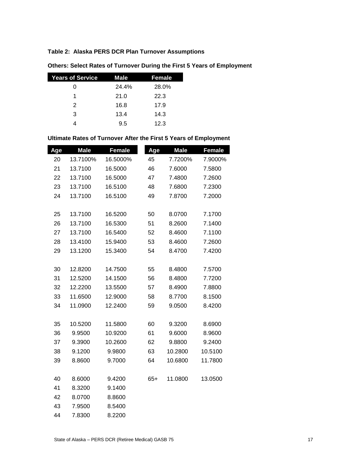# **Table 2: Alaska PERS DCR Plan Turnover Assumptions**

| <b>Years of Service</b> | Male  | <b>Female</b> |
|-------------------------|-------|---------------|
| O                       | 24.4% | 28.0%         |
| 1                       | 21.0  | 22.3          |
| $\mathcal{P}$           | 16.8  | 17.9          |
| 3                       | 13.4  | 14.3          |
|                         | 9.5   | 12.3          |

# **Others: Select Rates of Turnover During the First 5 Years of Employment**

# **Ultimate Rates of Turnover After the First 5 Years of Employment**

| Age | <b>Male</b> | <b>Female</b> | Age   | <b>Male</b> | <b>Female</b> |
|-----|-------------|---------------|-------|-------------|---------------|
| 20  | 13.7100%    | 16.5000%      | 45    | 7.7200%     | 7.9000%       |
| 21  | 13.7100     | 16.5000       | 46    | 7.6000      | 7.5800        |
| 22  | 13.7100     | 16.5000       | 47    | 7.4800      | 7.2600        |
| 23  | 13.7100     | 16.5100       | 48    | 7.6800      | 7.2300        |
| 24  | 13.7100     | 16.5100       | 49    | 7.8700      | 7.2000        |
|     |             |               |       |             |               |
| 25  | 13.7100     | 16.5200       | 50    | 8.0700      | 7.1700        |
| 26  | 13.7100     | 16.5300       | 51    | 8.2600      | 7.1400        |
| 27  | 13.7100     | 16.5400       | 52    | 8.4600      | 7.1100        |
| 28  | 13.4100     | 15.9400       | 53    | 8.4600      | 7.2600        |
| 29  | 13.1200     | 15.3400       | 54    | 8.4700      | 7.4200        |
|     |             |               |       |             |               |
| 30  | 12.8200     | 14.7500       | 55    | 8.4800      | 7.5700        |
| 31  | 12.5200     | 14.1500       | 56    | 8.4800      | 7.7200        |
| 32  | 12.2200     | 13.5500       | 57    | 8.4900      | 7.8800        |
| 33  | 11.6500     | 12.9000       | 58    | 8.7700      | 8.1500        |
| 34  | 11.0900     | 12.2400       | 59    | 9.0500      | 8.4200        |
|     |             |               |       |             |               |
| 35  | 10.5200     | 11.5800       | 60    | 9.3200      | 8.6900        |
| 36  | 9.9500      | 10.9200       | 61    | 9.6000      | 8.9600        |
| 37  | 9.3900      | 10.2600       | 62    | 9.8800      | 9.2400        |
| 38  | 9.1200      | 9.9800        | 63    | 10.2800     | 10.5100       |
| 39  | 8.8600      | 9.7000        | 64    | 10.6800     | 11.7800       |
|     |             |               |       |             |               |
| 40  | 8.6000      | 9.4200        | $65+$ | 11.0800     | 13.0500       |
| 41  | 8.3200      | 9.1400        |       |             |               |
| 42  | 8.0700      | 8.8600        |       |             |               |
| 43  | 7.9500      | 8.5400        |       |             |               |
| 44  | 7.8300      | 8.2200        |       |             |               |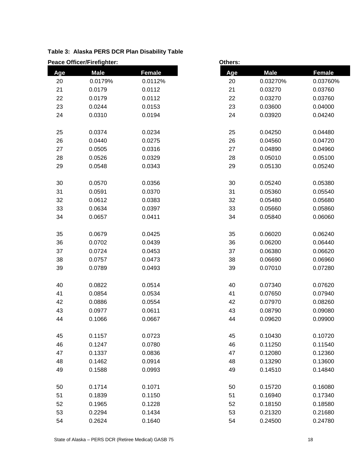|     | <b>Peace Officer/Firefighter:</b><br>Others: |               |     |             |               |
|-----|----------------------------------------------|---------------|-----|-------------|---------------|
| Age | <b>Male</b>                                  | <b>Female</b> | Age | <b>Male</b> | <b>Female</b> |
| 20  | 0.0179%                                      | 0.0112%       | 20  | 0.03270%    | 0.03760%      |
| 21  | 0.0179                                       | 0.0112        | 21  | 0.03270     | 0.03760       |
| 22  | 0.0179                                       | 0.0112        | 22  | 0.03270     | 0.03760       |
| 23  | 0.0244                                       | 0.0153        | 23  | 0.03600     | 0.04000       |
| 24  | 0.0310                                       | 0.0194        | 24  | 0.03920     | 0.04240       |
| 25  | 0.0374                                       | 0.0234        | 25  | 0.04250     | 0.04480       |
| 26  | 0.0440                                       | 0.0275        | 26  | 0.04560     | 0.04720       |
| 27  | 0.0505                                       | 0.0316        | 27  | 0.04890     | 0.04960       |
| 28  | 0.0526                                       | 0.0329        | 28  | 0.05010     | 0.05100       |
| 29  | 0.0548                                       | 0.0343        | 29  | 0.05130     | 0.05240       |
| 30  | 0.0570                                       | 0.0356        | 30  | 0.05240     | 0.05380       |
| 31  | 0.0591                                       | 0.0370        | 31  | 0.05360     | 0.05540       |
| 32  | 0.0612                                       | 0.0383        | 32  | 0.05480     | 0.05680       |
| 33  | 0.0634                                       | 0.0397        | 33  | 0.05660     | 0.05860       |
| 34  | 0.0657                                       | 0.0411        | 34  | 0.05840     | 0.06060       |
| 35  | 0.0679                                       | 0.0425        | 35  | 0.06020     | 0.06240       |
| 36  | 0.0702                                       | 0.0439        | 36  | 0.06200     | 0.06440       |
| 37  | 0.0724                                       | 0.0453        | 37  | 0.06380     | 0.06620       |
| 38  | 0.0757                                       | 0.0473        | 38  | 0.06690     | 0.06960       |
| 39  | 0.0789                                       | 0.0493        | 39  | 0.07010     | 0.07280       |
| 40  | 0.0822                                       | 0.0514        | 40  | 0.07340     | 0.07620       |
| 41  | 0.0854                                       | 0.0534        | 41  | 0.07650     | 0.07940       |
| 42  | 0.0886                                       | 0.0554        | 42  | 0.07970     | 0.08260       |
| 43  | 0.0977                                       | 0.0611        | 43  | 0.08790     | 0.09080       |
| 44  | 0.1066                                       | 0.0667        | 44  | 0.09620     | 0.09900       |
| 45  | 0.1157                                       | 0.0723        | 45  | 0.10430     | 0.10720       |
| 46  | 0.1247                                       | 0.0780        | 46  | 0.11250     | 0.11540       |
| 47  | 0.1337                                       | 0.0836        | 47  | 0.12080     | 0.12360       |
| 48  | 0.1462                                       | 0.0914        | 48  | 0.13290     | 0.13600       |
| 49  | 0.1588                                       | 0.0993        | 49  | 0.14510     | 0.14840       |
| 50  | 0.1714                                       | 0.1071        | 50  | 0.15720     | 0.16080       |
| 51  | 0.1839                                       | 0.1150        | 51  | 0.16940     | 0.17340       |
| 52  | 0.1965                                       | 0.1228        | 52  | 0.18150     | 0.18580       |
| 53  | 0.2294                                       | 0.1434        | 53  | 0.21320     | 0.21680       |
| 54  | 0.2624                                       | 0.1640        | 54  | 0.24500     | 0.24780       |

# **Table 3: Alaska PERS DCR Plan Disability Table**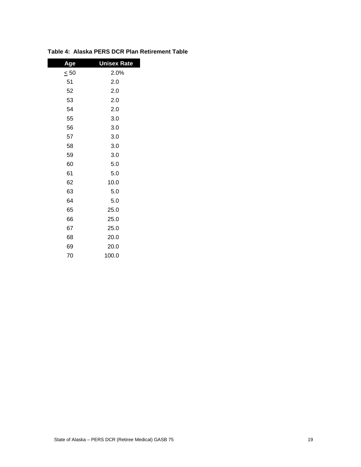| <u>Age</u> | <b>Unisex Rate</b> |
|------------|--------------------|
| $\leq 50$  | 2.0%               |
| 51         | 2.0                |
| 52         | 2.0                |
| 53         | 2.0                |
| 54         | 2.0                |
| 55         | 3.0                |
| 56         | 3.0                |
| 57         | 3.0                |
| 58         | 3.0                |
| 59         | 3.0                |
| 60         | 5.0                |
| 61         | 5.0                |
| 62         | 10.0               |
| 63         | 5.0                |
| 64         | 5.0                |
| 65         | 25.0               |
| 66         | 25.0               |
| 67         | 25.0               |
| 68         | 20.0               |
| 69         | 20.0               |
| 70         | 100.0              |

# **Table 4: Alaska PERS DCR Plan Retirement Table**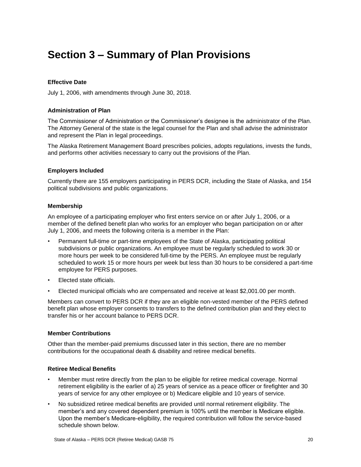# <span id="page-23-0"></span>**Section 3 – Summary of Plan Provisions**

# **Effective Date**

July 1, 2006, with amendments through June 30, 2018.

#### **Administration of Plan**

The Commissioner of Administration or the Commissioner's designee is the administrator of the Plan. The Attorney General of the state is the legal counsel for the Plan and shall advise the administrator and represent the Plan in legal proceedings.

The Alaska Retirement Management Board prescribes policies, adopts regulations, invests the funds, and performs other activities necessary to carry out the provisions of the Plan.

#### **Employers Included**

Currently there are 155 employers participating in PERS DCR, including the State of Alaska, and 154 political subdivisions and public organizations.

#### **Membership**

An employee of a participating employer who first enters service on or after July 1, 2006, or a member of the defined benefit plan who works for an employer who began participation on or after July 1, 2006, and meets the following criteria is a member in the Plan:

- Permanent full-time or part-time employees of the State of Alaska, participating political subdivisions or public organizations. An employee must be regularly scheduled to work 30 or more hours per week to be considered full-time by the PERS. An employee must be regularly scheduled to work 15 or more hours per week but less than 30 hours to be considered a part-time employee for PERS purposes.
- Elected state officials.
- Elected municipal officials who are compensated and receive at least \$2,001.00 per month.

Members can convert to PERS DCR if they are an eligible non-vested member of the PERS defined benefit plan whose employer consents to transfers to the defined contribution plan and they elect to transfer his or her account balance to PERS DCR.

#### **Member Contributions**

Other than the member-paid premiums discussed later in this section, there are no member contributions for the occupational death & disability and retiree medical benefits.

#### **Retiree Medical Benefits**

- Member must retire directly from the plan to be eligible for retiree medical coverage. Normal retirement eligibility is the earlier of a) 25 years of service as a peace officer or firefighter and 30 years of service for any other employee or b) Medicare eligible and 10 years of service.
- No subsidized retiree medical benefits are provided until normal retirement eligibility. The member's and any covered dependent premium is 100% until the member is Medicare eligible. Upon the member's Medicare-eligibility, the required contribution will follow the service-based schedule shown below.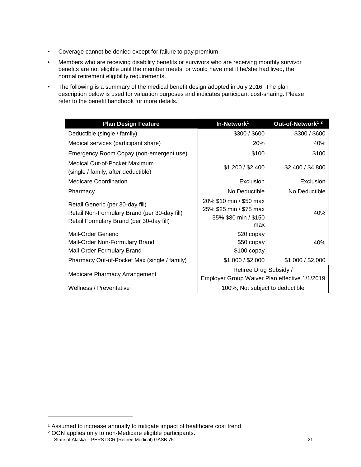- Coverage cannot be denied except for failure to pay premium
- Members who are receiving disability benefits or survivors who are receiving monthly survivor benefits are not eligible until the member meets, or would have met if he/she had lived, the normal retirement eligibility requirements.
- The following is a summary of the medical benefit design adopted in July 2016. The plan description below is used for valuation purposes and indicates participant cost-sharing. Please refer to the benefit handbook for more details.

| <b>Plan Design Feature</b>                                                                                                   | In-Network <sup>1</sup>                                                           | Out-of-Network <sup>12</sup> |  |  |
|------------------------------------------------------------------------------------------------------------------------------|-----------------------------------------------------------------------------------|------------------------------|--|--|
| Deductible (single / family)                                                                                                 | \$300 / \$600                                                                     | \$300 / \$600                |  |  |
| Medical services (participant share)                                                                                         | 20%                                                                               | 40%                          |  |  |
| Emergency Room Copay (non-emergent use)                                                                                      | \$100                                                                             | \$100                        |  |  |
| Medical Out-of-Pocket Maximum<br>(single / family, after deductible)                                                         | \$1,200 / \$2,400                                                                 | \$2,400 / \$4,800            |  |  |
| <b>Medicare Coordination</b>                                                                                                 | Exclusion                                                                         | Exclusion                    |  |  |
| Pharmacy                                                                                                                     | No Deductible                                                                     | No Deductible                |  |  |
| Retail Generic (per 30-day fill)<br>Retail Non-Formulary Brand (per 30-day fill)<br>Retail Formulary Brand (per 30-day fill) | 20% \$10 min / \$50 max<br>25% \$25 min / \$75 max<br>35% \$80 min / \$150<br>max | 40%                          |  |  |
| Mail-Order Generic<br>Mail-Order Non-Formulary Brand<br>Mail-Order Formulary Brand                                           | \$20 copay<br>\$50 copay<br>$$100$ copay                                          | 40%                          |  |  |
| Pharmacy Out-of-Pocket Max (single / family)                                                                                 | \$1,000 / \$2,000                                                                 | \$1,000 / \$2,000            |  |  |
| Medicare Pharmacy Arrangement                                                                                                | Retiree Drug Subsidy /<br>Employer Group Waiver Plan effective 1/1/2019           |                              |  |  |
| Wellness / Preventative                                                                                                      | 100%, Not subject to deductible                                                   |                              |  |  |

l

<sup>&</sup>lt;sup>1</sup> Assumed to increase annually to mitigate impact of healthcare cost trend

State of Alaska – PERS DCR (Retiree Medical) GASB 75 21 <sup>2</sup> OON applies only to non-Medicare eligible participants.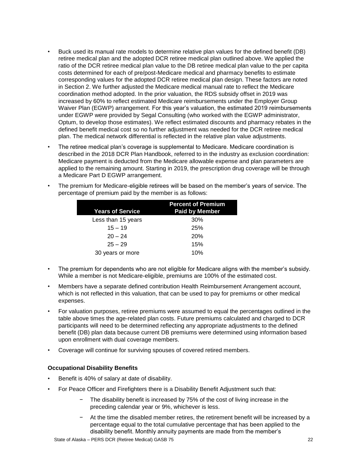- Buck used its manual rate models to determine relative plan values for the defined benefit (DB) retiree medical plan and the adopted DCR retiree medical plan outlined above. We applied the ratio of the DCR retiree medical plan value to the DB retiree medical plan value to the per capita costs determined for each of pre/post-Medicare medical and pharmacy benefits to estimate corresponding values for the adopted DCR retiree medical plan design. These factors are noted in Section 2. We further adjusted the Medicare medical manual rate to reflect the Medicare coordination method adopted. In the prior valuation, the RDS subsidy offset in 2019 was increased by 60% to reflect estimated Medicare reimbursements under the Employer Group Waiver Plan (EGWP) arrangement. For this year's valuation, the estimated 2019 reimbursements under EGWP were provided by Segal Consulting (who worked with the EGWP administrator, Optum, to develop those estimates). We reflect estimated discounts and pharmacy rebates in the defined benefit medical cost so no further adjustment was needed for the DCR retiree medical plan. The medical network differential is reflected in the relative plan value adjustments.
- The retiree medical plan's coverage is supplemental to Medicare. Medicare coordination is described in the 2018 DCR Plan Handbook, referred to in the industry as exclusion coordination: Medicare payment is deducted from the Medicare allowable expense and plan parameters are applied to the remaining amount. Starting in 2019, the prescription drug coverage will be through a Medicare Part D EGWP arrangement.
- The premium for Medicare-eligible retirees will be based on the member's years of service. The percentage of premium paid by the member is as follows:

| <b>Years of Service</b> | <b>Percent of Premium</b><br><b>Paid by Member</b> |
|-------------------------|----------------------------------------------------|
| Less than 15 years      | 30%                                                |
| $15 - 19$               | 25%                                                |
| $20 - 24$               | <b>20%</b>                                         |
| $25 - 29$               | 15%                                                |
| 30 years or more        | 10%                                                |

- The premium for dependents who are not eligible for Medicare aligns with the member's subsidy. While a member is not Medicare-eligible, premiums are 100% of the estimated cost.
- Members have a separate defined contribution Health Reimbursement Arrangement account, which is not reflected in this valuation, that can be used to pay for premiums or other medical expenses.
- For valuation purposes, retiree premiums were assumed to equal the percentages outlined in the table above times the age-related plan costs. Future premiums calculated and charged to DCR participants will need to be determined reflecting any appropriate adjustments to the defined benefit (DB) plan data because current DB premiums were determined using information based upon enrollment with dual coverage members.
- Coverage will continue for surviving spouses of covered retired members.

# **Occupational Disability Benefits**

- Benefit is 40% of salary at date of disability.
- For Peace Officer and Firefighters there is a Disability Benefit Adjustment such that:
	- − The disability benefit is increased by 75% of the cost of living increase in the preceding calendar year or 9%, whichever is less.
	- At the time the disabled member retires, the retirement benefit will be increased by a percentage equal to the total cumulative percentage that has been applied to the disability benefit. Monthly annuity payments are made from the member's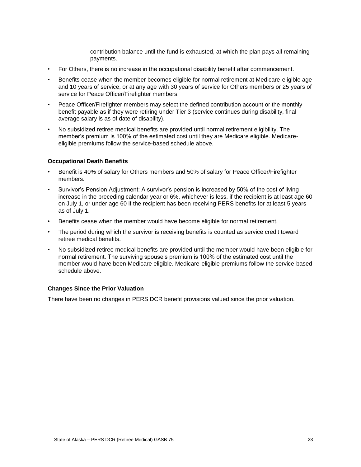contribution balance until the fund is exhausted, at which the plan pays all remaining payments.

- For Others, there is no increase in the occupational disability benefit after commencement.
- Benefits cease when the member becomes eligible for normal retirement at Medicare-eligible age and 10 years of service, or at any age with 30 years of service for Others members or 25 years of service for Peace Officer/Firefighter members.
- Peace Officer/Firefighter members may select the defined contribution account or the monthly benefit payable as if they were retiring under Tier 3 (service continues during disability, final average salary is as of date of disability).
- No subsidized retiree medical benefits are provided until normal retirement eligibility. The member's premium is 100% of the estimated cost until they are Medicare eligible. Medicareeligible premiums follow the service-based schedule above.

#### **Occupational Death Benefits**

- Benefit is 40% of salary for Others members and 50% of salary for Peace Officer/Firefighter members.
- Survivor's Pension Adjustment: A survivor's pension is increased by 50% of the cost of living increase in the preceding calendar year or 6%, whichever is less, if the recipient is at least age 60 on July 1, or under age 60 if the recipient has been receiving PERS benefits for at least 5 years as of July 1.
- Benefits cease when the member would have become eligible for normal retirement.
- The period during which the survivor is receiving benefits is counted as service credit toward retiree medical benefits.
- No subsidized retiree medical benefits are provided until the member would have been eligible for normal retirement. The surviving spouse's premium is 100% of the estimated cost until the member would have been Medicare eligible. Medicare-eligible premiums follow the service-based schedule above.

#### **Changes Since the Prior Valuation**

There have been no changes in PERS DCR benefit provisions valued since the prior valuation.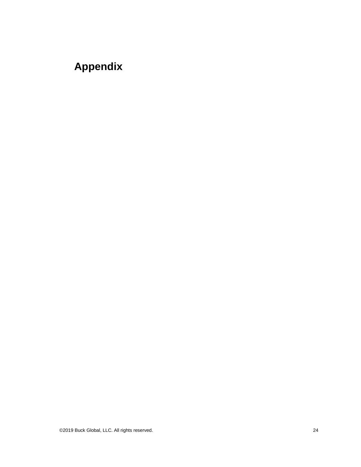# <span id="page-27-0"></span>**Appendix**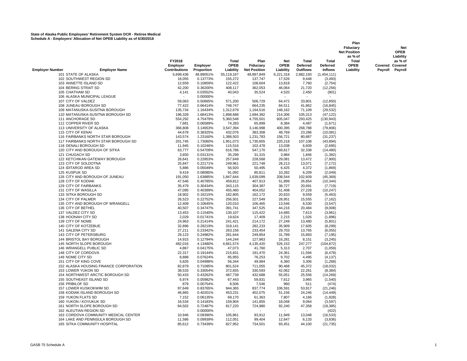|                                              |                                        |                           |                      |                        |                        |                    |                          |                          | Plan<br>Fiduciary<br><b>Net Position</b> |                        | <b>Net</b><br><b>OPEB</b> |
|----------------------------------------------|----------------------------------------|---------------------------|----------------------|------------------------|------------------------|--------------------|--------------------------|--------------------------|------------------------------------------|------------------------|---------------------------|
|                                              |                                        |                           |                      |                        |                        |                    |                          |                          | as % of                                  |                        | Liability                 |
|                                              |                                        | <b>FY2018</b><br>Employer | <b>Employer</b>      | Total<br><b>OPEB</b>   | Plan<br>Fiduciary      | Net<br><b>OPEB</b> | Total<br><b>Deferred</b> | Total<br><b>Deferred</b> | Total<br><b>OPEB</b>                     | <b>Covered Covered</b> | as % of                   |
| <b>Employer Number</b>                       | <b>Employer Name</b>                   | <b>Contributions</b>      | Proportion           | Liability              | <b>Net Position</b>    | Liability          | <b>Outflows</b>          | <b>Inflows</b>           | Liability                                |                        | Payroll Payroll           |
| 101 STATE OF ALASKA                          |                                        | 5,699,436                 | 48.89051%            | 55,119,167             | 48,897,849             | 6,221,318          | 2,882,193                | (1,454,111)              |                                          |                        |                           |
| 102 SOUTHWEST REGION SD                      |                                        | 16,055                    | 0.13773%             | 155,272                | 137,747                | 17,526             | 9,448                    | (3, 493)                 |                                          |                        |                           |
| 103 ANNETTE ISLAND SD                        |                                        | 12,659                    | 0.10859%             | 122,422                | 108,604                | 13,818             | 7,760                    | (2,754)                  |                                          |                        |                           |
| 104 BERING STRAIT SD                         |                                        | 42,200                    | 0.36200%             | 408,117                | 362,053                | 46,064             | 21,720                   | (12, 256)                |                                          |                        |                           |
| 105 CHATHAM SD                               |                                        | 4,141                     | 0.03552%             | 40,043                 | 35,524                 | 4,520              | 2,450                    | (901)                    |                                          |                        |                           |
| 106 ALASKA MUNICIPAL LEAGUE                  |                                        |                           | 0.00000%             |                        |                        |                    |                          |                          |                                          |                        |                           |
| 107 CITY OF VALDEZ                           |                                        | 59,063                    | 0.50665%             | 571,200                | 506,729                | 64,472             | 33,801                   | (12, 850)                |                                          |                        |                           |
| 108 JUNEAU BOROUGH SD                        |                                        | 77,422                    | 0.66414%             | 748,747                | 664,235                | 84,511             | 41,862                   | (16, 845)                |                                          |                        |                           |
| 109 MATANUSKA-SUSITNA BOROUGH                |                                        | 135,734                   | 1.16434%             | 1,312,679              | 1,164,516              | 148,162            | 71,109                   | (29, 532)                |                                          |                        |                           |
| 111 ANCHORAGE SD                             | 110 MATANUSKA-SUSITNA BOROUGH SD       | 196,328<br>554,292        | 1.68413%<br>4.75479% | 1,898,688<br>5,360,548 | 1,684,382<br>4,755,501 | 214,306<br>605,047 | 105,313<br>293,425       | (47, 122)<br>(130, 943)  |                                          |                        |                           |
| 112 COPPER RIVER SD                          |                                        | 7,681                     | 0.06589%             | 74,283                 | 65,899                 | 8,384              | 4,487                    | (1,671)                  |                                          |                        |                           |
| 113 UNIVERSITY OF ALASKA                     |                                        | 366,808                   | 3.14653%             | 3,547,394              | 3,146,998              | 400,395            | 268,788                  | (79, 806)                |                                          |                        |                           |
| 115 CITY OF KENAI                            |                                        | 44,678                    | 0.38325%             | 432,076                | 383,308                | 48,769             | 23,286                   | (10,081)                 |                                          |                        |                           |
|                                              | 116 FAIRBANKS NORTH STAR BOROUGH       | 143,574                   | 1.23160%             | 1,388,503              | 1,231,783              | 156,721            | 80,887                   | (31, 237)                |                                          |                        |                           |
|                                              | 117 FAIRBANKS NORTH STAR BOROUGH SD    | 201,745                   | 1.73060%             | 1,951,073              | 1,730,855              | 220,218            | 107,108                  | (43, 894)                |                                          |                        |                           |
| 118 DENALI BOROUGH SD                        |                                        | 11,945                    | 0.10246%             | 115,516                | 102,478                | 13,038             | 6,609                    | (2,695)                  |                                          |                        |                           |
| 120 CITY AND BOROUGH OF SITKA                |                                        | 63,777                    | 0.54709%             | 616,786                | 547,170                | 69,617             | 32,338                   | (14, 480)                |                                          |                        |                           |
| 121 CHUGACH SD                               |                                        | 3,650                     | 0.03131%             | 35,299                 | 31,315                 | 3,984              | 1,846                    | (1, 382)                 |                                          |                        |                           |
| 122 KETCHIKAN GATEWAY BOROUGH                |                                        | 26,641                    | 0.22853%             | 257,649                | 228,568                | 29,081             | 13,472                   | (7,900)                  |                                          |                        |                           |
| 123 CITY OF SOLDOTNA                         |                                        | 25,847                    | 0.22171%             | 249,961                | 221,748                | 28,213             | 13,071                   | (7, 172)                 |                                          |                        |                           |
| 124 IDITAROD AREA SD                         |                                        | 5,886                     | 0.05049%             | 56,920                 | 50,495                 | 6,425              | 4,372                    | (1,869)                  |                                          |                        |                           |
| 125 KUSPUK SD                                |                                        | 9,419                     | 0.08080%             | 91,092                 | 80,811                 | 10,282             | 6,209                    | (2,049)                  |                                          |                        |                           |
| 126 CITY AND BOROUGH OF JUNEAU               |                                        | 191,050                   | 1.63885%             | 1,847,644              | 1,639,099              | 208,544            | 102,609                  | (45, 369)                |                                          |                        |                           |
| 128 CITY OF KODIAK                           |                                        | 47,546                    | 0.40785%             | 459,812                | 407,913                | 51,899             | 26,854                   | (10, 344)                |                                          |                        |                           |
| 129 CITY OF FAIRBANKS<br>131 CITY OF WASILLA |                                        | 35,479<br>47,095          | 0.30434%<br>0.40399% | 343,115<br>455,460     | 304,387<br>404,052     | 38,727<br>51,408   | 20,691<br>27,228         | (7, 719)<br>(10, 247)    |                                          |                        |                           |
| 133 SITKA BOROUGH SD                         |                                        | 18,902                    | 0.16215%             | 182,805                | 162,172                | 20,633             | 9,559                    | (5,463)                  |                                          |                        |                           |
| 134 CITY OF PALMER                           |                                        | 26,523                    | 0.22752%             | 256,501                | 227,549                | 28,951             | 15,555                   | (7, 162)                 |                                          |                        |                           |
|                                              | 135 CITY AND BOROUGH OF WRANGELL       | 12,409                    | 0.10645%             | 120,010                | 106,465                | 13,546             | 6,530                    | (3, 547)                 |                                          |                        |                           |
| 136 CITY OF BETHEL                           |                                        | 40,507                    | 0.34747%             | 391,741                | 347,525                | 44,216             | 20,484                   | (9,008)                  |                                          |                        |                           |
| 137 VALDEZ CITY SD                           |                                        | 13,453                    | 0.11540%             | 130,107                | 115,422                | 14,685             | 7,613                    | (3,961)                  |                                          |                        |                           |
| 138 HOONAH CITY SD                           |                                        | 2,029                     | 0.01741%             | 19,624                 | 17,409                 | 2,215              | 1,026                    | (1,896)                  |                                          |                        |                           |
| 139 CITY OF NOME                             |                                        | 24,963                    | 0.21414%             | 241,421                | 214,172                | 27,249             | 13,480                   | (5,801)                  |                                          |                        |                           |
| 140 CITY OF KOTZEBUE                         |                                        | 32,896                    | 0.28219%             | 318,141                | 282,233                | 35,909             | 17,605                   | (8, 299)                 |                                          |                        |                           |
| 141 GALENA CITY SD                           |                                        | 27,211                    | 0.23342%             | 263,156                | 233,454                | 29,703             | 13,765                   | (6,055)                  |                                          |                        |                           |
| 143 CITY OF PETERSBURG                       |                                        | 29,123                    | 0.24982%             | 281,644                | 249,854                | 31,789             | 15,893                   | (7, 195)                 |                                          |                        |                           |
| 144 BRISTOL BAY BOROUGH                      |                                        | 14,915                    | 0.12794%             | 144,244                | 127,963                | 16,281             | 8,151                    | (3, 245)                 |                                          |                        |                           |
| 145 NORTH SLOPE BOROUGH                      |                                        | 482,016                   | 4.13480%             | 4,661,574              | 4,135,420              | 526,153            | 247,277                  | (104, 872)               |                                          |                        |                           |
| 146 WRANGELL PUBLIC SD                       |                                        | 4,867                     | 0.04175%             | 47,073                 | 41,760                 | 5,313              | 2,707                    | (1,059)                  |                                          |                        |                           |
| 148 CITY OF CORDOVA<br>149 NOME CITY SD      |                                        | 22,317<br>8,888           | 0.19144%<br>0.07624% | 215,831<br>85,955      | 191,470<br>76,253      | 24,361<br>9,702    | 11,594                   | (6, 478)                 |                                          |                        |                           |
| 151 CITY OF KING COVE                        |                                        | 5,826                     | 0.04998%             | 56,344                 | 49,984                 | 6,360              | 4,495<br>3,306           | (4, 137)<br>(1,268)      |                                          |                        |                           |
|                                              | 152 ALASKA HOUSING FINANCE CORPORATION | 82,879                    | 0.71095%             | 801,524                | 711,055                | 90,468             | 45,372                   | (18,032)                 |                                          |                        |                           |
| 153 LOWER YUKON SD                           |                                        | 38,533                    | 0.33054%             | 372,655                | 330,593                | 42,062             | 22,261                   | (8, 384)                 |                                          |                        |                           |
|                                              | 154 NORTHWEST ARCTIC BOROUGH SD        | 50,433                    | 0.43262%             | 487,739                | 432,688                | 55,051             | 25,556                   | (14, 269)                |                                          |                        |                           |
| 155 SOUTHEAST ISLAND SD                      |                                        | 6,974                     | 0.05982%             | 67,443                 | 59,831                 | 7,612              | 3,965                    | (1,540)                  |                                          |                        |                           |
| 156 PRIBILOF SD                              |                                        | 879                       | 0.00754%             | 8,506                  | 7,546                  | 960                | 511                      | (474)                    |                                          |                        |                           |
| 157 LOWER KUSKOKWIM SD                       |                                        | 97,649                    | 0.83765%             | 944,365                | 837,774                | 106,591            | 53,917                   | (21, 246)                |                                          |                        |                           |
| <b>158 KODIAK ISLAND BOROUGH SD</b>          |                                        | 46,865                    | 0.40201%             | 453,231                | 402,075                | 51,156             | 24,246                   | (14, 449)                |                                          |                        |                           |
| 159 YUKON FLATS SD                           |                                        | 7,152                     | 0.06135%             | 69,170                 | 61,363                 | 7,807              | 4,166                    | (1,828)                  |                                          |                        |                           |
| 160 YUKON / KOYUKUK SD                       |                                        | 16,534                    | 0.14183%             | 159,904                | 141,855                | 18,048             | 9,064                    | (3,597)                  |                                          |                        |                           |
| 161 NORTH SLOPE BOROUGH SD                   |                                        | 84,502                    | 0.72487%             | 817,220                | 724,980                | 92,240             | 47,358                   | (18, 385)                |                                          |                        |                           |
| 162 ALEUTIAN REGION SD                       |                                        |                           | 0.00000%             |                        |                        |                    |                          | (422)                    |                                          |                        |                           |
|                                              | 163 CORDOVA COMMUNITY MEDICAL CENTER   | 10,946                    | 0.09390%             | 105,861                | 93,912                 | 11,949             | 13,048                   | (16, 533)                |                                          |                        |                           |
|                                              | 164 LAKE AND PENINSULA BOROUGH SD      | 11,586                    | 0.09939%             | 112,051                | 99,404                 | 12,647             | 6,133                    | (3,836)                  |                                          |                        |                           |
| 165 SITKA COMMUNITY HOSPITAL                 |                                        | 85,612                    | 0.73439%             | 827,952                | 734,501                | 93,451             | 44,100                   | (21, 735)                |                                          |                        |                           |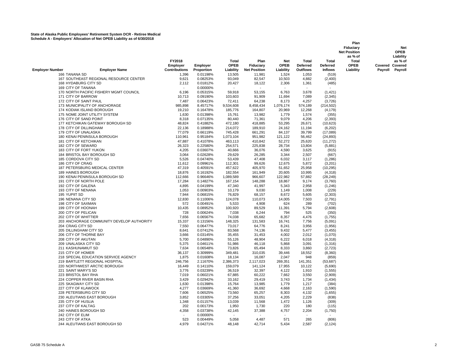|                                                |                      |            |                             |                     |                    |                                 |                   | Plan<br>Fiduciary<br><b>Net Position</b><br>as % of |         | Net<br><b>OPEB</b><br>Liability   |
|------------------------------------------------|----------------------|------------|-----------------------------|---------------------|--------------------|---------------------------------|-------------------|-----------------------------------------------------|---------|-----------------------------------|
|                                                | FY2018<br>Employer   | Employer   | <b>Total</b><br><b>OPEB</b> | Plan<br>Fiduciary   | Net<br><b>OPEB</b> | <b>Total</b><br><b>Deferred</b> | Total<br>Deferred | <b>Total</b><br><b>OPEB</b>                         |         | as % of<br><b>Covered Covered</b> |
| <b>Employer Number</b><br><b>Employer Name</b> | <b>Contributions</b> | Proportion | Liability                   | <b>Net Position</b> | Liability          | Outflows                        | <b>Inflows</b>    | Liability                                           | Payroll | Payroll                           |
| 166 TANANA SD                                  | 1,396                | 0.01198%   | 13,505                      | 11,981              | 1,524              | 1,053                           | (519)             |                                                     |         |                                   |
| 167 SOUTHEAST REGIONAL RESOURCE CENTER         | 9,621                | 0.08253%   | 93,049                      | 82,547              | 10,503             | 4,882                           | (2,400)           |                                                     |         |                                   |
| 168 HYDABURG CITY SD                           | 2,112                | 0.01812%   | 20,427                      | 18,122              | 2,306              | 1,361                           | (485)             |                                                     |         |                                   |
| 169 CITY OF TANANA                             |                      | 0.00000%   |                             |                     |                    |                                 |                   |                                                     |         |                                   |
| 170 NORTH PACIFIC FISHERY MGMT COUNCIL         | 6,196                | 0.05315%   | 59,918                      | 53,155              | 6,763              | 3,678                           | (1,421)           |                                                     |         |                                   |
| 171 CITY OF BARROW                             | 10,713               | 0.09190%   | 103,603                     | 91,909              | 11,694             | 7,089                           | (2,345)           |                                                     |         |                                   |
| 172 CITY OF SAINT PAUL                         | 7,487                | 0.06423%   | 72,411                      | 64,238              | 8,173              | 4,257                           | (3,726)           |                                                     |         |                                   |
| 173 MUNICIPALITY OF ANCHORAGE                  | 985,898              | 8.45717%   | 9,534,608                   | 8,458,434           | 1,076,174          | 574,189                         | (214, 502)        |                                                     |         |                                   |
| 174 KODIAK ISLAND BOROUGH                      | 19,210               | 0.16478%   | 185,776                     | 164,807             | 20,969             | 12,268                          | (4, 179)          |                                                     |         |                                   |
| 175 NOME JOINT UTILITY SYSTEM                  | 1,630                | 0.01398%   | 15,761                      | 13,982              | 1,779              | 1,574                           | (355)             |                                                     |         |                                   |
| 176 CITY OF SAND POINT                         | 8,318                | 0.07135%   | 80,440                      | 71,361              | 9,079              | 4,206                           | (2, 393)          |                                                     |         |                                   |
| 177 KETCHIKAN GATEWAY BOROUGH SD               | 48,824               | 0.41882%   | 472,180                     | 418,885             | 53,295             | 26,671                          | (10, 623)         |                                                     |         |                                   |
| 178 CITY OF DILLINGHAM                         | 22,136               | 0.18988%   | 214,072                     | 189,910             | 24,162             | 11,194                          | (6,202)           |                                                     |         |                                   |
| 179 CITY OF UNALASKA                           | 77,079               | 0.66119%   | 745,428                     | 661,291             | 84,137             | 39,799                          | (17,089)          |                                                     |         |                                   |
| 180 KENAI PENINSULA BOROUGH                    | 110,961              | 0.95184%   | 1,073,104                   | 951,982             | 121,122            | 56.462                          | (24, 893)         |                                                     |         |                                   |
| 181 CITY OF KETCHIKAN                          | 47,887               | 0.41078%   | 463,113                     | 410,842             | 52,272             | 25,620                          | (11, 272)         |                                                     |         |                                   |
| 182 CITY OF SEWARD                             | 26,323               | 0.22580%   | 254,571                     | 225,838             | 28,734             | 13,804                          | (5,881)           |                                                     |         |                                   |
| 183 CITY OF FORT YUKON                         | 4,205                | 0.03607%   | 40,666                      | 36,076              | 4,590              | 3,625                           | (915)             |                                                     |         |                                   |
| 184 BRISTOL BAY BOROUGH SD                     | 3,064                | 0.02628%   | 29,629                      | 26,285              | 3,344              | 2,507                           | (667)             |                                                     |         |                                   |
| 185 CORDOVA CITY SD                            | 5,526                | 0.04740%   | 53,439                      | 47,408              | 6,032              | 3,117                           | (1, 286)          |                                                     |         |                                   |
| 186 CITY OF CRAIG                              | 11,612               | 0.09961%   | 112,301                     | 99,626              | 12,675             | 5,872                           | (3,201)           |                                                     |         |                                   |
| 187 PETERSBURG MEDICAL CENTER                  | 47,319               | 0.40591%   | 457,622                     | 405,970             | 51,652             | 25,958                          | (10, 295)         |                                                     |         |                                   |
| 189 HAINES BOROUGH                             | 18,876               | 0.16192%   | 182,554                     | 161,949             | 20,605             | 10,995                          | (4,318)           |                                                     |         |                                   |
| 190 KENAI PENINSULA BOROUGH SD                 | 112,666              | 0.96646%   | 1,089,589                   | 966,607             | 122,982            | 57,882                          | (28, 249)         |                                                     |         |                                   |
| 191 CITY OF NORTH POLE                         | 17,284               | 0.14827%   | 167,154                     | 148,288             | 18,867             | 9,174                           | (3,760)           |                                                     |         |                                   |
| 192 CITY OF GALENA                             | 4,895                | 0.04199%   | 47,340                      | 41,997              | 5,343              | 2,958                           | (1, 246)          |                                                     |         |                                   |
| 193 CITY OF NENANA                             | 1,053                | 0.00903%   | 10,179                      | 9,030               | 1,149              | 1,008                           | (229)             |                                                     |         |                                   |
| 195 YUPIIT SD                                  | 7,944                | 0.06815%   | 76,829                      | 68,157              | 8,672              | 5,605                           | (2,303)           |                                                     |         |                                   |
| 196 NENANA CITY SD                             | 12,830               | 0.11006%   | 124,078                     | 110,073             | 14,005             | 7,503                           | (2,791)           |                                                     |         |                                   |
| 198 CITY OF SAXMAN                             | 572                  | 0.00491%   | 5,533                       | 4,908               | 624                | 289                             | (702)             |                                                     |         |                                   |
| 199 CITY OF HOONAH                             | 10,435               | 0.08952%   | 100,920                     | 89,529              | 11,391             | 5,794                           | (2,608)           |                                                     |         |                                   |
| 200 CITY OF PELICAN                            | 728                  | 0.00624%   | 7,038                       | 6,244               | 794                | 525                             | (350)             |                                                     |         |                                   |
| 202 CITY OF WHITTIER                           | 7,656                | 0.06567%   | 74,038                      | 65,682              | 8,357              | 4,476                           | (1,755)           |                                                     |         |                                   |
| 203 ANCHORAGE COMMUNITY DEVELOP AUTHORITY      | 15,337               | 0.13156%   | 148,325                     | 131,583             | 16,741             | 7,756                           | (5,091)           |                                                     |         |                                   |
| 204 CRAIG CITY SD                              | 7,550                | 0.06477%   | 73,017                      | 64,776              | 8,241              | 3,956                           | (1,956)           |                                                     |         |                                   |
| 205 DILLINGHAM CITY SD                         | 8,641                | 0.07412%   | 83,568                      | 74,136              | 9,432              | 5,477                           | (3, 455)          |                                                     |         |                                   |
| 206 CITY OF THORNE BAY                         | 3,666                | 0.03145%   | 35,455                      | 31,453              | 4,002              | 2,012                           | (1,070)           |                                                     |         |                                   |
| 208 CITY OF AKUTAN                             | 5,700                | 0.04890%   | 55,126                      | 48,904              | 6,222              | 6,018                           | (4,318)           |                                                     |         |                                   |
| 209 UNALASKA CITY SD                           | 5,375                | 0.04611%   | 51,986                      | 46,118              | 5,868              | 3,091                           | (1,316)           |                                                     |         |                                   |
| 211 KASHUNAMIUT SD                             | 7,634                | 0.06548%   | 73,826                      | 65,494              | 8,333              | 3,860                           | (2,723)           |                                                     |         |                                   |
| 215 CITY OF HOMER                              | 36,137               | 0.30999%   | 349,481                     | 310,035             | 39,446             | 18,552                          | (8,360)           |                                                     |         |                                   |
| 218 SPECIAL EDUCATION SERVICE AGENCY           | 1,875                | 0.01608%   | 18,134                      | 16,087              | 2,047              | 948                             | (859)             |                                                     |         |                                   |
| 219 BARTLETT REGIONAL HOSPITAL                 | 246,756              | 2.11670%   | 2,386,373                   | 2,117,023           | 269,351            | 141,351                         | (53, 687)         |                                                     |         |                                   |
| 220 NORTHWEST ARCTIC BOROUGH                   | 16,449               | 0.14110%   | 159,079                     | 141,124             | 17,955             | 10,122                          | (5,690)           |                                                     |         |                                   |
| 221 SAINT MARY'S SD                            | 3,776                | 0.03239%   | 36,519                      | 32,397              | 4,122              | 1,910                           | (1, 555)          |                                                     |         |                                   |
| 223 BRISTOL BAY RHA                            | 7,019                | 0.06021%   | 67,885                      | 60,222              | 7,662              | 3,550                           | (2,909)           |                                                     |         |                                   |
| 224 COPPER RIVER BASIN RHA                     | 3,429                | 0.02942%   | 33,162                      | 29,419              | 3,743              | 1,734                           | (1,434)           |                                                     |         |                                   |
| 225 SKAGWAY CITY SD                            | 1,630                | 0.01398%   | 15,764                      | 13,985              | 1,779              | 1,217                           | (384)             |                                                     |         |                                   |
| 227 CITY OF KLAWOCK                            | 4,277                | 0.03669%   | 41,360                      | 36,692              | 4,668              | 2,163                           | (1,590)           |                                                     |         |                                   |
| 228 PETERSBURG CITY SD                         | 7,606                | 0.06525%   | 73,560                      | 65,257              | 8,303              | 4,132                           | (1,655)           |                                                     |         |                                   |
| 230 ALEUTIANS EAST BOROUGH                     | 3,852                | 0.03305%   | 37,256                      | 33,051              | 4,205              | 2,229                           | (838)             |                                                     |         |                                   |
| 235 CITY OF HUSLIA                             | 1,348                | 0.01157%   | 13,039                      | 11,568              | 1,472              | 1,126                           | (309)             |                                                     |         |                                   |
| 237 CITY OF KALTAG                             | 202                  | 0.00173%   | 1,950                       | 1,730               | 220                | 180                             | (115)             |                                                     |         |                                   |
| 240 HAINES BOROUGH SD                          | 4,358                | 0.03738%   | 42,145                      | 37,388              | 4,757              | 2,204                           | (1,750)           |                                                     |         |                                   |
| 242 CITY OF ELIM                               |                      | 0.00000%   |                             |                     |                    |                                 |                   |                                                     |         |                                   |
| 243 CITY OF ATKA                               | 523                  | 0.00449%   | 5,058                       | 4,487               | 571                | 265                             | (806)             |                                                     |         |                                   |
| 244 ALEUTIANS EAST BOROUGH SD                  | 4,979                | 0.04271%   | 48,148                      | 42,714              | 5,434              | 2,587                           | (2, 124)          |                                                     |         |                                   |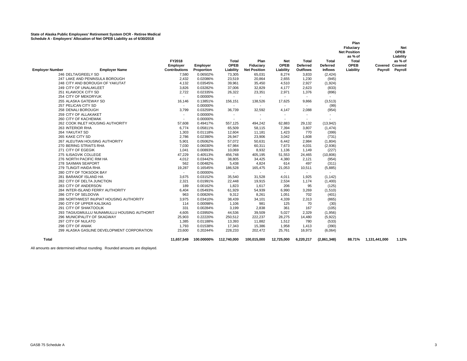| <b>Employer Name</b><br><b>Employer Number</b><br>246 DELTA/GREELY SD<br>247 LAKE AND PENINSULA BOROUGH<br>248 CITY AND BOROUGH OF YAKUTAT<br>249 CITY OF UNALAKLEET<br>251 KLAWOCK CITY SD<br>254 CITY OF MEKORYUK<br>255 ALASKA GATEWAY SD<br>257 PELICAN CITY SD<br>258 DENALI BOROUGH<br>259 CITY OF ALLAKAKET<br>260 CITY OF KACHEMAK<br>262 COOK INLET HOUSING AUTHORITY<br>263 INTERIOR RHA<br>264 YAKUTAT SD<br>265 KAKE CITY SD<br>267 ALEUTIAN HOUSING AUTHORITY<br>270 BERING STRAITS RHA<br>271 CITY OF EGEGIK<br>275 ILISAGVIK COLLEGE<br>276 NORTH PACIFIC RIM HA<br>278 SAXMAN SEAPORT<br>279 TLINGIT-HAIDA RHA<br>280 CITY OF TOKSOOK BAY<br>281 BARANOF ISLAND HA<br>282 CITY OF DELTA JUNCTION<br>283 CITY OF ANDERSON<br>284 INTER-ISLAND FERRY AUTHORITY<br>286 CITY OF SELDOVIA<br>288 NORTHWEST INUPIAT HOUSING AUTHORITY<br>290 CITY OF UPPER KALSKAG | FY2018<br>Employer<br><b>Contributions</b><br>7,580<br>2,432<br>4.132<br>3,826<br>2,722<br>$\sim$<br>16,146<br>$\sim$<br>3,799<br>$\overline{\phantom{a}}$<br>$\overline{\phantom{a}}$<br>57.608<br>6,774<br>1,303<br>2.786<br>5,901<br>7,030<br>1,041<br>47,229<br>4,012<br>562<br>19,287<br>$\sim$<br>3,675<br>2,321<br>189<br>6,404<br>963<br>3,975<br>114 | <b>Employer</b><br>Proportion<br>0.06502%<br>0.02086%<br>0.03545%<br>0.03282%<br>0.02335%<br>0.00000%<br>0.13851%<br>0.00000%<br>0.03259%<br>0.00000%<br>0.00000%<br>0.49417%<br>0.05811%<br>0.01118%<br>0.02390%<br>0.05062%<br>0.06030%<br>0.00893%<br>0.40513%<br>0.03442%<br>0.00482%<br>0.16545%<br>0.00000%<br>0.03152%<br>0.01991%<br>0.00162%<br>0.05493%<br>0.00826%<br>0.03410%<br>0.00098% | Total<br><b>OPEB</b><br>Liability<br>73,305<br>23,519<br>39,961<br>37,006<br>26,322<br>$\overline{\phantom{a}}$<br>156,151<br>$\overline{\phantom{a}}$<br>36,739<br>$\overline{\phantom{a}}$<br>557.125<br>65,509<br>12,604<br>26.947<br>57,072<br>67,984<br>10,069<br>456,748<br>38,805<br>5,438<br>186,528<br>$\sim$<br>35,540<br>22,448<br>1,823<br>61,929<br>9.312<br>38,439<br>1,106 | Plan<br>Fiduciary<br><b>Net Position</b><br>65,031<br>20,864<br>35,450<br>32,829<br>23,351<br>$\blacksquare$<br>138,526<br>$\overline{\phantom{a}}$<br>32,592<br>$\overline{\phantom{a}}$<br>494,242<br>58,115<br>11,181<br>23,906<br>50,631<br>60,311<br>8,932<br>405,195<br>34,425<br>4,824<br>165,475<br>$\overline{a}$<br>31,528<br>19,915<br>1,617<br>54,939<br>8,261<br>34,101<br>981 | Net<br><b>OPEB</b><br>Liability<br>8,274<br>2,655<br>4.510<br>4,177<br>2,971<br>$\sim$<br>17,625<br>$\overline{\phantom{a}}$<br>4,147<br>$\overline{\phantom{a}}$<br>$\overline{\phantom{a}}$<br>62,883<br>7,394<br>1,423<br>3.042<br>6,442<br>7,673<br>1,136<br>51,553<br>4,380<br>614<br>21,053<br>$\overline{\phantom{a}}$<br>4,011<br>2,534<br>206<br>6,990<br>1.051<br>4,339<br>125 | Total<br><b>Deferred</b><br><b>Outflows</b><br>3,833<br>1,230<br>2,927<br>2,623<br>1,376<br>$\sim$<br>9,866<br>$\overline{\phantom{a}}$<br>2,088<br>$\overline{\phantom{a}}$<br>$\overline{\phantom{a}}$<br>29,132<br>3,807<br>770<br>1.608<br>2,984<br>4,031<br>1,149<br>24,465<br>2,121<br>497<br>10,511<br>$\sim$<br>1,925<br>1,174<br>95<br>3,269<br>702<br>2,313<br>70 | Total<br>Deferred<br><b>Inflows</b><br>(2, 424)<br>(945)<br>(1,924)<br>(833)<br>(896)<br>$\overline{\phantom{a}}$<br>(3,513)<br>(99)<br>(954)<br>$\overline{\phantom{a}}$<br>$\overline{\phantom{a}}$<br>(13, 942)<br>(1, 474)<br>(399)<br>(731)<br>(1,804)<br>(2,936)<br>(227)<br>(10, 806)<br>(954)<br>(311)<br>(5,885)<br>$\overline{\phantom{a}}$<br>(1, 142)<br>(1,400)<br>(125)<br>(1,510)<br>(401)<br>(865)<br>(30) | Plan<br>Fiduciary<br><b>Net Position</b><br>as % of<br>Total<br><b>OPEB</b><br>Liability | Covered Covered<br>Payroll | Net<br><b>OPEB</b><br>Liability<br>as % of<br>Payroll |
|------------------------------------------------------------------------------------------------------------------------------------------------------------------------------------------------------------------------------------------------------------------------------------------------------------------------------------------------------------------------------------------------------------------------------------------------------------------------------------------------------------------------------------------------------------------------------------------------------------------------------------------------------------------------------------------------------------------------------------------------------------------------------------------------------------------------------------------------------------------------------|---------------------------------------------------------------------------------------------------------------------------------------------------------------------------------------------------------------------------------------------------------------------------------------------------------------------------------------------------------------|-------------------------------------------------------------------------------------------------------------------------------------------------------------------------------------------------------------------------------------------------------------------------------------------------------------------------------------------------------------------------------------------------------|-------------------------------------------------------------------------------------------------------------------------------------------------------------------------------------------------------------------------------------------------------------------------------------------------------------------------------------------------------------------------------------------|---------------------------------------------------------------------------------------------------------------------------------------------------------------------------------------------------------------------------------------------------------------------------------------------------------------------------------------------------------------------------------------------|------------------------------------------------------------------------------------------------------------------------------------------------------------------------------------------------------------------------------------------------------------------------------------------------------------------------------------------------------------------------------------------|-----------------------------------------------------------------------------------------------------------------------------------------------------------------------------------------------------------------------------------------------------------------------------------------------------------------------------------------------------------------------------|----------------------------------------------------------------------------------------------------------------------------------------------------------------------------------------------------------------------------------------------------------------------------------------------------------------------------------------------------------------------------------------------------------------------------|------------------------------------------------------------------------------------------|----------------------------|-------------------------------------------------------|
|                                                                                                                                                                                                                                                                                                                                                                                                                                                                                                                                                                                                                                                                                                                                                                                                                                                                              |                                                                                                                                                                                                                                                                                                                                                               |                                                                                                                                                                                                                                                                                                                                                                                                       |                                                                                                                                                                                                                                                                                                                                                                                           |                                                                                                                                                                                                                                                                                                                                                                                             |                                                                                                                                                                                                                                                                                                                                                                                          |                                                                                                                                                                                                                                                                                                                                                                             |                                                                                                                                                                                                                                                                                                                                                                                                                            |                                                                                          |                            |                                                       |
|                                                                                                                                                                                                                                                                                                                                                                                                                                                                                                                                                                                                                                                                                                                                                                                                                                                                              |                                                                                                                                                                                                                                                                                                                                                               |                                                                                                                                                                                                                                                                                                                                                                                                       |                                                                                                                                                                                                                                                                                                                                                                                           |                                                                                                                                                                                                                                                                                                                                                                                             |                                                                                                                                                                                                                                                                                                                                                                                          |                                                                                                                                                                                                                                                                                                                                                                             |                                                                                                                                                                                                                                                                                                                                                                                                                            |                                                                                          |                            |                                                       |
| 291 CITY OF SHAKTOOLIK                                                                                                                                                                                                                                                                                                                                                                                                                                                                                                                                                                                                                                                                                                                                                                                                                                                       | 331                                                                                                                                                                                                                                                                                                                                                           | 0.00284%<br>0.03950%                                                                                                                                                                                                                                                                                                                                                                                  | 3,199                                                                                                                                                                                                                                                                                                                                                                                     | 2,838                                                                                                                                                                                                                                                                                                                                                                                       | 361                                                                                                                                                                                                                                                                                                                                                                                      | 167                                                                                                                                                                                                                                                                                                                                                                         | (105)                                                                                                                                                                                                                                                                                                                                                                                                                      |                                                                                          |                            |                                                       |
| 293 TAGIUGMIULLU NUNAMIULLU HOUSING AUTHORIT                                                                                                                                                                                                                                                                                                                                                                                                                                                                                                                                                                                                                                                                                                                                                                                                                                 | 4,605                                                                                                                                                                                                                                                                                                                                                         |                                                                                                                                                                                                                                                                                                                                                                                                       | 44,536                                                                                                                                                                                                                                                                                                                                                                                    | 39,509                                                                                                                                                                                                                                                                                                                                                                                      | 5,027                                                                                                                                                                                                                                                                                                                                                                                    | 2,329                                                                                                                                                                                                                                                                                                                                                                       | (1,956)                                                                                                                                                                                                                                                                                                                                                                                                                    |                                                                                          |                            |                                                       |
| 296 MUNICIPALITY OF SKAGWAY<br>297 CITY OF NULATO                                                                                                                                                                                                                                                                                                                                                                                                                                                                                                                                                                                                                                                                                                                                                                                                                            | 25,903<br>1,385                                                                                                                                                                                                                                                                                                                                               | 0.22220%<br>0.01188%                                                                                                                                                                                                                                                                                                                                                                                  | 250,512<br>13,393                                                                                                                                                                                                                                                                                                                                                                         | 222,237<br>11,882                                                                                                                                                                                                                                                                                                                                                                           | 28,275                                                                                                                                                                                                                                                                                                                                                                                   | 14,480<br>780                                                                                                                                                                                                                                                                                                                                                               | (5,922)<br>(533)                                                                                                                                                                                                                                                                                                                                                                                                           |                                                                                          |                            |                                                       |
| 298 CITY OF ANIAK                                                                                                                                                                                                                                                                                                                                                                                                                                                                                                                                                                                                                                                                                                                                                                                                                                                            |                                                                                                                                                                                                                                                                                                                                                               |                                                                                                                                                                                                                                                                                                                                                                                                       |                                                                                                                                                                                                                                                                                                                                                                                           | 15,386                                                                                                                                                                                                                                                                                                                                                                                      | 1,512<br>1,958                                                                                                                                                                                                                                                                                                                                                                           |                                                                                                                                                                                                                                                                                                                                                                             |                                                                                                                                                                                                                                                                                                                                                                                                                            |                                                                                          |                            |                                                       |
| 299 ALASKA GASLINE DEVELOPMENT CORPORATION                                                                                                                                                                                                                                                                                                                                                                                                                                                                                                                                                                                                                                                                                                                                                                                                                                   | 1,793<br>23,600                                                                                                                                                                                                                                                                                                                                               | 0.01538%<br>0.20244%                                                                                                                                                                                                                                                                                                                                                                                  | 17,343<br>228,233                                                                                                                                                                                                                                                                                                                                                                         | 202,472                                                                                                                                                                                                                                                                                                                                                                                     | 25,761                                                                                                                                                                                                                                                                                                                                                                                   | 1,413<br>16,973                                                                                                                                                                                                                                                                                                                                                             | (390)<br>(6,064)                                                                                                                                                                                                                                                                                                                                                                                                           |                                                                                          |                            |                                                       |
| Total                                                                                                                                                                                                                                                                                                                                                                                                                                                                                                                                                                                                                                                                                                                                                                                                                                                                        | 11,657,549                                                                                                                                                                                                                                                                                                                                                    | 100.00000%                                                                                                                                                                                                                                                                                                                                                                                            | 112,740,000                                                                                                                                                                                                                                                                                                                                                                               | 100,015,000                                                                                                                                                                                                                                                                                                                                                                                 | 12,725,000                                                                                                                                                                                                                                                                                                                                                                               | 6,220,217                                                                                                                                                                                                                                                                                                                                                                   | (2,861,348)                                                                                                                                                                                                                                                                                                                                                                                                                | 88.71%                                                                                   | 1,131,441,000              | 1.12%                                                 |

All amounts are determined without rounding. Rounded amounts are displayed.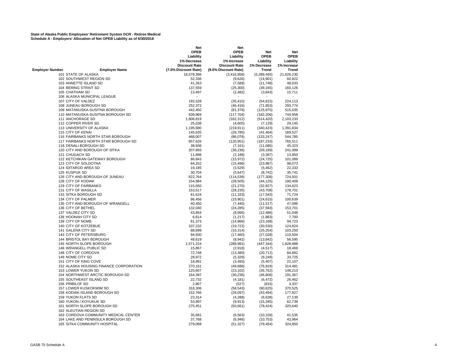|                                                | Net                  | Net                  |             |             |
|------------------------------------------------|----------------------|----------------------|-------------|-------------|
|                                                | <b>OPEB</b>          | <b>OPEB</b>          | <b>Net</b>  | <b>Net</b>  |
|                                                | Liability            | Liability            | <b>OPEB</b> | <b>OPEB</b> |
|                                                | 1% Decrease          | 1% Increase          | Liability   | Liability   |
|                                                | <b>Discount Rate</b> | <b>Discount Rate</b> | 1% Decrease | 1% Increase |
|                                                |                      |                      |             |             |
| <b>Employer Number</b><br><b>Employer Name</b> | (7.0% Discount Rate) | (9.0% Discount Rate) | Trend       | Trend       |
| 101 STATE OF ALASKA                            | 18,578,396           | (3, 416, 958)        | (5,289,465) | 21,626,230  |
| 102 SOUTHWEST REGION SD                        | 52,336               | (9,626)              | (14, 901)   | 60,922      |
| 103 ANNETTE ISLAND SD                          | 41,263               | (7, 589)             | (11, 748)   | 48,033      |
| 104 BERING STRAIT SD                           | 137,559              | (25, 300)            | (39, 165)   | 160,126     |
| 105 CHATHAM SD                                 | 13,497               | (2, 482)             | (3,843)     | 15,711      |
| 106 ALASKA MUNICIPAL LEAGUE                    |                      |                      |             |             |
| 107 CITY OF VALDEZ                             | 192,528              | (35, 410)            | (54, 815)   | 224,113     |
|                                                |                      |                      |             |             |
| 108 JUNEAU BOROUGH SD                          | 252,372              | (46, 416)            | (71, 853)   | 293,774     |
| 109 MATANUSKA-SUSITNA BOROUGH                  | 442,450              | (81, 376)            | (125, 970)  | 515,035     |
| 110 MATANUSKA-SUSITNA BOROUGH SD               | 639,969              | (117, 704)           | (182, 206)  | 744,958     |
| 111 ANCHORAGE SD                               | 1,806,819            | (332, 312)           | (514, 420)  | 2,103,233   |
| 112 COPPER RIVER SD                            | 25,038               | (4,605)              | (7, 129)    | 29,145      |
| 113 UNIVERSITY OF ALASKA                       | 1,195,680            | (219, 911)           | (340, 423)  | 1,391,834   |
| 115 CITY OF KENAI                              | 145,635              | (26, 785)            | (41, 464)   | 169,527     |
| 116 FAIRBANKS NORTH STAR BOROUGH               | 468,007              | (86,076)             | (133, 247)  | 544,785     |
| 117 FAIRBANKS NORTH STAR BOROUGH SD            | 657,626              | (120, 951)           | (187, 233)  | 765,511     |
| 118 DENALI BOROUGH SD                          |                      |                      |             |             |
|                                                | 38,936               | (7, 161)             | (11,085)    | 45,323      |
| 120 CITY AND BOROUGH OF SITKA                  | 207,893              | (38, 236)            | (59, 189)   | 241,999     |
| 121 CHUGACH SD                                 | 11,898               | (2, 188)             | (3, 387)    | 13,850      |
| 122 KETCHIKAN GATEWAY BOROUGH                  | 86,843               | (15, 972)            | (24, 725)   | 101,089     |
| 123 CITY OF SOLDOTNA                           | 84,252               | (15, 496)            | (23, 987)   | 98,073      |
| 124 IDITAROD AREA SD                           | 19,185               | (3, 529)             | (5,462)     | 22,333      |
| 125 KUSPUK SD                                  | 30,704               | (5,647)              | (8, 742)    | 35,741      |
| 126 CITY AND BOROUGH OF JUNEAU                 | 622,764              | (114, 539)           | (177, 308)  | 724,931     |
| 128 CITY OF KODIAK                             | 154,984              | (28, 505)            | (44, 125)   | 180,409     |
| 129 CITY OF FAIRBANKS                          | 115,650              | (21, 270)            | (32, 927)   | 134,623     |
| 131 CITY OF WASILLA                            | 153,517              | (28, 235)            |             | 178,701     |
|                                                |                      |                      | (43, 708)   |             |
| 133 SITKA BOROUGH SD                           | 61,616               | (11, 333)            | (17, 543)   | 71,724      |
| 134 CITY OF PALMER                             | 86,456               | (15, 901)            | (24, 615)   | 100,639     |
| 135 CITY AND BOROUGH OF WRANGELL               | 40,450               | (7, 440)             | (11, 517)   | 47,086      |
| 136 CITY OF BETHEL                             | 132,040              | (24, 285)            | (37, 593)   | 153,701     |
| 137 VALDEZ CITY SD                             | 43,854               | (8,066)              | (12, 486)   | 51,048      |
| 138 HOONAH CITY SD                             | 6,614                | (1, 217)             | (1,883)     | 7,700       |
| 139 CITY OF NOME                               | 81,373               | (14, 966)            | (23, 168)   | 94,723      |
| 140 CITY OF KOTZEBUE                           | 107,232              | (19, 722)            | (30, 530)   | 124,824     |
| 141 GALENA CITY SD                             | 88,699               | (16, 314)            | (25, 254)   | 103,250     |
| 143 CITY OF PETERSBURG                         | 94,930               | (17, 460)            | (27, 028)   | 110,504     |
| 144 BRISTOL BAY BOROUGH                        | 48,619               | (8,942)              | (13, 842)   | 56,595      |
| 145 NORTH SLOPE BOROUGH                        |                      |                      |             | 1,828,988   |
|                                                | 1,571,224            | (288, 981)           | (447, 344)  |             |
| 146 WRANGELL PUBLIC SD                         | 15,867               | (2,918)              | (4, 517)    | 18,469      |
| 148 CITY OF CORDOVA                            | 72,748               | (13,380)             | (20, 712)   | 84,682      |
| 149 NOME CITY SD                               | 28,972               | (5,329)              | (8, 249)    | 33,725      |
| 151 CITY OF KING COVE                          | 18,991               | (3, 493)             | (5, 407)    | 22,107      |
| 152 ALASKA HOUSING FINANCE CORPORATION         | 270,161              | (49, 688)            | (76, 918)   | 314,481     |
| 153 LOWER YUKON SD                             | 125,607              | (23, 102)            | (35, 762)   | 146,213     |
| 154 NORTHWEST ARCTIC BOROUGH SD                | 164,397              | (30, 236)            | (46, 806)   | 191,367     |
| 155 SOUTHEAST ISLAND SD                        | 22,732               | (4, 181)             | (6, 472)    | 26,462      |
| 156 PRIBILOF SD                                | 2,867                | (527)                | (816)       | 3,337       |
| 157 LOWER KUSKOKWIM SD                         | 318,306              | (58, 543)            | (90, 625)   | 370,525     |
|                                                |                      |                      |             |             |
| 158 KODIAK ISLAND BOROUGH SD                   | 152,766              | (28,097)             | (43, 494)   | 177,827     |
| <b>159 YUKON FLATS SD</b>                      | 23,314               | (4,288)              | (6,638)     | 27,139      |
| 160 YUKON / KOYUKUK SD                         | 53,897               | (9,913)              | (15, 345)   | 62,739      |
| 161 NORTH SLOPE BOROUGH SD                     | 275,451              | (50, 661)            | (78, 424)   | 320,640     |
| 162 ALEUTIAN REGION SD                         |                      |                      |             |             |
| 163 CORDOVA COMMUNITY MEDICAL CENTER           | 35,681               | (6, 563)             | (10, 159)   | 41,535      |
| 164 LAKE AND PENINSULA BOROUGH SD              | 37,768               | (6,946)              | (10, 753)   | 43,964      |
| <b>165 SITKA COMMUNITY HOSPITAL</b>            | 279,068              | (51, 327)            | (79, 454)   | 324,850     |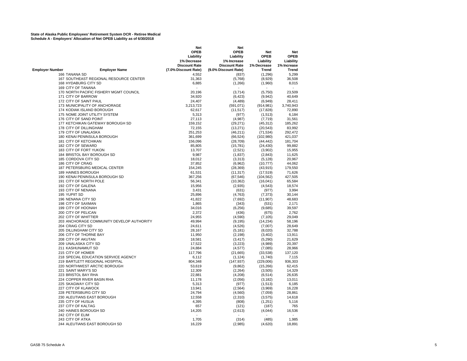|                                                | Net<br><b>OPEB</b>   | Net<br><b>OPEB</b>       | <b>Net</b>  | <b>Net</b>  |
|------------------------------------------------|----------------------|--------------------------|-------------|-------------|
|                                                | Liability            | Liability                | <b>OPEB</b> | <b>OPEB</b> |
|                                                | 1% Decrease          | 1% Increase              | Liability   | Liability   |
|                                                | <b>Discount Rate</b> | <b>Discount Rate</b>     | 1% Decrease | 1% Increase |
| <b>Employer Number</b><br><b>Employer Name</b> | (7.0% Discount Rate) | (9.0% Discount Rate)     | Trend       | Trend       |
| 166 TANANA SD                                  | 4,552                | (837)                    | (1,296)     | 5,299       |
| 167 SOUTHEAST REGIONAL RESOURCE CENTER         | 31,363               | (5,768)                  | (8,929)     | 36,508      |
| 168 HYDABURG CITY SD                           | 6,885                | (1, 266)                 | (1,960)     | 8,015       |
| 169 CITY OF TANANA                             |                      | $\overline{\phantom{a}}$ |             |             |
| 170 NORTH PACIFIC FISHERY MGMT COUNCIL         | 20,196               | (3,714)                  | (5,750)     | 23,509      |
| 171 CITY OF BARROW                             | 34,920               | (6, 423)                 | (9,942)     | 40,649      |
| 172 CITY OF SAINT PAUL                         | 24,407               | (4, 489)                 | (6,949)     | 28,411      |
| 173 MUNICIPALITY OF ANCHORAGE                  | 3,213,723            | (591, 071)               | (914, 981)  | 3,740,943   |
| 174 KODIAK ISLAND BOROUGH                      | 62,617               | (11, 517)                | (17, 828)   | 72,890      |
| 175 NOME JOINT UTILITY SYSTEM                  | 5,313                | (977)                    | (1,513)     | 6,184       |
| 176 CITY OF SAND POINT                         | 27,113               | (4,987)                  | (7, 719)    | 31,561      |
| 177 KETCHIKAN GATEWAY BOROUGH SD               | 159,152              | (29, 271)                | (45, 312)   | 185,262     |
| 178 CITY OF DILLINGHAM                         | 72,155               | (13, 271)                | (20, 543)   | 83,992      |
| 179 CITY OF UNALASKA                           | 251,253              | (46, 211)                | (71, 534)   | 292,472     |
| 180 KENAI PENINSULA BOROUGH                    | 361,699              | (66, 524)                | (102,980)   | 421,037     |
| 181 CITY OF KETCHIKAN                          | 156,096              | (28, 709)                | (44, 442)   | 181,704     |
| 182 CITY OF SEWARD                             | 85,805               | (15, 781)                | (24, 430)   | 99,882      |
| 183 CITY OF FORT YUKON                         | 13,707               | (2,521)                  | (3,902)     | 15,955      |
| 184 BRISTOL BAY BOROUGH SD                     | 9,987                | (1, 837)                 | (2,843)     | 11,625      |
| 185 CORDOVA CITY SD                            | 18,012               | (3, 313)                 | (5, 128)    | 20,967      |
| 186 CITY OF CRAIG                              | 37,852               | (6,962)                  | (10, 777)   | 44,062      |
| 187 PETERSBURG MEDICAL CENTER                  | 154,245              | (28, 369)                | (43, 915)   | 179,550     |
| 189 HAINES BOROUGH                             | 61,531               | (11, 317)                | (17, 519)   | 71,626      |
| 190 KENAI PENINSULA BOROUGH SD                 | 367,256              | (67, 546)                | (104, 562)  | 427,505     |
| 191 CITY OF NORTH POLE                         | 56,341               | (10, 362)                | (16,041)    | 65,584      |
| 192 CITY OF GALENA                             | 15,956               | (2,935)                  | (4, 543)    | 18,574      |
| 193 CITY OF NENANA                             | 3,431                | (631)                    | (977)       | 3,994       |
| 195 YUPIIT SD                                  | 25,896               | (4, 763)                 | (7, 373)    | 30,144      |
| 196 NENANA CITY SD                             | 41,822               | (7,692)                  | (11, 907)   | 48,683      |
| 198 CITY OF SAXMAN                             | 1,865                | (343)                    | (531)       | 2,171       |
| 199 CITY OF HOONAH                             | 34,016               | (6, 256)                 | (9,685)     | 39,597      |
| 200 CITY OF PELICAN                            | 2,372                | (436)                    | (675)       | 2,762       |
| 202 CITY OF WHITTIER                           | 24,955               | (4,590)                  | (7, 105)    | 29,049      |
| 203 ANCHORAGE COMMUNITY DEVELOP AUTHORITY      | 49,994               | (9, 195)                 | (14, 234)   | 58,196      |
| 204 CRAIG CITY SD                              | 24,611               | (4, 526)                 | (7,007)     | 28,649      |
| 205 DILLINGHAM CITY SD                         | 28,167               | (5, 181)                 | (8,020)     | 32,788      |
| 206 CITY OF THORNE BAY                         | 11,950               | (2, 198)                 | (3,402)     | 13,911      |
| 208 CITY OF AKUTAN                             | 18,581               | (3, 417)                 | (5,290)     | 21,629      |
| 209 UNALASKA CITY SD                           | 17,522               | (3,223)                  | (4,989)     | 20,397      |
| 211 KASHUNAMIUT SD                             | 24,884               | (4, 577)                 | (7,085)     | 28,966      |
| 215 CITY OF HOMER                              | 117,796              | (21,665)                 | (33,538)    | 137,120     |
| 218 SPECIAL EDUCATION SERVICE AGENCY           | 6,112                | (1, 124)                 | (1,740)     | 7,115       |
| 219 BARTLETT REGIONAL HOSPITAL                 | 804,348              | (147, 937)               | (229,006)   | 936,303     |
| 220 NORTHWEST ARCTIC BOROUGH                   | 53,619               | (9,862)                  | (15,266)    | 62,415      |
| 221 SAINT MARY'S SD                            | 12,309               | (2, 264)                 | (3,505)     | 14,329      |
| 223 BRISTOL BAY RHA                            | 22,881               | (4,208)                  | (6, 514)    | 26,635      |
| 224 COPPER RIVER BASIN RHA                     | 11,178               | (2,056)                  | (3, 182)    | 13,011      |
| 225 SKAGWAY CITY SD                            | 5,313                | (977)                    | (1, 513)    | 6,185       |
| 227 CITY OF KLAWOCK                            | 13,941               | (2, 564)                 | (3,969)     | 16,228      |
| 228 PETERSBURG CITY SD                         | 24,794               | (4, 560)                 | (7,059)     | 28,861      |
| 230 ALEUTIANS EAST BOROUGH                     | 12,558               | (2, 310)                 | (3,575)     | 14,618      |
| 235 CITY OF HUSLIA                             | 4,395                | (808)                    | (1,251)     | 5,116       |
| 237 CITY OF KALTAG                             | 657                  | (121)                    | (187)       | 765         |
| 240 HAINES BOROUGH SD                          | 14,205               | (2,613)                  | (4,044)     | 16,536      |
| 242 CITY OF ELIM                               |                      |                          |             |             |
| 243 CITY OF ATKA                               | 1,705                | (314)                    | (485)       | 1,985       |
| 244 ALEUTIANS EAST BOROUGH SD                  | 16,229               | (2,985)                  | (4,620)     | 18,891      |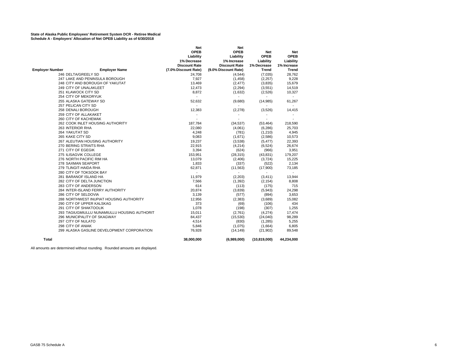|                        |                                              | Net                      | Net                      |                |                          |
|------------------------|----------------------------------------------|--------------------------|--------------------------|----------------|--------------------------|
|                        |                                              | <b>OPEB</b>              | <b>OPEB</b>              | Net            | <b>Net</b>               |
|                        |                                              | Liability                | Liability                | <b>OPEB</b>    | <b>OPEB</b>              |
|                        |                                              | 1% Decrease              | 1% Increase              | Liability      | Liability                |
|                        |                                              | <b>Discount Rate</b>     | <b>Discount Rate</b>     | 1% Decrease    | 1% Increase              |
| <b>Employer Number</b> | <b>Employer Name</b>                         | (7.0% Discount Rate)     | (9.0% Discount Rate)     | <b>Trend</b>   | Trend                    |
|                        | 246 DELTA/GREELY SD                          | 24,708                   | (4, 544)                 | (7,035)        | 28,762                   |
|                        | 247 LAKE AND PENINSULA BOROUGH               | 7,927                    | (1, 458)                 | (2,257)        | 9,228                    |
|                        | 248 CITY AND BOROUGH OF YAKUTAT              | 13,469                   | (2, 477)                 | (3,835)        | 15,679                   |
|                        | 249 CITY OF UNALAKLEET                       | 12,473                   | (2, 294)                 | (3,551)        | 14,519                   |
|                        | 251 KLAWOCK CITY SD                          | 8,872                    | (1,632)                  | (2,526)        | 10,327                   |
|                        | 254 CITY OF MEKORYUK                         |                          |                          |                | $\overline{a}$           |
|                        | 255 ALASKA GATEWAY SD                        | 52,632                   | (9,680)                  | (14,985)       | 61,267                   |
|                        | 257 PELICAN CITY SD                          | $\overline{a}$           | $\overline{a}$           |                | $\overline{a}$           |
|                        | <b>258 DENALI BOROUGH</b>                    | 12,383                   | (2, 278)                 | (3,526)        | 14,415                   |
|                        | 259 CITY OF ALLAKAKET                        |                          | $\overline{\phantom{a}}$ |                |                          |
|                        | 260 CITY OF KACHEMAK                         |                          |                          |                |                          |
|                        | 262 COOK INLET HOUSING AUTHORITY             | 187,784                  | (34, 537)                | (53, 464)      | 218,590                  |
|                        | 263 INTERIOR RHA                             | 22,080                   | (4,061)                  | (6, 286)       | 25,703                   |
|                        | 264 YAKUTAT SD                               | 4,248                    | (781)                    | (1,210)        | 4,945                    |
|                        | 265 KAKE CITY SD                             | 9,083                    | (1,671)                  | (2,586)        | 10,573                   |
|                        | 267 ALEUTIAN HOUSING AUTHORITY               | 19,237                   | (3,538)                  | (5, 477)       | 22,393                   |
|                        | 270 BERING STRAITS RHA                       | 22,915                   | (4,214)                  | (6,524)        | 26,674                   |
|                        | 271 CITY OF EGEGIK                           | 3,394                    | (624)                    | (966)          | 3,951                    |
|                        | 275 ILISAGVIK COLLEGE                        | 153,951                  | (28, 315)                | (43, 831)      | 179,207                  |
|                        | 276 NORTH PACIFIC RIM HA                     | 13,079                   | (2,406)                  | (3,724)        | 15,225                   |
|                        | 278 SAXMAN SEAPORT                           | 1,833                    | (337)                    | (522)          | 2,134                    |
|                        | 279 TLINGIT-HAIDA RHA                        | 62,871                   | (11, 563)                | (17,900)       | 73,185                   |
|                        | 280 CITY OF TOKSOOK BAY                      | $\overline{\phantom{a}}$ | $\overline{\phantom{a}}$ | $\blacksquare$ | $\overline{\phantom{a}}$ |
|                        | 281 BARANOF ISLAND HA                        | 11,979                   | (2, 203)                 | (3, 411)       | 13,944                   |
|                        | 282 CITY OF DELTA JUNCTION                   | 7,566                    | (1, 392)                 | (2, 154)       | 8,808                    |
|                        | 283 CITY OF ANDERSON                         | 614                      | (113)                    | (175)          | 715                      |
|                        | 284 INTER-ISLAND FERRY AUTHORITY             | 20,874                   | (3,839)                  | (5,943)        | 24,298                   |
|                        | 286 CITY OF SELDOVIA                         | 3,139                    | (577)                    | (894)          | 3,653                    |
|                        | 288 NORTHWEST INUPIAT HOUSING AUTHORITY      | 12,956                   | (2, 383)                 | (3,689)        | 15,082                   |
|                        | 290 CITY OF UPPER KALSKAG                    | 373                      | (69)                     | (106)          | 434                      |
|                        | 291 CITY OF SHAKTOOLIK                       | 1,078                    | (198)                    | (307)          | 1,255                    |
|                        | 293 TAGIUGMIULLU NUNAMIULLU HOUSING AUTHORIT | 15,011                   | (2,761)                  | (4,274)        | 17,474                   |
|                        | 296 MUNICIPALITY OF SKAGWAY                  | 84,437                   | (15,530)                 | (24,040)       | 98,289                   |
|                        | 297 CITY OF NULATO                           | 4,514                    | (830)                    | (1, 285)       | 5,255                    |
|                        | 298 CITY OF ANIAK                            | 5,846                    | (1,075)                  | (1,664)        | 6,805                    |
|                        | 299 ALASKA GASLINE DEVELOPMENT CORPORATION   | 76,928                   | (14, 149)                | (21, 902)      | 89,548                   |
| Total                  |                                              | 38,000,000               | (6,989,000)              | (10, 819, 000) | 44,234,000               |

All amounts are determined without rounding. Rounded amounts are displayed.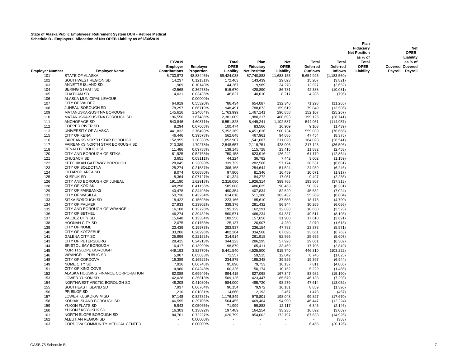|                        |                                                                 |                                            |                        |                                   |                                          |                                        |                                             |                                                   | Plan<br>Fiduciary<br><b>Net Position</b><br>as % of | <b>Net</b><br><b>OPEB</b><br>Liability               |
|------------------------|-----------------------------------------------------------------|--------------------------------------------|------------------------|-----------------------------------|------------------------------------------|----------------------------------------|---------------------------------------------|---------------------------------------------------|-----------------------------------------------------|------------------------------------------------------|
| <b>Employer Number</b> | <b>Employer Name</b>                                            | FY2019<br>Employer<br><b>Contributions</b> | Employer<br>Proportion | Total<br><b>OPEB</b><br>Liability | Plan<br>Fiduciary<br><b>Net Position</b> | <b>Net</b><br><b>OPEB</b><br>Liability | <b>Total</b><br><b>Deferred</b><br>Outflows | <b>Total</b><br><b>Deferred</b><br><b>Inflows</b> | <b>Total</b><br><b>OPEB</b><br>Liability            | as % of<br><b>Covered Covered</b><br>Payroll Payroll |
| 101                    | <b>STATE OF ALASKA</b>                                          | 5,730,873                                  | 48.83445%              | 69,424,038                        | 57,740,883                               | 11,683,155                             | 5,654,925                                   | (1, 183, 560)                                     |                                                     |                                                      |
| 102                    | SOUTHWEST REGION SD                                             | 14,237                                     | 0.12131%               | 172,463                           | 143,439                                  | 29,023                                 | 15,207                                      | (3,821)                                           |                                                     |                                                      |
| 103                    | ANNETTE ISLAND SD                                               | 11,909                                     | 0.10148%               | 144,267                           | 119,989                                  | 24,278                                 | 12,927                                      | (2,652)                                           |                                                     |                                                      |
| 104                    | <b>BERING STRAIT SD</b>                                         | 42,568                                     | 0.36273%               | 515,670                           | 428,890                                  | 86,781                                 | 42,388                                      | (10,081)                                          |                                                     |                                                      |
| 105                    | <b>CHATHAM SD</b>                                               | 4,031                                      | 0.03435%               | 48,827                            | 40,610                                   | 8,217                                  | 4,286                                       | (796)                                             |                                                     |                                                      |
| 106                    | ALASKA MUNICIPAL LEAGUE                                         |                                            | 0.00000%               |                                   |                                          |                                        |                                             |                                                   |                                                     |                                                      |
| 107                    | CITY OF VALDEZ                                                  | 64,919                                     | 0.55320%               | 786,434                           | 654.087                                  | 132,346                                | 71,298                                      | (11, 265)                                         |                                                     |                                                      |
| 108                    | JUNEAU BOROUGH SD                                               | 78,297                                     | 0.66719%               | 948,491                           | 788,873                                  | 159,619                                | 79,849                                      | (13,586)                                          |                                                     |                                                      |
| 109                    | MATANUSKA-SUSITNA BOROUGH                                       | 145,616                                    | 1.24084%               | 1,763,999                         | 1,467,141                                | 296,858                                | 152,107                                     | (25, 267)                                         |                                                     |                                                      |
| 110                    | MATANUSKA-SUSITNA BOROUGH SD                                    | 196,550                                    | 1.67486%               | 2,381,009                         | 1,980,317                                | 400,693                                | 199,126                                     | (38, 741)                                         |                                                     |                                                      |
| 111                    | <b>ANCHORAGE SD</b>                                             | 540,846                                    | 4.60871%               | 6,551,828                         | 5,449,241                                | 1,102,587                              | 544,951                                     | (114, 957)                                        |                                                     |                                                      |
| 112                    | <b>COPPER RIVER SD</b>                                          | 8,294                                      | 0.07068%               | 100,474                           | 83,566                                   | 16,909                                 | 9,103                                       | (1, 439)                                          |                                                     |                                                      |
| 113                    | UNIVERSITY OF ALASKA                                            | 441,832                                    | 3.76498%               | 5,352,369                         | 4,451,636                                | 900,734                                | 559,039                                     | (76, 666)                                         |                                                     |                                                      |
| 115                    | <b>CITY OF KENAI</b>                                            | 46,446                                     | 0.39578%               | 562,648                           | 467,961                                  | 94,686                                 | 47,454                                      | (8, 375)                                          |                                                     |                                                      |
| 116                    | FAIRBANKS NORTH STAR BOROUGH<br>FAIRBANKS NORTH STAR BOROUGH SD | 152,955                                    | 1.30338%               | 1,852,907                         | 1,541,087                                | 311,820                                | 164,028                                     | (26, 541)                                         |                                                     |                                                      |
| 117<br>118             | <b>DENALI BOROUGH SD</b>                                        | 210,389<br>11,486                          | 1.79278%<br>0.09788%   | 2,548,657<br>139,145              | 2,119,751<br>115,728                     | 428,906                                | 217,123<br>11,832                           | (36, 506)                                         |                                                     |                                                      |
| 120                    | CITY AND BOROUGH OF SITKA                                       |                                            |                        |                                   |                                          | 23,416                                 |                                             | (2, 453)                                          |                                                     |                                                      |
| 121                    | <b>CHUGACH SD</b>                                               | 61,925<br>3,651                            | 0.52768%<br>0.03111%   | 750,158<br>44,224                 | 623,916<br>36,782                        | 126,242<br>7,442                       | 61,179<br>3,602                             | (12, 864)<br>(1, 159)                             |                                                     |                                                      |
| 122                    | KETCHIKAN GATEWAY BOROUGH                                       | 28,045                                     | 0.23898%               | 339,739                           | 282,566                                  | 57,174                                 | 28,531                                      | (6,681)                                           |                                                     |                                                      |
| 123                    | CITY OF SOLDOTNA                                                | 25,274                                     | 0.21537%               | 306,168                           | 254,644                                  | 51,524                                 | 24,939                                      | (6, 246)                                          |                                                     |                                                      |
| 124                    | <b>IDITAROD AREA SD</b>                                         | 8,074                                      | 0.06880%               | 97,806                            | 81,346                                   | 16,459                                 | 10,671                                      | (1, 917)                                          |                                                     |                                                      |
| 125                    | <b>KUSPUK SD</b>                                                | 8,364                                      | 0.07127%               | 101,324                           | 84,272                                   | 17,051                                 | 9,497                                       | (2, 235)                                          |                                                     |                                                      |
| 126                    | CITY AND BOROUGH OF JUNEAU                                      | 191,190                                    | 1.62918%               | 2,316,080                         | 1,926,314                                | 389,766                                | 193,807                                     | (37, 313)                                         |                                                     |                                                      |
| 128                    | <b>CITY OF KODIAK</b>                                           | 48,298                                     | 0.41156%               | 585,088                           | 486,625                                  | 98,463                                 | 50,397                                      | (8, 381)                                          |                                                     |                                                      |
| 129                    | <b>CITY OF FAIRBANKS</b>                                        | 40,478                                     | 0.34493%               | 490,354                           | 407,834                                  | 82,520                                 | 45,682                                      | (7,024)                                           |                                                     |                                                      |
| 131                    | <b>CITY OF WASILLA</b>                                          | 50,736                                     | 0.43234%               | 614,618                           | 511,186                                  | 103,432                                | 55,369                                      | (8,804)                                           |                                                     |                                                      |
| 133                    | SITKA BOROUGH SD                                                | 18,422                                     | 0.15698%               | 223,166                           | 185,610                                  | 37,556                                 | 18,178                                      | (4,790)                                           |                                                     |                                                      |
| 134                    | <b>CITY OF PALMER</b>                                           | 27,933                                     | 0.23802%               | 338,376                           | 281,432                                  | 56,944                                 | 30,266                                      | (6,066)                                           |                                                     |                                                      |
| 135                    | CITY AND BOROUGH OF WRANGELL                                    | 16,108                                     | 0.13726%               | 195,129                           | 162,291                                  | 32,838                                 | 18,650                                      | (3, 523)                                          |                                                     |                                                      |
| 136                    | <b>CITY OF BETHEL</b>                                           | 46,274                                     | 0.39432%               | 560,571                           | 466,234                                  | 94,337                                 | 49,511                                      | (8, 198)                                          |                                                     |                                                      |
| 137                    | <b>VALDEZ CITY SD</b>                                           | 15,648                                     | 0.13334%               | 189,556                           | 157,656                                  | 31,900                                 | 17,610                                      | (3,621)                                           |                                                     |                                                      |
| 138                    | <b>HOONAH CITY SD</b>                                           | 2,075                                      | 0.01768%               | 25,137                            | 20,907                                   | 4,230                                  | 2,070                                       | (1,618)                                           |                                                     |                                                      |
| 139                    | CITY OF NOME                                                    | 23,439                                     | 0.19973%               | 283,937                           | 236,154                                  | 47,783                                 | 23,878                                      | (5, 571)                                          |                                                     |                                                      |
| 140                    | <b>CITY OF KOTZEBUE</b>                                         | 33,206                                     | 0.28296%               | 402,264                           | 334,568                                  | 67,696                                 | 33,661                                      | (6, 763)                                          |                                                     |                                                      |
| 141                    | <b>GALENA CITY SD</b>                                           | 25,996                                     | 0.22152%               | 314,914                           | 261,918                                  | 52,996                                 | 25,655                                      | (5,607)                                           |                                                     |                                                      |
| 143                    | CITY OF PETERSBURG                                              | 28,415                                     | 0.24213%               | 344,223                           | 286,295                                  | 57,928                                 | 29,061                                      | (6, 302)                                          |                                                     |                                                      |
| 144                    | <b>BRISTOL BAY BOROUGH</b>                                      | 16,417                                     | 0.13990%               | 198,879                           | 165,411                                  | 33,469                                 | 17,706                                      | (2,849)                                           |                                                     |                                                      |
| 145                    | NORTH SLOPE BOROUGH                                             | 449,193                                    | 3.82770%               | 5,441,540                         | 4,525,800                                | 915,740                                | 446,310                                     | (103, 222)                                        |                                                     |                                                      |
| 146                    | <b>WRANGELL PUBLIC SD</b>                                       | 5,907                                      | 0.05033%               | 71,557                            | 59,515                                   | 12,042                                 | 6,745                                       | (1,025)                                           |                                                     |                                                      |
| 148                    | <b>CITY OF CORDOVA</b>                                          | 19,389                                     | 0.16522%               | 234,875                           | 195,348                                  | 39,526                                 | 19,397                                      | (6,944)                                           |                                                     |                                                      |
| 149                    | NOME CITY SD                                                    | 7,916                                      | 0.06745%               | 95,890                            | 79,753                                   | 16,137                                 | 7,811                                       | (4,006)                                           |                                                     |                                                      |
| 151                    | CITY OF KING COVE                                               | 4,980                                      | 0.04243%               | 60,326                            | 50,174                                   | 10,152                                 | 5,229                                       | (1, 485)                                          |                                                     |                                                      |
| 152                    | ALASKA HOUSING FINANCE CORPORATION                              | 82,088                                     | 0.69949%               | 994,415                           | 827,068                                  | 167,347                                | 83,982                                      | (15, 190)                                         |                                                     |                                                      |
| 153                    | <b>LOWER YUKON SD</b>                                           | 42,028                                     | 0.35813%               | 509,126                           | 423,447                                  | 85,679                                 | 46,138                                      | (7, 293)                                          |                                                     |                                                      |
| 154                    | NORTHWEST ARCTIC BOROUGH SD                                     | 48,208                                     | 0.41080%               | 584,000                           | 485,720                                  | 98,279                                 | 47,614                                      | (13,052)                                          |                                                     |                                                      |
| 155                    | SOUTHEAST ISLAND SD                                             | 7,937                                      | 0.06764%               | 96,154                            | 79,972                                   | 16,181                                 | 8,859                                       | (1, 396)                                          |                                                     |                                                      |
| 156                    | PRIBILOF SD                                                     | 1,210                                      | 0.01031%               | 14,660                            | 12,193                                   | 2,467                                  | 1,478                                       | (457)                                             |                                                     |                                                      |
| 157                    | LOWER KUSKOKWIM SD                                              | 97,148                                     | 0.82782%               | 1,176,849                         | 978,801                                  | 198,048                                | 99,827                                      | (17, 670)                                         |                                                     |                                                      |
| 158                    | KODIAK ISLAND BOROUGH SD                                        | 46,595                                     | 0.39705%               | 564,455                           | 469,464                                  | 94,990                                 | 46,447                                      | (12, 224)                                         |                                                     |                                                      |
| 159                    | YUKON FLATS SD                                                  | 5,943                                      | 0.05065%               | 71,999                            | 59,883                                   | 12,117                                 | 6,346                                       | (2, 146)                                          |                                                     |                                                      |
| 160                    | YUKON / KOYUKUK SD<br>NORTH SLOPE BOROUGH SD                    | 16,303                                     | 0.13892%               | 197,489                           | 164,254                                  | 33,235                                 | 16,692                                      | (3,069)                                           |                                                     |                                                      |
| 161                    | ALEUTIAN REGION SD                                              | 84,761<br>$\blacksquare$                   | 0.72227%               | 1,026,799<br>$\blacksquare$       | 854,002<br>$\overline{\phantom{a}}$      | 172,797<br>$\overline{\phantom{a}}$    | 87,638                                      | (14, 926)                                         |                                                     |                                                      |
| 162<br>163             | CORDOVA COMMUNITY MEDICAL CENTER                                |                                            | 0.00000%<br>0.00000%   |                                   |                                          |                                        | 6,455                                       | (363)<br>(20, 126)                                |                                                     |                                                      |
|                        |                                                                 |                                            |                        |                                   |                                          |                                        |                                             |                                                   |                                                     |                                                      |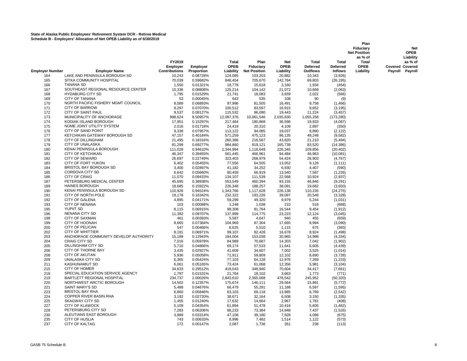|                        |                                              |                                            |                        |                                   |                                          |                                        |                                                    |                                                   | Plan<br>Fiduciary<br><b>Net Position</b>            | <b>Net</b><br><b>OPEB</b>                                         |
|------------------------|----------------------------------------------|--------------------------------------------|------------------------|-----------------------------------|------------------------------------------|----------------------------------------|----------------------------------------------------|---------------------------------------------------|-----------------------------------------------------|-------------------------------------------------------------------|
| <b>Employer Number</b> | <b>Employer Name</b>                         | FY2019<br>Employer<br><b>Contributions</b> | Employer<br>Proportion | Total<br><b>OPEB</b><br>Liability | Plan<br>Fiduciary<br><b>Net Position</b> | <b>Net</b><br><b>OPEB</b><br>Liability | <b>Total</b><br><b>Deferred</b><br><b>Outflows</b> | <b>Total</b><br><b>Deferred</b><br><b>Inflows</b> | as % of<br><b>Total</b><br><b>OPEB</b><br>Liability | Liability<br>as % of<br><b>Covered Covered</b><br>Payroll Payroll |
| 164                    | LAKE AND PENINSULA BOROUGH SD                | 10,243                                     | 0.08728%               | 124,085                           | 103,203                                  | 20.882                                 | 10.343                                             | (3.926)                                           |                                                     |                                                                   |
| 165                    | SITKA COMMUNITY HOSPITAL                     | 70,039                                     | 0.59682%               | 848,454                           | 705,670                                  | 142,784                                | 69,803                                             | (26, 195)                                         |                                                     |                                                                   |
| 166                    | <b>TANANA SD</b>                             | 1,550                                      | 0.01321%               | 18,778                            | 15,618                                   | 3,160                                  | 1,934                                              | (454)                                             |                                                     |                                                                   |
| 167                    | SOUTHEAST REGIONAL RESOURCE CENTER           | 10,336                                     | 0.08808%               | 125,214                           | 104,142                                  | 21,072                                 | 10,669                                             | (2,063)                                           |                                                     |                                                                   |
| 168                    | <b>HYDABURG CITY SD</b>                      | 1,795                                      | 0.01529%               | 21,741                            | 18,083                                   | 3,659                                  | 2,022                                              | (566)                                             |                                                     |                                                                   |
| 169                    | CITY OF TANANA                               | 53                                         | 0.00045%               | 643                               | 535                                      | 108                                    | 90                                                 | (9)                                               |                                                     |                                                                   |
| 170                    | NORTH PACIFIC FISHERY MGMT COUNCIL           | 8.089                                      | 0.06893%               | 97,996                            | 81,505                                   | 16,491                                 | 9.758                                              | (1, 466)                                          |                                                     |                                                                   |
| 171                    | <b>CITY OF BARROW</b>                        | 8,297                                      | 0.07070%               | 100,512                           | 83,597                                   | 16,915                                 | 9,652                                              | (3, 195)                                          |                                                     |                                                                   |
| 172                    | CITY OF SAINT PAUL                           | 9,537                                      | 0.08127%               | 115,532                           | 96,090                                   | 19,443                                 | 11,224                                             | (3, 457)                                          |                                                     |                                                                   |
| 173                    | MUNICIPALITY OF ANCHORAGE                    | 998,624                                    | 8.50957%               | 12,097,376                        | 10,061,546                               | 2,035,830                              | 1,055,258                                          | (173, 280)                                        |                                                     |                                                                   |
| 174                    | KODIAK ISLAND BOROUGH                        | 17,951                                     | 0.15297%               | 217,464                           | 180,868                                  | 36,596                                 | 19,933                                             | (4,087)                                           |                                                     |                                                                   |
| 175                    | NOME JOINT UTILITY SYSTEM                    | 2,016                                      | 0.01718%               | 24,419                            | 20,310                                   | 4,109                                  | 2,897                                              | (350)                                             |                                                     |                                                                   |
| 176                    | CITY OF SAND POINT                           | 9.338                                      | 0.07957%               | 113,122                           | 94,085                                   | 19,037                                 | 9,890                                              | (2, 122)                                          |                                                     |                                                                   |
| 177                    | KETCHIKAN GATEWAY BOROUGH SD                 | 47,157                                     | 0.40184%               | 571,259                           | 475,123                                  | 96,135                                 | 48,248                                             | (9, 582)                                          |                                                     |                                                                   |
| 178                    | <b>CITY OF DILLINGHAM</b>                    | 21,495                                     | 0.18316%               | 260,386                           | 216,567                                  | 43,820                                 | 21,210                                             | (5, 494)                                          |                                                     |                                                                   |
| 179                    | CITY OF UNALASKA                             | 81,299                                     | 0.69277%               | 984,860                           | 819,121                                  | 165,739                                | 83,520                                             | (14, 386)                                         |                                                     |                                                                   |
| 180                    | KENAI PENINSULA BOROUGH                      | 111,028                                    | 0.94610%               | 1,344,994                         | 1,118,649                                | 226,345                                | 109,856                                            | (20, 402)                                         |                                                     |                                                                   |
| 181                    | CITY OF KETCHIKAN                            | 46,347                                     | 0.39493%               | 561,445                           | 466,961                                  | 94,484                                 | 46,963                                             | (10,081)                                          |                                                     |                                                                   |
| 182                    | <b>CITY OF SEWARD</b>                        | 26,697                                     | 0.22749%               | 323,403                           | 268,979                                  | 54,424                                 | 26,903                                             | (4,767)                                           |                                                     |                                                                   |
| 183                    | CITY OF FORT YUKON<br>BRISTOL BAY BOROUGH SD | 6,402                                      | 0.05455%               | 77,556                            | 64,505                                   | 13,052                                 | 9,128                                              | (1, 111)                                          |                                                     |                                                                   |
| 184                    | CORDOVA CITY SD                              | 3,400                                      | 0.02897%               | 41,182                            | 34,252                                   | 6,930                                  | 4,407                                              | (590)                                             |                                                     |                                                                   |
| 185<br>186             | <b>CITY OF CRAIG</b>                         | 6,642<br>11,070                            | 0.05660%<br>0.09433%   | 80,459<br>134,107                 | 66,919                                   | 13,540<br>22,568                       | 7,587<br>10,924                                    | (1, 226)<br>(2,937)                               |                                                     |                                                                   |
| 187                    | PETERSBURG MEDICAL CENTER                    | 45,695                                     | 0.38938%               | 553,549                           | 111,539<br>460,394                       | 93,155                                 | 46,846                                             | (9,291)                                           |                                                     |                                                                   |
| 189                    | <b>HAINES BOROUGH</b>                        | 18,685                                     | 0.15922%               | 226,348                           | 188,257                                  | 38,091                                 | 19,682                                             | (3,650)                                           |                                                     |                                                                   |
| 190                    | KENAI PENINSULA BOROUGH SD                   | 110,926                                    | 0.94524%               | 1,343,766                         | 1,117,628                                | 226,138                                | 110,235                                            | (24, 275)                                         |                                                     |                                                                   |
| 191                    | CITY OF NORTH POLE                           | 19,178                                     | 0.16342%               | 232,322                           | 193,226                                  | 39,097                                 | 20,548                                             | (3,328)                                           |                                                     |                                                                   |
| 192                    | <b>CITY OF GALENA</b>                        | 4,895                                      | 0.04171%               | 59,299                            | 49,320                                   | 9,979                                  | 5,244                                              | (1,031)                                           |                                                     |                                                                   |
| 193                    | <b>CITY OF NENANA</b>                        | 103                                        | 0.00088%               | 1,248                             | 1,038                                    | 210                                    | 518                                                | (688)                                             |                                                     |                                                                   |
| 195                    | YUPIIT SD                                    | 8,115                                      | 0.06915%               | 98,308                            | 81,764                                   | 16,544                                 | 9,454                                              | (1, 912)                                          |                                                     |                                                                   |
| 196                    | <b>NENANA CITY SD</b>                        | 11,392                                     | 0.09707%               | 137,999                           | 114,775                                  | 23,223                                 | 12,124                                             | (3,045)                                           |                                                     |                                                                   |
| 198                    | <b>CITY OF SAXMAN</b>                        | 461                                        | 0.00393%               | 5,587                             | 4,647                                    | 940                                    | 455                                                | (659)                                             |                                                     |                                                                   |
| 199                    | CITY OF HOONAH                               | 8,665                                      | 0.07384%               | 104,969                           | 87,304                                   | 17,665                                 | 8,994                                              | (3,090)                                           |                                                     |                                                                   |
| 200                    | CITY OF PELICAN                              | 547                                        | 0.00466%               | 6,625                             | 5,510                                    | 1,115                                  | 675                                                | (393)                                             |                                                     |                                                                   |
| 202                    | <b>CITY OF WHITTIER</b>                      | 8,181                                      | 0.06971%               | 99,107                            | 82,428                                   | 16,678                                 | 8,924                                              | (1, 498)                                          |                                                     |                                                                   |
| 203                    | ANCHORAGE COMMUNITY DEVELOP AUTHORITY        | 15,189                                     | 0.12943%               | 184,004                           | 153,038                                  | 30,965                                 | 14,988                                             | (4, 334)                                          |                                                     |                                                                   |
| 204                    | <b>CRAIG CITY SD</b>                         | 7,016                                      | 0.05978%               | 84,989                            | 70,687                                   | 14,303                                 | 7,042                                              | (1,902)                                           |                                                     |                                                                   |
| 205                    | DILLINGHAM CITY SD                           | 5,710                                      | 0.04866%               | 69,174                            | 57,533                                   | 11,641                                 | 6,605                                              | (4, 439)                                          |                                                     |                                                                   |
| 206                    | CITY OF THORNE BAY                           | 3,435                                      | 0.02927%               | 41,609                            | 34,607                                   | 7,002                                  | 3,525                                              | (1,014)                                           |                                                     |                                                                   |
| 208                    | <b>CITY OF AKUTAN</b>                        | 5,936                                      | 0.05058%               | 71,911                            | 59,809                                   | 12,102                                 | 8,690                                              | (3,728)                                           |                                                     |                                                                   |
| 209                    | UNALASKA CITY SD                             | 6,365                                      | 0.05424%               | 77,103                            | 64,128                                   | 12,976                                 | 7,269                                              | (1, 233)                                          |                                                     |                                                                   |
| 211                    | <b>KASHUNAMIUT SD</b>                        | 6,061                                      | 0.05165%               | 73,424                            | 61,068                                   | 12,356                                 | 5,981                                              | (3, 104)                                          |                                                     |                                                                   |
| 215                    | CITY OF HOMER                                | 34,633                                     | 0.29512%               | 419,543                           | 348,940                                  | 70,604                                 | 34,417                                             | (7,661)                                           |                                                     |                                                                   |
| 218                    | SPECIAL EDUCATION SERVICE AGENCY             | 1,797                                      | 0.01531%               | 21,764                            | 18,102                                   | 3,663                                  | 1,773                                              | (771)                                             |                                                     |                                                                   |
| 219                    | BARTLETT REGIONAL HOSPITAL                   | 234,737                                    | 2.00026%               | 2,843,610                         | 2,365,068                                | 478,542                                | 245,952                                            | (50, 320)                                         |                                                     |                                                                   |
| 220                    | NORTHWEST ARCTIC BOROUGH                     | 14,502                                     | 0.12357%               | 175,674                           | 146,111                                  | 29,564                                 | 15,891                                             | (5, 772)                                          |                                                     |                                                                   |
| 221                    | <b>SAINT MARY'S SD</b>                       | 5,488                                      | 0.04676%               | 66,479                            | 55,291                                   | 11,188                                 | 6,597                                              | (1,595)                                           |                                                     |                                                                   |
| 223                    | <b>BRISTOL BAY RHA</b>                       | 6,860                                      | 0.05846%               | 83,103                            | 69,118                                   | 13,985                                 | 6,769                                              | (2, 542)                                          |                                                     |                                                                   |
| 224                    | COPPER RIVER BASIN RHA                       | 3,192                                      | 0.02720%               | 38,671                            | 32,164                                   | 6,508                                  | 3,150                                              | (1, 335)                                          |                                                     |                                                                   |
| 225                    | <b>SKAGWAY CITY SD</b>                       | 1,455                                      | 0.01240%               | 17,632                            | 14,664                                   | 2,967                                  | 1,781                                              | (408)                                             |                                                     |                                                                   |
| 227                    | <b>CITY OF KLAWOCK</b>                       | 5,109                                      | 0.04354%               | 61,894                            | 51,478                                   | 10,416                                 | 5,605                                              | (1, 462)                                          |                                                     |                                                                   |
| 228                    | PETERSBURG CITY SD                           | 7,283                                      | 0.06206%               | 88,233                            | 73,384                                   | 14,848                                 | 7,437                                              | (1,526)                                           |                                                     |                                                                   |
| 230                    | ALEUTIANS EAST BOROUGH                       | 3,889                                      | 0.03314%               | 47,108                            | 39,180                                   | 7,928                                  | 4,086                                              | (675)                                             |                                                     |                                                                   |
| 235                    | <b>CITY OF HUSLIA</b>                        | 743                                        | 0.00633%               | 8,996                             | 7,482                                    | 1,514                                  | 1,122                                              | (573)                                             |                                                     |                                                                   |
| 237                    | <b>CITY OF KALTAG</b>                        | 172                                        | 0.00147%               | 2,087                             | 1,736                                    | 351                                    | 238                                                | (113)                                             |                                                     |                                                                   |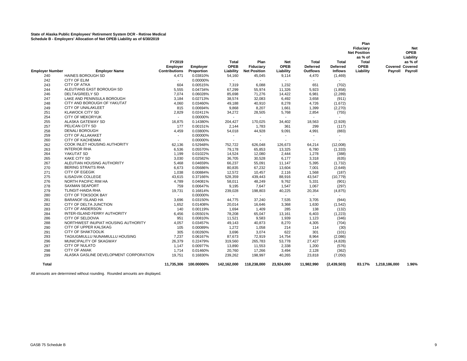|                        |                                                  |                      |                      |                          |                          |                          |                              |                          | Plan                |                        |                 |
|------------------------|--------------------------------------------------|----------------------|----------------------|--------------------------|--------------------------|--------------------------|------------------------------|--------------------------|---------------------|------------------------|-----------------|
|                        |                                                  |                      |                      |                          |                          |                          |                              |                          | Fiduciary           |                        | <b>Net</b>      |
|                        |                                                  |                      |                      |                          |                          |                          |                              |                          | <b>Net Position</b> |                        | <b>OPEB</b>     |
|                        |                                                  |                      |                      |                          |                          |                          |                              |                          | as % of             |                        | Liability       |
|                        |                                                  | FY2019               |                      | <b>Total</b>             | Plan                     | <b>Net</b>               | Total                        | Total                    | <b>Total</b>        |                        | as % of         |
|                        |                                                  | Employer             | Employer             | <b>OPEB</b>              | Fiduciary                | <b>OPEB</b>              | <b>Deferred</b>              | <b>Deferred</b>          | <b>OPEB</b>         | <b>Covered Covered</b> |                 |
| <b>Employer Number</b> | <b>Employer Name</b>                             | <b>Contributions</b> | Proportion           | Liability                | <b>Net Position</b>      | Liability                | <b>Outflows</b>              | <b>Inflows</b>           | Liability           |                        | Payroll Payroll |
| 240                    | <b>HAINES BOROUGH SD</b>                         | 4,471                | 0.03810%             | 54,160                   | 45,045                   | 9,114                    | 4,470                        | (1,469)                  |                     |                        |                 |
| 242                    | CITY OF ELIM                                     | $\blacksquare$       | 0.00000%             | $\sim$                   | $\overline{\phantom{a}}$ |                          | $\qquad \qquad \blacksquare$ | $\overline{\phantom{a}}$ |                     |                        |                 |
| 243                    | <b>CITY OF ATKA</b>                              | 604                  | 0.00515%             | 7,319                    | 6,088                    | 1,232                    | 651                          | (702)                    |                     |                        |                 |
| 244                    | ALEUTIANS EAST BOROUGH SD                        | 5,555                | 0.04734%             | 67,299                   | 55,974                   | 11,326                   | 5,923                        | (1, 858)                 |                     |                        |                 |
| 246                    | DELTA/GREELY SD                                  | 7,074                | 0.06028%             | 85,698                   | 71,276                   | 14,422                   | 6,981                        | (2, 289)                 |                     |                        |                 |
| 247                    | LAKE AND PENINSULA BOROUGH                       | 3,184                | 0.02713%             | 38,574                   | 32,083                   | 6,492                    | 3,658                        | (911)                    |                     |                        |                 |
| 248                    | CITY AND BOROUGH OF YAKUTAT                      | 4,060                | 0.03460%             | 49,188                   | 40,910                   | 8,278                    | 4,726                        | (1,672)                  |                     |                        |                 |
| 249                    | CITY OF UNALAKLEET                               | 815                  | 0.00694%             | 9,868                    | 8,207                    | 1,661                    | 1,399                        | (2,270)                  |                     |                        |                 |
| 251                    | <b>KLAWOCK CITY SD</b>                           | 2,829                | 0.02411%             | 34,272                   | 28,505                   | 5,768                    | 2,854                        | (755)                    |                     |                        |                 |
| 254                    | <b>CITY OF MEKORYUK</b>                          |                      | 0.00000%             |                          |                          |                          |                              |                          |                     |                        |                 |
| 255                    | ALASKA GATEWAY SD                                | 16,875               | 0.14380%             | 204,427                  | 170,025                  | 34,402                   | 18,563                       | (2,928)                  |                     |                        |                 |
| 257                    | PELICAN CITY SD                                  | 177                  | 0.00151%             | 2.144                    | 1,783                    | 361                      | 299                          | (117)                    |                     |                        |                 |
| 258                    | <b>DENALI BOROUGH</b>                            | 4,459                | 0.03800%             | 54,018                   | 44,928                   | 9,091                    | 4,991                        | (883)                    |                     |                        |                 |
| 259                    | <b>CITY OF ALLAKAKET</b>                         |                      | 0.00000%             | $\overline{\phantom{a}}$ | $\overline{\phantom{a}}$ |                          | $\overline{\phantom{a}}$     | ۰                        |                     |                        |                 |
| 260                    | <b>CITY OF KACHEMAK</b>                          | $\blacksquare$       | 0.00000%             | $\sim$                   | $\sim$                   | $\overline{\phantom{a}}$ | $\blacksquare$               | $\blacksquare$           |                     |                        |                 |
| 262                    | COOK INLET HOUSING AUTHORITY                     | 62,136               | 0.52948%             | 752,722                  | 626,048                  | 126,673                  | 64,214                       | (12,008)                 |                     |                        |                 |
| 263                    | <b>INTERIOR RHA</b>                              | 6,536                | 0.05570%             | 79,178                   | 65,853                   | 13,325                   | 6,780                        |                          |                     |                        |                 |
| 264                    | YAKUTAT SD                                       |                      |                      |                          |                          | 2,444                    |                              | (1, 333)<br>(388)        |                     |                        |                 |
| 265                    | <b>KAKE CITY SD</b>                              | 1,199<br>3,030       | 0.01022%<br>0.02582% | 14,524<br>36,705         | 12,080                   | 6,177                    | 1,278                        | (635)                    |                     |                        |                 |
| 267                    | ALEUTIAN HOUSING AUTHORITY                       |                      |                      |                          | 30,528                   |                          | 3,318                        |                          |                     |                        |                 |
| 270                    | <b>BERING STRAITS RHA</b>                        | 5,468                | 0.04659%             | 66,237                   | 55,091                   | 11,147                   | 5,395                        | (1,732)                  |                     |                        |                 |
|                        | <b>CITY OF EGEGIK</b>                            | 6,673                | 0.05686%             | 80,835                   | 67,232                   | 13,604                   | 7,001                        | (2,649)                  |                     |                        |                 |
| 271                    |                                                  | 1,038                | 0.00884%             | 12,572                   | 10,457                   | 2,116                    | 1,568                        | (187)                    |                     |                        |                 |
| 275<br>276             | <b>ILISAGVIK COLLEGE</b><br>NORTH PACIFIC RIM HA | 43.615<br>4,789      | 0.37166%<br>0.04081% | 528.359                  | 439.443                  | 88,916<br>9,762          | 43,547                       | (10, 779)                |                     |                        |                 |
|                        | <b>SAXMAN SEAPORT</b>                            |                      |                      | 58,011                   | 48,249                   |                          | 5,331                        | (901)                    |                     |                        |                 |
| 278                    | TLINGIT-HAIDA RHA                                | 759                  | 0.00647%             | 9,195                    | 7,647                    | 1,547                    | 1,067                        | (297)                    |                     |                        |                 |
| 279                    |                                                  | 19,731               | 0.16814%             | 239,028                  | 198,803<br>$\sim$        | 40,225                   | 20,354<br>$\overline{a}$     | (4, 875)                 |                     |                        |                 |
| 280                    | CITY OF TOKSOOK BAY                              | $\sim$               | 0.00000%             | $\sim$                   |                          | $\sim$                   |                              | $\overline{\phantom{a}}$ |                     |                        |                 |
| 281                    | <b>BARANOF ISLAND HA</b>                         | 3.696                | 0.03150%             | 44.775                   | 37.240                   | 7,535                    | 3.705                        | (944)                    |                     |                        |                 |
| 282                    | CITY OF DELTA JUNCTION                           | 1,652                | 0.01408%             | 20,014                   | 16,646                   | 3,368                    | 1,630                        | (1, 542)                 |                     |                        |                 |
| 283                    | CITY OF ANDERSON                                 | 140                  | 0.00119%             | 1,694                    | 1,409                    | 285                      | 138                          | (132)                    |                     |                        |                 |
| 284                    | INTER-ISLAND FERRY AUTHORITY                     | 6.456                | 0.05501%             | 78,208                   | 65,047                   | 13.161                   | 6,403                        | (1, 223)                 |                     |                        |                 |
| 286                    | CITY OF SELDOVIA                                 | 951                  | 0.00810%             | 11,521                   | 9,583                    | 1,939                    | 1,123                        | (346)                    |                     |                        |                 |
| 288                    | NORTHWEST INUPIAT HOUSING AUTHORITY              | 4,057                | 0.03457%             | 49,143                   | 40,873                   | 8,270                    | 4,305                        | (704)                    |                     |                        |                 |
| 290                    | CITY OF UPPER KALSKAG                            | 105                  | 0.00089%             | 1,272                    | 1,058                    | 214                      | 114                          | (30)                     |                     |                        |                 |
| 291                    | <b>CITY OF SHAKTOOLIK</b>                        | 305                  | 0.00260%             | 3,696                    | 3,074                    | 622                      | 301                          | (101)                    |                     |                        |                 |
| 293                    | TAGIUGMIULLU NUNAMIULLU HOUSING                  | 7,237                | 0.06167%             | 87,673                   | 72,919                   | 14,754                   | 8,964                        | (2,086)                  |                     |                        |                 |
| 296                    | MUNICIPALITY OF SKAGWAY                          | 26,379               | 0.22479%             | 319,560                  | 265,783                  | 53,778                   | 27,427                       | (4,828)                  |                     |                        |                 |
| 297                    | CITY OF NULATO                                   | 1.147                | 0.00977%             | 13.890                   | 11,553                   | 2,338                    | 1,200                        | (576)                    |                     |                        |                 |
| 298                    | <b>CITY OF ANIAK</b>                             | 1.714                | 0.01460%             | 20,760                   | 17,266                   | 3,494                    | 2,128                        | (362)                    |                     |                        |                 |
| 299                    | ALASKA GASLINE DEVELOPMENT CORPORATION           | 19,751               | 0.16830%             | 239,262                  | 198,997                  | 40,265                   | 23,818                       | (7,050)                  |                     |                        |                 |
| Total                  |                                                  | 11,735,306           | 100.00000%           | 142.162.000              | 118.238.000              | 23.924.000               | 11.982.990                   | (2,439,503)              | 83.17%              | 1,218,186,000          | 1.96%           |

All amounts are determined without rounding. Rounded amounts are displayed.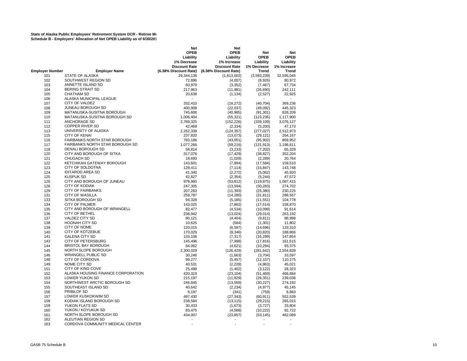|                        |                                    | <b>Net</b>                       | <b>Net</b>            |              |                                            |
|------------------------|------------------------------------|----------------------------------|-----------------------|--------------|--------------------------------------------|
|                        |                                    | <b>OPEB</b>                      | <b>OPEB</b>           | <b>Net</b>   | <b>Net</b>                                 |
|                        |                                    | Liability                        | Liability             | <b>OPEB</b>  | <b>OPEB</b>                                |
|                        |                                    | 1% Decrease                      | 1% Increase           | Liability    | Liability                                  |
|                        |                                    | <b>Discount Rate</b>             | <b>Discount Rate</b>  | 1% Decrease  | 1% Increase                                |
| <b>Employer Number</b> | <b>Employer Name</b>               | (6.38% Discount Rate)            | (8.38% Discount Rate) | <b>Trend</b> | <b>Trend</b>                               |
| 101                    | STATE OF ALASKA                    | 29,344,136                       | (1,613,002)           | (3,593,239)  | 32,595,045                                 |
| 102                    | SOUTHWEST REGION SD                | 72,896                           | (4,007)               | (8,926)      | 80,972                                     |
| 103                    | ANNETTE ISLAND SD                  | 60,979                           | (3, 352)              | (7, 467)     | 67,734                                     |
| 104                    | <b>BERING STRAIT SD</b>            | 217,963                          | (11, 981)             | (26, 690)    | 242,111                                    |
| 105                    | <b>CHATHAM SD</b>                  |                                  |                       |              |                                            |
|                        |                                    | 20,638                           | (1, 134)              | (2,527)      | 22,925                                     |
| 106                    | ALASKA MUNICIPAL LEAGUE            |                                  |                       |              |                                            |
| 107                    | <b>CITY OF VALDEZ</b>              | 332,410                          | (18, 272)             | (40, 704)    | 369,236                                    |
| 108                    | <b>JUNEAU BOROUGH SD</b>           | 400,908                          | (22, 037)             | (49,092)     | 445,323                                    |
| 109                    | MATANUSKA-SUSITNA BOROUGH          | 745,606                          | (40,985)              | (91, 301)    | 828.209                                    |
| 110                    | MATANUSKA-SUSITNA BOROUGH SD       | 1,006,404                        | (55, 321)             | (123, 236)   | 1,117,900                                  |
| 111                    | <b>ANCHORAGE SD</b>                | 2,769,325                        | (152, 226)            | (339, 109)   | 3,076,127                                  |
| 112                    | <b>COPPER RIVER SD</b>             | 42,469                           | (2, 334)              | (5,200)      | 47,173                                     |
| 113                    | UNIVERSITY OF ALASKA               | 2,262,338                        | (124, 357)            | (277, 027)   | 2,512,973                                  |
| 115                    | <b>CITY OF KENAI</b>               | 237,820                          | (13,073)              | (29, 121)    | 264,167                                    |
| 116                    | FAIRBANKS NORTH STAR BOROUGH       | 783,186                          | (43,051)              | (95, 902)    | 869,952                                    |
| 117                    | FAIRBANKS NORTH STAR BOROUGH SD    | 1,077,266                        | (59, 216)             | (131, 913)   | 1,196,611                                  |
| 118                    | <b>DENALI BOROUGH SD</b>           | 58,814                           | (3,233)               | (7,202)      | 65,329                                     |
| 120                    | CITY AND BOROUGH OF SITKA          | 317,076                          | (17, 429)             | (38, 827)    | 352,204                                    |
| 121                    | <b>CHUGACH SD</b>                  | 18,693                           | (1,028)               | (2, 289)     | 20,764                                     |
| 122                    | KETCHIKAN GATEWAY BOROUGH          | 143,601                          | (7, 894)              | (17, 584)    | 159,510                                    |
| 123                    | <b>CITY OF SOLDOTNA</b>            | 129.411                          | (7, 114)              | (15, 847)    | 143.748                                    |
| 124                    | <b>IDITAROD AREA SD</b>            | 41,340                           | (2, 272)              | (5,062)      | 45,920                                     |
| 125                    | <b>KUSPUK SD</b>                   | 42,827                           | (2, 354)              | (5, 244)     | 47,572                                     |
| 126                    | CITY AND BOROUGH OF JUNEAU         | 978,960                          | (53, 812)             | (119, 875)   | 1,087,415                                  |
| 128                    | <b>CITY OF KODIAK</b>              | 247,305                          | (13, 594)             | (30, 283)    | 274,702                                    |
| 129                    | <b>CITY OF FAIRBANKS</b>           |                                  |                       |              | 230,225                                    |
|                        | <b>CITY OF WASILLA</b>             | 207,263                          | (11, 393)             | (25, 380)    |                                            |
| 131                    |                                    | 259,787                          | (14,280)              | (31, 811)    | 288,567                                    |
| 133                    | SITKA BOROUGH SD                   | 94,328                           | (5, 185)              | (11, 551)    | 104,778                                    |
| 134                    | <b>CITY OF PALMER</b>              | 143,025                          | (7, 862)              | (17, 514)    | 158,870                                    |
| 135                    | CITY AND BOROUGH OF WRANGELL       | 82,477                           | (4,534)               | (10,099)     | 91,614                                     |
| 136                    | <b>CITY OF BETHEL</b>              | 236,942                          | (13, 024)             | (29, 014)    | 263,192                                    |
| 137                    | <b>VALDEZ CITY SD</b>              | 80,121                           | (4, 404)              | (9,811)      | 88,998                                     |
| 138                    | <b>HOONAH CITY SD</b>              | 10,625                           | (584)                 | (1, 301)     | 11,802                                     |
| 139                    | <b>CITY OF NOME</b>                | 120,015                          | (6, 597)              | (14, 696)    | 133,310                                    |
| 140                    | <b>CITY OF KOTZEBUE</b>            | 170,029                          | (9, 346)              | (20, 820)    | 188,866                                    |
| 141                    | <b>GALENA CITY SD</b>              | 133,108                          | (7, 317)              | (16, 299)    | 147,854                                    |
| 143                    | <b>CITY OF PETERSBURG</b>          | 145,496                          | (7,998)               | (17, 816)    | 161,615                                    |
| 144                    | <b>BRISTOL BAY BOROUGH</b>         | 84,062                           | (4,621)               | (10, 294)    | 93,375                                     |
| 145                    | NORTH SLOPE BOROUGH                | 2,300,029                        | (126, 429)            | (281, 642)   | 2,554,839                                  |
| 146                    | <b>WRANGELL PUBLIC SD</b>          | 30,246                           | (1,663)               | (3,704)      | 33,597                                     |
| 148                    | <b>CITY OF CORDOVA</b>             | 99,277                           | (5, 457)              | (12, 157)    | 110,275                                    |
| 149                    | NOME CITY SD                       | 40,531                           | (2,228)               | (4,963)      | 45,021                                     |
| 151                    | CITY OF KING COVE                  | 25,499                           | (1,402)               | (3, 122)     | 28,323                                     |
| 152                    | ALASKA HOUSING FINANCE CORPORATION | 420,319                          | (23, 104)             | (51, 469)    | 466,884                                    |
| 153                    | LOWER YUKON SD                     | 215,197                          | (11, 829)             | (26, 351)    | 239,038                                    |
| 154                    | NORTHWEST ARCTIC BOROUGH SD        | 246,845                          | (13, 569)             | (30, 227)    | 274,192                                    |
| 155                    | SOUTHEAST ISLAND SD                | 40,642                           | (2, 234)              | (4, 977)     | 45,145                                     |
| 156                    | PRIBILOF SD                        | 6,197                            | (341)                 | (759)        | 6,883                                      |
| 157                    | LOWER KUSKOKWIM SD                 | 497,430                          | (27, 343)             | (60, 911)    | 552,539                                    |
| 158                    | KODIAK ISLAND BOROUGH SD           | 238,584                          | (13, 115)             | (29, 215)    | 265,015                                    |
| 159                    | YUKON FLATS SD                     | 30,433                           | (1,673)               | (3,727)      | 33,804                                     |
| 160                    | YUKON / KOYUKUK SD                 | 83,475                           |                       |              | 92,722                                     |
| 161                    | NORTH SLOPE BOROUGH SD             | 434,007                          | (4,588)               | (10, 222)    | 482,089                                    |
|                        | ALEUTIAN REGION SD                 |                                  | (23, 857)             | (53, 145)    |                                            |
| 162<br>163             | CORDOVA COMMUNITY MEDICAL CENTER   | $\overline{a}$<br>$\overline{a}$ | $\overline{a}$        |              | $\overline{\phantom{a}}$<br>$\overline{a}$ |
|                        |                                    |                                  |                       |              |                                            |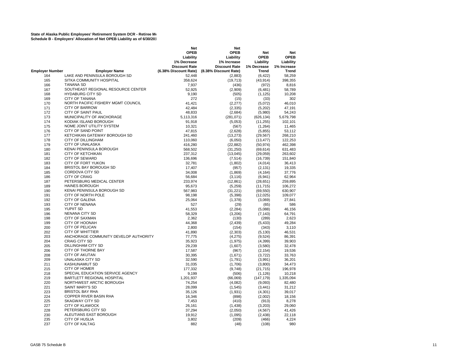|                        |                                       | Net                   | <b>Net</b>            |             |              |
|------------------------|---------------------------------------|-----------------------|-----------------------|-------------|--------------|
|                        |                                       | <b>OPEB</b>           | <b>OPEB</b>           | Net         | <b>Net</b>   |
|                        |                                       | Liability             | Liability             | <b>OPEB</b> | <b>OPEB</b>  |
|                        |                                       | 1% Decrease           | 1% Increase           | Liability   | Liability    |
|                        |                                       | <b>Discount Rate</b>  | <b>Discount Rate</b>  | 1% Decrease | 1% Increase  |
| <b>Employer Number</b> | <b>Employer Name</b>                  | (6.38% Discount Rate) | (8.38% Discount Rate) | Trend       | <b>Trend</b> |
| 164                    | LAKE AND PENINSULA BOROUGH SD         | 52,448                | (2,883)               | (6, 422)    | 58,259       |
| 165                    | SITKA COMMUNITY HOSPITAL              | 358,624               | (19, 713)             | (43, 914)   | 398,355      |
| 166                    | <b>TANANA SD</b>                      | 7,937                 | (436)                 | (972)       | 8,816        |
| 167                    | SOUTHEAST REGIONAL RESOURCE CENTER    | 52,925                | (2,909)               | (6, 481)    | 58,789       |
| 168                    | <b>HYDABURG CITY SD</b>               | 9,190                 | (505)                 | (1, 125)    | 10,208       |
| 169                    | <b>CITY OF TANANA</b>                 | 272                   | (15)                  | (33)        | 302          |
| 170                    | NORTH PACIFIC FISHERY MGMT COUNCIL    | 41.421                |                       | (5,072)     | 46.010       |
| 171                    | <b>CITY OF BARROW</b>                 | 42,484                | (2,277)               |             |              |
|                        |                                       |                       | (2, 335)              | (5,202)     | 47,191       |
| 172                    | CITY OF SAINT PAUL                    | 48.833                | (2,684)               | (5,980)     | 54,243       |
| 173                    | MUNICIPALITY OF ANCHORAGE             | 5,113,316             | (281, 071)            | (626, 134)  | 5,679,798    |
| 174                    | KODIAK ISLAND BOROUGH                 | 91,918                | (5,053)               | (11, 255)   | 102,101      |
| 175                    | NOME JOINT UTILITY SYSTEM             | 10,321                | (567)                 | (1,264)     | 11,465       |
| 176                    | CITY OF SAND POINT                    | 47,815                | (2,628)               | (5,855)     | 53,112       |
| 177                    | KETCHIKAN GATEWAY BOROUGH SD          | 241,460               | (13, 273)             | (29, 567)   | 268,210      |
| 178                    | <b>CITY OF DILLINGHAM</b>             | 110,060               | (6,050)               | (13, 477)   | 122,253      |
| 179                    | <b>CITY OF UNALASKA</b>               | 416,280               | (22, 882)             | (50, 974)   | 462,398      |
| 180                    | KENAI PENINSULA BOROUGH               | 568,502               | (31, 250)             | (69, 614)   | 631,483      |
| 181                    | <b>CITY OF KETCHIKAN</b>              | 237,312               | (13,045)              | (29,059)    | 263,602      |
| 182                    | <b>CITY OF SEWARD</b>                 | 136,696               | (7, 514)              | (16, 739)   | 151,840      |
| 183                    | CITY OF FORT YUKON                    | 32,781                | (1,802)               | (4,014)     | 36,413       |
| 184                    | <b>BRISTOL BAY BOROUGH SD</b>         | 17.407                | (957)                 | (2, 131)    | 19,335       |
| 185                    | CORDOVA CITY SD                       | 34,008                | (1,869)               | (4, 164)    | 37,776       |
|                        | <b>CITY OF CRAIG</b>                  |                       |                       |             |              |
| 186                    |                                       | 56,684                | (3, 116)              | (6, 941)    | 62,964       |
| 187                    | PETERSBURG MEDICAL CENTER             | 233,974               | (12, 861)             | (28, 651)   | 259,895      |
| 189                    | <b>HAINES BOROUGH</b>                 | 95,673                | (5,259)               | (11, 715)   | 106,272      |
| 190                    | KENAI PENINSULA BOROUGH SD            | 567,983               | (31, 221)             | (69, 550)   | 630,907      |
| 191                    | CITY OF NORTH POLE                    | 98,198                | (5, 398)              | (12,025)    | 109,077      |
| 192                    | <b>CITY OF GALENA</b>                 | 25,064                | (1,378)               | (3,069)     | 27,841       |
| 193                    | <b>CITY OF NENANA</b>                 | 527                   | (29)                  | (65)        | 586          |
| 195                    | <b>YUPIIT SD</b>                      | 41,553                | (2, 284)              | (5,088)     | 46,156       |
| 196                    | <b>NENANA CITY SD</b>                 | 58,329                | (3,206)               | (7, 143)    | 64,791       |
| 198                    | <b>CITY OF SAXMAN</b>                 | 2,362                 | (130)                 | (289)       | 2,623        |
| 199                    | CITY OF HOONAH                        | 44,368                | (2, 439)              | (5, 433)    | 49,284       |
| 200                    | CITY OF PELICAN                       | 2,800                 | (154)                 | (343)       | 3,110        |
| 202                    | <b>CITY OF WHITTIER</b>               | 41,890                | (2,303)               | (5, 130)    | 46,531       |
| 203                    | ANCHORAGE COMMUNITY DEVELOP AUTHORITY | 77,775                | (4,275)               | (9, 524)    | 86,391       |
| 204                    | <b>CRAIG CITY SD</b>                  | 35,923                | (1, 975)              | (4, 399)    | 39,903       |
| 205                    | DILLINGHAM CITY SD                    | 29,239                | (1,607)               | (3,580)     | 32,478       |
| 206                    | CITY OF THORNE BAY                    | 17,587                | (967)                 | (2, 154)    | 19,536       |
| 208                    | <b>CITY OF AKUTAN</b>                 | 30,395                | (1,671)               | (3, 722)    | 33,763       |
| 209                    | <b>UNALASKA CITY SD</b>               | 32,590                |                       |             |              |
|                        | <b>KASHUNAMIUT SD</b>                 |                       | (1,791)               | (3,991)     | 36,201       |
| 211                    |                                       | 31,035                | (1,706)               | (3,800)     | 34,473       |
| 215                    | <b>CITY OF HOMER</b>                  | 177,332               | (9,748)               | (21, 715)   | 196,978      |
| 218                    | SPECIAL EDUCATION SERVICE AGENCY      | 9,199                 | (506)                 | (1, 126)    | 10,218       |
| 219                    | BARTLETT REGIONAL HOSPITAL            | 1,201,937             | (66,069)              | (147, 179)  | 1,335,094    |
| 220                    | NORTHWEST ARCTIC BOROUGH              | 74,254                | (4,082)               | (9,093)     | 82,480       |
| 221                    | <b>SAINT MARY'S SD</b>                | 28,099                | (1, 545)              | (3, 441)    | 31,212       |
| 223                    | <b>BRISTOL BAY RHA</b>                | 35,126                | (1,931)               | (4, 301)    | 39,017       |
| 224                    | <b>COPPER RIVER BASIN RHA</b>         | 16,346                | (898)                 | (2,002)     | 18,156       |
| 225                    | <b>SKAGWAY CITY SD</b>                | 7,453                 | (410)                 | (913)       | 8,278        |
| 227                    | <b>CITY OF KLAWOCK</b>                | 26,161                | (1, 438)              | (3,203)     | 29,060       |
| 228                    | PETERSBURG CITY SD                    | 37,294                | (2,050)               | (4, 567)    | 41,426       |
| 230                    | ALEUTIANS EAST BOROUGH                | 19,912                | (1,095)               | (2, 438)    | 22.118       |
| 235                    | <b>CITY OF HUSLIA</b>                 | 3.802                 | (209)                 | (466)       | 4.224        |
| 237                    | <b>CITY OF KALTAG</b>                 | 882                   | (48)                  | (108)       | 980          |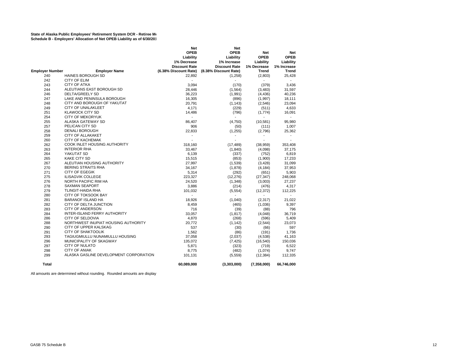|                        |                                                      | Net                      | Net                   |              |                |
|------------------------|------------------------------------------------------|--------------------------|-----------------------|--------------|----------------|
|                        |                                                      | <b>OPEB</b>              | <b>OPEB</b>           | <b>Net</b>   | <b>Net</b>     |
|                        |                                                      | Liability                | Liability             | <b>OPEB</b>  | <b>OPEB</b>    |
|                        |                                                      | 1% Decrease              | 1% Increase           | Liability    | Liability      |
|                        |                                                      | <b>Discount Rate</b>     | <b>Discount Rate</b>  | 1% Decrease  | 1% Increase    |
| <b>Employer Number</b> | <b>Employer Name</b>                                 | (6.38% Discount Rate)    | (8.38% Discount Rate) | <b>Trend</b> | <b>Trend</b>   |
| 240                    | HAINES BOROUGH SD                                    | 22,892                   | (1,258)               | (2,803)      | 25,428         |
| 242                    | <b>CITY OF ELIM</b>                                  | $\blacksquare$           | $\overline{a}$        | ÷            | $\blacksquare$ |
| 243                    | <b>CITY OF ATKA</b>                                  | 3.094                    | (170)                 | (379)        | 3.436          |
| 244                    | ALEUTIANS EAST BOROUGH SD                            | 28,446                   | (1, 564)              | (3, 483)     | 31,597         |
| 246                    | DELTA/GREELY SD                                      | 36,223                   | (1,991)               | (4, 436)     | 40,236         |
| 247                    | LAKE AND PENINSULA BOROUGH                           | 16,305                   | (896)                 | (1,997)      | 18,111         |
| 248                    | CITY AND BOROUGH OF YAKUTAT                          | 20,791                   | (1, 143)              | (2,546)      | 23,094         |
| 249                    | CITY OF UNALAKLEET                                   | 4,171                    | (229)                 | (511)        | 4,633          |
| 251                    | <b>KLAWOCK CITY SD</b>                               | 14,486                   | (796)                 | (1,774)      | 16,091         |
| 254                    | <b>CITY OF MEKORYUK</b>                              | $\overline{\phantom{a}}$ |                       |              | $\sim$         |
| 255                    | ALASKA GATEWAY SD                                    | 86,407                   | (4,750)               | (10, 581)    | 95,980         |
| 257                    | PELICAN CITY SD                                      | 906                      | (50)                  | (111)        | 1,007          |
| 258                    | <b>DENALI BOROUGH</b>                                | 22,833                   | (1,255)               | (2,796)      | 25,362         |
| 259                    | <b>CITY OF ALLAKAKET</b>                             | ٠                        |                       |              |                |
| 260                    | <b>CITY OF KACHEMAK</b>                              |                          |                       | $\sim$       | $\overline{a}$ |
| 262                    | COOK INLET HOUSING AUTHORITY                         | 318,160                  | (17, 489)             | (38, 959)    | 353,408        |
| 263                    | <b>INTERIOR RHA</b>                                  | 33,467                   | (1, 840)              | (4,098)      | 37,175         |
| 264                    | YAKUTAT SD                                           | 6,139                    | (337)                 | (752)        | 6,819          |
| 265                    | <b>KAKE CITY SD</b>                                  | 15,515                   | (853)                 | (1,900)      | 17,233         |
| 267                    | ALEUTIAN HOUSING AUTHORITY                           | 27,997                   | (1,539)               | (3, 428)     | 31,099         |
| 270                    | <b>BERING STRAITS RHA</b>                            |                          |                       |              |                |
| 271                    | <b>CITY OF EGEGIK</b>                                | 34,167                   | (1,878)<br>(292)      | (4, 184)     | 37,953         |
|                        | <b>ILISAGVIK COLLEGE</b>                             | 5,314                    |                       | (651)        | 5,903          |
| 275<br>276             |                                                      | 223,327                  | (12, 276)             | (27, 347)    | 248,068        |
| 278                    | <b>NORTH PACIFIC RIM HA</b><br><b>SAXMAN SEAPORT</b> | 24,520                   | (1, 348)              | (3,003)      | 27,237         |
|                        |                                                      | 3,886                    | (214)                 | (476)        | 4,317          |
| 279                    | TLINGIT-HAIDA RHA                                    | 101,032                  | (5, 554)              | (12, 372)    | 112,225        |
| 280                    | CITY OF TOKSOOK BAY                                  |                          |                       |              |                |
| 281                    | <b>BARANOF ISLAND HA</b>                             | 18,926                   | (1,040)               | (2, 317)     | 21,022         |
| 282                    | CITY OF DELTA JUNCTION                               | 8,459                    | (465)                 | (1,036)      | 9,397          |
| 283                    | <b>CITY OF ANDERSON</b>                              | 716                      | (39)                  | (88)         | 796            |
| 284                    | INTER-ISLAND FERRY AUTHORITY                         | 33,057                   | (1, 817)              | (4,048)      | 36,719         |
| 286                    | CITY OF SELDOVIA                                     | 4,870                    | (268)                 | (596)        | 5,409          |
| 288                    | NORTHWEST INUPIAT HOUSING AUTHORITY                  | 20,772                   | (1, 142)              | (2,544)      | 23,073         |
| 290                    | CITY OF UPPER KALSKAG                                | 537                      | (30)                  | (66)         | 597            |
| 291                    | <b>CITY OF SHAKTOOLIK</b>                            | 1,562                    | (86)                  | (191)        | 1,736          |
| 293                    | TAGIUGMIULLU NUNAMIULLU HOUSING                      | 37,058                   | (2,037)               | (4,538)      | 41,163         |
| 296                    | MUNICIPALITY OF SKAGWAY                              | 135,072                  | (7, 425)              | (16, 540)    | 150,036        |
| 297                    | <b>CITY OF NULATO</b>                                | 5,871                    | (323)                 | (719)        | 6,522          |
| 298                    | <b>CITY OF ANIAK</b>                                 | 8,775                    | (482)                 | (1,074)      | 9,747          |
| 299                    | ALASKA GASLINE DEVELOPMENT CORPORATION               | 101,131                  | (5, 559)              | (12, 384)    | 112,335        |
| <b>Total</b>           |                                                      | 60,089,000               | (3,303,000)           | (7,358,000)  | 66,746,000     |

All amounts are determined without rounding. Rounded amounts are display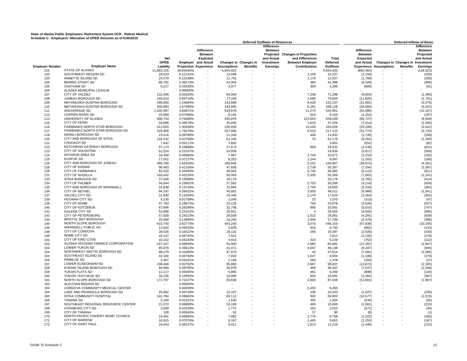|                        |                                    |             |           | <b>Deferred Outflows of Resources</b> |                          |                          |                   |                              |                 |                   | Deferred Inflows of Resou        |          |                   |
|------------------------|------------------------------------|-------------|-----------|---------------------------------------|--------------------------|--------------------------|-------------------|------------------------------|-----------------|-------------------|----------------------------------|----------|-------------------|
|                        |                                    |             |           |                                       |                          |                          | <b>Difference</b> |                              |                 |                   |                                  |          | <b>Difference</b> |
|                        |                                    |             |           | <b>Difference</b>                     |                          |                          | <b>Between</b>    |                              |                 | <b>Difference</b> |                                  |          | Between           |
|                        |                                    |             |           | <b>Between</b>                        |                          |                          | Projected         | <b>Changes in Proportion</b> |                 | <b>Between</b>    |                                  |          | Projected         |
|                        |                                    | <b>Net</b>  |           | <b>Expected</b>                       |                          |                          | and Actual        | and Differences              | Total           | Expected          |                                  |          | and Actual        |
|                        |                                    | <b>OPEB</b> |           | <b>Employer</b> and Actual            |                          | Changes in Changes in    | Investment        | <b>Between Employer</b>      | <b>Deferred</b> | and Actual        | Changes in Changes in Investment |          |                   |
| <b>Employer Number</b> | <b>Employer Name</b>               | Liability   |           | <b>Proportion Experience</b>          | <b>Assumptions</b>       | <b>Benefits</b>          | Earnings          | <b>Contributions</b>         | Outflows        |                   | <b>Experience Assumptions</b>    | Benefits | <b>Earnings</b>   |
| 101                    | <b>STATE OF ALASKA</b>             | 11,683,155  | 48.83445% |                                       | 5,654,925                | $\overline{\phantom{a}}$ |                   |                              | 5,654,925       | (865, 493)        |                                  |          | (128, 923)        |
|                        | SOUTHWEST REGION SD                | 29.023      | 0.12131%  |                                       | 14.048                   |                          |                   |                              | 15.207          | (2, 150)          |                                  |          |                   |
| 102                    |                                    |             |           | ×.                                    |                          |                          |                   | 1.159                        |                 |                   |                                  |          | (320)             |
| 103                    | ANNETTE ISLAND SD                  | 24,278      | 0.10148%  |                                       | 11,751                   | $\sim$                   |                   | 1,176                        | 12,927          | (1,799)           | $\overline{\phantom{a}}$         |          | (268)             |
| 104                    | <b>BERING STRAIT SD</b>            | 86,781      | 0.36273%  | $\sim$                                | 42,004                   |                          |                   | 384                          | 42,388          | (6, 429)          | ÷.                               |          | (958)             |
| 105                    | <b>CHATHAM SD</b>                  | 8,217       | 0.03435%  | $\sim$                                | 3,977                    |                          |                   | 309                          | 4,286           | (609)             | $\sim$                           |          | (91)              |
| 106                    | ALASKA MUNICIPAL LEAGUE            |             | 0.00000%  |                                       |                          |                          |                   |                              |                 |                   |                                  |          |                   |
| 107                    | <b>CITY OF VALDEZ</b>              | 132,346     | 0.55320%  |                                       | 64,059                   |                          |                   | 7.239                        | 71,298          | (9,804)           |                                  |          | (1,460)           |
| 108                    | JUNEAU BOROUGH SD                  | 159,619     | 0.66719%  |                                       | 77,259                   |                          |                   | 2,589                        | 79,849          | (11, 825)         |                                  |          | (1,761)           |
| 109                    | MATANUSKA-SUSITNA BOROUGH          | 296,858     | 1.24084%  | $\sim$                                | 143,686                  |                          |                   | 8,420                        | 152,107         | (21, 991)         |                                  |          | (3, 276)          |
| 110                    | MATANUSKA-SUSITNA BOROUGH SD       | 400,693     | 1.67486%  |                                       | 193,945                  |                          |                   | 5,181                        | 199,126         | (29, 683)         |                                  |          | (4, 422)          |
| 111                    | <b>ANCHORAGE SD</b>                | 1,102,587   | 4.60871%  |                                       | 533,678                  |                          |                   | 11,273                       | 544,951         | (81,680)          |                                  |          | (12, 167)         |
| 112                    | <b>COPPER RIVER SD</b>             | 16,909      | 0.07068%  |                                       | 8,184                    |                          |                   | 919                          | 9,103           | (1, 253)          |                                  |          | (187)             |
| 113                    | UNIVERSITY OF ALASKA               | 900,734     | 3.76498%  |                                       | 435,976                  |                          |                   | 123,063                      | 559,039         | (66, 727)         | $\sim$                           |          | (9,940)           |
| 115                    | <b>CITY OF KENAI</b>               | 94,686      | 0.39578%  |                                       | 45,830                   |                          |                   | 1,623                        | 47,454          | (7,014)           | $\sim$                           |          | (1,045)           |
| 116                    | FAIRBANKS NORTH STAR BOROUGH       | 311,820     | 1.30338%  |                                       | 150,928                  |                          |                   | 13,100                       | 164,028         | (23, 100)         |                                  |          | (3, 441)          |
| 117                    | FAIRBANKS NORTH STAR BOROUGH SD    | 428,906     | 1.79278%  |                                       | 207,600                  |                          |                   | 9,523                        | 217,123         | (31, 773)         |                                  |          | (4, 733)          |
|                        | <b>DENALI BOROUGH SD</b>           |             |           |                                       |                          |                          |                   |                              |                 |                   | $\sim$                           |          |                   |
| 118                    |                                    | 23,416      | 0.09788%  |                                       | 11,334                   |                          |                   | 498                          | 11,832          | (1,735)           |                                  |          | (258)             |
| 120                    | CITY AND BOROUGH OF SITKA          | 126,242     | 0.52768%  |                                       | 61,104                   |                          |                   | 76                           | 61,179          | (9, 352)          | $\overline{\phantom{a}}$         |          | (1, 393)          |
| 121                    | <b>CHUGACH SD</b>                  | 7,442       | 0.03111%  |                                       | 3,602                    |                          |                   |                              | 3,602           | (551)             | $\overline{\phantom{a}}$         |          | (82)              |
| 122                    | KETCHIKAN GATEWAY BOROUGH          | 57,174      | 0.23898%  |                                       | 27,673                   |                          |                   | 858                          | 28,531          | (4, 235)          | $\sim$                           |          | (631)             |
| 123                    | CITY OF SOLDOTNA                   | 51,524      | 0.21537%  |                                       | 24,939                   |                          |                   |                              | 24,939          | (3, 817)          | $\sim$                           |          | (569)             |
| 124                    | <b>IDITAROD AREA SD</b>            | 16,459      | 0.06880%  |                                       | 7,967                    |                          |                   | 2,704                        | 10,671          | (1, 219)          | $\sim$                           |          | (182)             |
| 125                    | KUSPUK SD                          | 17,051      | 0.07127%  |                                       | 8,253                    |                          |                   | 1.244                        | 9,497           | (1,263)           | $\sim$                           |          | (188)             |
| 126                    | CITY AND BOROUGH OF JUNEAU         | 389,766     | 1.62918%  |                                       | 188,656                  |                          |                   | 5,151                        | 193,807         | (28, 874)         |                                  |          | (4, 301)          |
| 128                    | <b>CITY OF KODIAK</b>              | 98.463      | 0.41156%  |                                       | 47,658                   |                          |                   | 2,739                        | 50,397          | (7, 294)          |                                  |          | (1,087)           |
| 129                    | <b>CITY OF FAIRBANKS</b>           | 82,520      | 0.34493%  |                                       | 39,942                   |                          |                   | 5,740                        | 45,682          | (6, 113)          | $\sim$                           |          | (911)             |
| 131                    | <b>CITY OF WASILLA</b>             | 103,432     | 0.43234%  |                                       | 50,064                   |                          |                   | 5,305                        | 55,369          | (7,662)           | ÷,                               |          | (1, 141)          |
| 133                    | SITKA BOROUGH SD                   | 37,556      | 0.15698%  |                                       | 18,178                   |                          |                   |                              | 18,178          | (2,782)           | ÷,                               |          | (414)             |
| 134                    | <b>CITY OF PALMER</b>              | 56,944      | 0.23802%  |                                       | 27,562                   |                          |                   | 2,703                        | 30,266          | (4, 218)          | $\sim$                           |          | (628)             |
| 135                    | CITY AND BOROUGH OF WRANGELL       | 32,838      | 0.13726%  |                                       | 15,894                   |                          |                   | 2,756                        | 18,650          | (2, 433)          | $\sim$                           |          | (362)             |
| 136                    | CITY OF BETHEL                     | 94,337      | 0.39432%  |                                       | 45,661                   |                          |                   | 3,850                        | 49,511          | (6,989)           | $\sim$                           |          | (1,041)           |
|                        |                                    |             |           |                                       |                          |                          |                   |                              |                 |                   |                                  |          |                   |
| 137                    | VALDEZ CITY SD                     | 31,900      | 0.13334%  |                                       | 15,440                   |                          |                   | 2,170                        | 17,610          | (2, 363)          |                                  |          | (352)             |
| 138                    | <b>HOONAH CITY SD</b>              | 4,230       | 0.01768%  |                                       | 2,048                    |                          |                   | 23                           | 2,070           | (313)             |                                  |          | (47)              |
| 139                    | <b>CITY OF NOME</b>                | 47.783      | 0.19973%  |                                       | 23,128                   |                          |                   | 750                          | 23,878          | (3, 540)          |                                  |          | (527)             |
| 140                    | CITY OF KOTZEBUE                   | 67,696      | 0.28296%  |                                       | 32,766                   |                          |                   | 895                          | 33,661          | (5,015)           |                                  |          | (747)             |
| 141                    | <b>GALENA CITY SD</b>              | 52,996      | 0.22152%  |                                       | 25,651                   |                          |                   | 4                            | 25,655          | (3,926)           |                                  |          | (585)             |
| 143                    | <b>CITY OF PETERSBURG</b>          | 57.928      | 0.24213%  |                                       | 28.039                   |                          |                   | 1.022                        | 29.061          | (4, 291)          | ÷.                               |          | (639)             |
| 144                    | <b>BRISTOL BAY BOROUGH</b>         | 33,469      | 0.13990%  |                                       | 16,200                   |                          |                   | 1,506                        | 17,706          | (2, 479)          |                                  |          | (369)             |
| 145                    | NORTH SLOPE BOROUGH                | 915,740     | 3.82770%  |                                       | 443,240                  |                          |                   | 3,070                        | 446,310         | (67, 838)         | $\sim$                           |          | (10, 105)         |
| 146                    | <b>WRANGELL PUBLIC SD</b>          | 12,042      | 0.05033%  |                                       | 5,829                    |                          |                   | 916                          | 6,745           | (892)             |                                  |          | (133)             |
| 148                    | CITY OF CORDOVA                    | 39,526      | 0.16522%  |                                       | 19,132                   |                          |                   | 265                          | 19,397          | (2,928)           |                                  |          | (436)             |
| 149                    | NOME CITY SD                       | 16,137      | 0.06745%  |                                       | 7,811                    |                          |                   |                              | 7,811           | (1, 195)          |                                  |          | (178)             |
| 151                    | CITY OF KING COVE                  | 10,152      | 0.04243%  |                                       | 4,914                    |                          |                   | 316                          | 5,229           | (752)             |                                  |          | (112)             |
| 152                    | ALASKA HOUSING FINANCE CORPORATION | 167,347     | 0.69949%  |                                       | 81,000                   |                          |                   | 2,982                        | 83,982          | (12, 397)         |                                  |          | (1, 847)          |
| 153                    | LOWER YUKON SD                     | 85,679      | 0.35813%  |                                       | 41,471                   |                          |                   | 4,667                        | 46,138          | (6, 347)          |                                  |          | (945)             |
| 154                    | NORTHWEST ARCTIC BOROUGH SD        | 98.279      | 0.41080%  |                                       | 47.570                   |                          |                   | 44                           | 47,614          | (7, 281)          | ÷.                               |          | (1,085)           |
| 155                    | SOUTHEAST ISLAND SD                | 16,181      | 0.06764%  |                                       | 7,832                    |                          |                   | 1,027                        | 8,859           | (1, 199)          |                                  |          | (179)             |
| 156                    | PRIBILOF SD                        | 2,467       |           |                                       |                          |                          |                   | 284                          |                 |                   |                                  |          |                   |
|                        |                                    |             | 0.01031%  |                                       | 1,194                    |                          |                   |                              | 1,478           | (183)             |                                  |          | (27)              |
| 157                    | LOWER KUSKOKWIM SD                 | 198,048     | 0.82782%  |                                       | 95,860                   |                          |                   | 3,967                        | 99,827          | (14, 672)         |                                  |          | (2, 185)          |
| 158                    | KODIAK ISLAND BOROUGH SD           | 94,990      | 0.39705%  |                                       | 45,978                   |                          |                   | 469                          | 46,447          | (7,037)           |                                  |          | (1,048)           |
| 159                    | YUKON FLATS SD                     | 12,117      | 0.05065%  |                                       | 5,865                    |                          |                   | 481                          | 6,346           | (898)             |                                  |          | (134)             |
| 160                    | YUKON / KOYUKUK SD                 | 33,235      | 0.13892%  |                                       | 16,086                   |                          |                   | 605                          | 16,692          | (2, 462)          |                                  |          | (367)             |
| 161                    | NORTH SLOPE BOROUGH SD             | 172,797     | 0.72227%  |                                       | 83,638                   |                          |                   | 4,000                        | 87,638          | (12, 801)         |                                  |          | (1,907)           |
| 162                    | ALEUTIAN REGION SD                 |             | 0.00000%  |                                       | $\overline{\phantom{a}}$ |                          |                   |                              |                 |                   |                                  |          |                   |
| 163                    | CORDOVA COMMUNITY MEDICAL CENTER   | $\sim$      | 0.00000%  |                                       |                          |                          |                   | 6.455                        | 6.455           |                   |                                  |          |                   |
| 164                    | LAKE AND PENINSULA BOROUGH SD      | 20,882      | 0.08728%  |                                       | 10,107                   |                          |                   | 236                          | 10,343          | (1, 547)          |                                  |          | (230)             |
| 165                    | SITKA COMMUNITY HOSPITAL           | 142,784     | 0.59682%  |                                       | 69,111                   |                          |                   | 692                          | 69,803          | (10, 577)         | $\sim$                           |          | (1, 576)          |
| 166                    | <b>TANANA SD</b>                   | 3,160       | 0.01321%  |                                       | 1,530                    |                          |                   | 405                          | 1,934           | (234)             |                                  |          | (35)              |
| 167                    | SOUTHEAST REGIONAL RESOURCE CENTER | 21,072      | 0.08808%  |                                       | 10,199                   |                          |                   | 469                          | 10,669          | (1, 561)          |                                  |          | (233)             |
| 168                    | <b>HYDABURG CITY SD</b>            | 3,659       | 0.01529%  |                                       | 1,771                    |                          |                   | 252                          | 2,022           | (271)             |                                  |          | (40)              |
| 169                    | <b>CITY OF TANANA</b>              | 108         | 0.00045%  |                                       | 52                       |                          |                   | 37                           | 90              | (8)               |                                  |          | (1)               |
| 170                    | NORTH PACIFIC FISHERY MGMT COUNCIL | 16,491      | 0.06893%  |                                       | 7,982                    |                          |                   | 1,776                        | 9,758           | (1, 222)          |                                  |          | (182)             |
| 171                    | <b>CITY OF BARROW</b>              | 16,915      | 0.07070%  |                                       | 8,187                    |                          |                   | 1,465                        | 9,652           | (1, 253)          |                                  |          | (187)             |
| 172                    | CITY OF SAINT PAUL                 | 19.443      | 0.08127%  |                                       | 9.411                    |                          |                   | 1.813                        | 11.224          | (1.440)           |                                  |          | (215)             |
|                        |                                    |             |           |                                       |                          |                          |                   |                              |                 |                   |                                  |          |                   |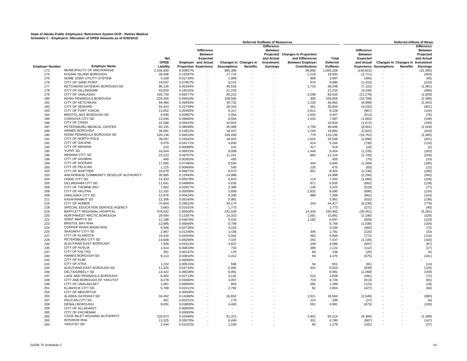|                        |                                       |             |          | <b>Deferred Outflows of Resources</b> |                          |                       |                   | Deferred Inflows of Resou    |                          |                   |                                  |                 |                   |
|------------------------|---------------------------------------|-------------|----------|---------------------------------------|--------------------------|-----------------------|-------------------|------------------------------|--------------------------|-------------------|----------------------------------|-----------------|-------------------|
|                        |                                       |             |          |                                       |                          |                       | <b>Difference</b> |                              |                          |                   |                                  |                 | <b>Difference</b> |
|                        |                                       |             |          | <b>Difference</b>                     |                          |                       | <b>Between</b>    |                              |                          | <b>Difference</b> |                                  |                 | <b>Between</b>    |
|                        |                                       |             |          | <b>Between</b>                        |                          |                       | Projected         | <b>Changes in Proportion</b> |                          | <b>Between</b>    |                                  |                 | Projected         |
|                        |                                       | Net         |          | Expected                              |                          |                       | and Actual        | and Differences              | Total                    | Expected          |                                  |                 | and Actual        |
|                        |                                       | <b>OPEB</b> |          | <b>Employer</b> and Actual            |                          | Changes in Changes in | Investment        | <b>Between Employer</b>      | <b>Deferred</b>          | and Actual        | Changes in Changes in Investment |                 |                   |
|                        | <b>Employer Name</b>                  | Liability   |          |                                       |                          | <b>Benefits</b>       |                   | <b>Contributions</b>         | Outflows                 |                   |                                  | <b>Benefits</b> |                   |
| <b>Employer Number</b> | MUNICIPALITY OF ANCHORAGE             |             |          | <b>Proportion Experience</b>          | <b>Assumptions</b>       |                       | Earnings          |                              |                          |                   | <b>Experience Assumptions</b>    |                 | <b>Earnings</b>   |
| 173                    |                                       | 2,035,830   | 8.50957% |                                       | 985,390                  |                       |                   | 69,868                       | 1,055,258                | (150, 815)        |                                  |                 | (22, 465)         |
| 174                    | KODIAK ISLAND BOROUGH                 | 36.596      | 0.15297% |                                       | 17.714                   |                       |                   | 2.219                        | 19.933                   | (2,711)           |                                  |                 | (404)             |
| 175                    | NOME JOINT UTILITY SYSTEM             | 4,109       | 0.01718% | $\sim$                                | 1,989                    | ×,                    |                   | 908                          | 2,897                    | (304)             | $\blacksquare$                   |                 | (45)              |
| 176                    | CITY OF SAND POINT                    | 19,037      | 0.07957% | $\sim$                                | 9,214                    | ÷.                    |                   | 676                          | 9,890                    | (1, 410)          | ÷.                               |                 | (210)             |
| 177                    | KETCHIKAN GATEWAY BOROUGH SD          | 96,135      | 0.40184% | ×.                                    | 46,532                   | ÷.                    |                   | 1,716                        | 48,248                   | (7, 122)          | ÷.                               |                 | (1,061)           |
| 178                    | CITY OF DILLINGHAM                    | 43,820      | 0.18316% |                                       | 21,210                   |                       |                   |                              | 21,210                   | (3, 246)          |                                  |                 | (484)             |
| 179                    | <b>CITY OF UNALASKA</b>               | 165,739     | 0.69277% |                                       | 80,222                   |                       |                   | 3.298                        | 83,520                   | (12, 278)         |                                  |                 | (1,829)           |
| 180                    | KENAI PENINSULA BOROUGH               | 226,345     | 0.94610% | $\sim$                                | 109,556                  |                       |                   | 300                          | 109,856                  | (16, 768)         | $\sim$                           |                 | (2, 498)          |
| 181                    | CITY OF KETCHIKAN                     | 94,484      | 0.39493% | ÷.                                    | 45,732                   |                       |                   | 1,230                        | 46,963                   | (6,999)           | ÷.                               |                 | (1,043)           |
|                        | <b>CITY OF SEWARD</b>                 |             |          |                                       |                          |                       |                   |                              |                          |                   |                                  |                 |                   |
| 182                    |                                       | 54,424      | 0.22749% | ÷,                                    | 26,343                   |                       |                   | 561                          | 26,903                   | (4,032)           | $\overline{\phantom{a}}$         |                 | (601)             |
| 183                    | <b>CITY OF FORT YUKON</b>             | 13.052      | 0.05455% |                                       | 6.317                    |                       |                   | 2.811                        | 9.128                    | (967)             |                                  |                 | (144)             |
| 184                    | BRISTOL BAY BOROUGH SD                | 6,930       | 0.02897% |                                       | 3,354                    |                       |                   | 1,052                        | 4,407                    | (513)             | ÷.                               |                 | (76)              |
| 185                    | CORDOVA CITY SD                       | 13,540      | 0.05660% |                                       | 6,554                    |                       |                   | 1,033                        | 7,587                    | (1,003)           | ÷.                               |                 | (149)             |
| 186                    | <b>CITY OF CRAIG</b>                  | 22.568      | 0.09433% | ÷.                                    | 10,924                   |                       |                   | $\sim$                       | 10,924                   | (1,672)           | ÷.                               |                 | (249)             |
| 187                    | PETERSBURG MEDICAL CENTER             | 93,155      | 0.38938% |                                       | 45,089                   |                       |                   | 1,756                        | 46,846                   | (6,901)           |                                  |                 | (1,028)           |
| 189                    | <b>HAINES BOROUGH</b>                 | 38,091      | 0.15922% |                                       | 18,437                   |                       |                   | 1,245                        | 19,682                   | (2,822)           |                                  |                 | (420)             |
| 190                    | KENAI PENINSULA BOROUGH SD            | 226,138     | 0.94524% | ×,                                    | 109,456                  |                       |                   | 779                          | 110,235                  | (16, 752)         | $\sim$                           |                 | (2, 495)          |
|                        | CITY OF NORTH POLE                    | 39,097      |          | ×,                                    | 18,924                   |                       |                   |                              | 20,548                   |                   | $\overline{\phantom{a}}$         |                 |                   |
| 191                    |                                       |             | 0.16342% |                                       |                          |                       |                   | 1,624                        |                          | (2,896)           |                                  |                 | (431)             |
| 192                    | <b>CITY OF GALENA</b>                 | 9,979       | 0.04171% | ÷.                                    | 4,830                    |                       |                   | 414                          | 5,244                    | (739)             | $\overline{\phantom{a}}$         |                 | (110)             |
| 193                    | <b>CITY OF NENANA</b>                 | 210         | 0.00088% |                                       | 102                      |                       |                   | 417                          | 518                      | (16)              | ÷.                               |                 | (2)               |
| 195                    | <b>YUPIIT SD</b>                      | 16,544      | 0.06915% | $\sim$                                | 8,008                    |                       |                   | 1,446                        | 9,454                    | (1, 226)          | $\sim$                           |                 | (183)             |
| 196                    | <b>NENANA CITY SD</b>                 | 23,223      | 0.09707% | ×.                                    | 11,241                   |                       |                   | 884                          | 12,124                   | (1,720)           | ÷.                               |                 | (256)             |
| 198                    | <b>CITY OF SAXMAN</b>                 | 940         | 0.00393% | ÷.                                    | 455                      |                       |                   |                              | 455                      | (70)              | $\overline{\phantom{a}}$         |                 | (10)              |
| 199                    | CITY OF HOONAH                        | 17,665      | 0.07384% |                                       | 8,550                    |                       |                   | 444                          | 8,994                    | (1, 309)          |                                  |                 | (195)             |
| 200                    | <b>CITY OF PELICAN</b>                | 1,115       | 0.00466% |                                       | 540                      |                       |                   | 135                          | 675                      | (83)              |                                  |                 | (12)              |
| 202                    | <b>CITY OF WHITTIER</b>               | 16,678      | 0.06971% | ÷.                                    | 8,073                    |                       |                   | 851                          | 8,924                    | (1, 236)          |                                  |                 | (184)             |
| 203                    | ANCHORAGE COMMUNITY DEVELOP AUTHORITY | 30,965      | 0.12943% | ×,                                    | 14,988                   |                       |                   | $\epsilon$                   | 14,988                   | (2, 294)          |                                  |                 | (342)             |
|                        | <b>CRAIG CITY SD</b>                  |             |          | ä,                                    |                          |                       |                   |                              |                          |                   | ÷,                               |                 |                   |
| 204                    |                                       | 14,303      | 0.05978% |                                       | 6,923                    |                       |                   | 119                          | 7,042                    | (1,060)           |                                  |                 | (158)             |
| 205                    | <b>DILLINGHAM CITY SD</b>             | 11,641      | 0.04866% |                                       | 5,635                    |                       |                   | 971                          | 6,605                    | (862)             |                                  |                 | (128)             |
| 206                    | CITY OF THORNE BAY                    | 7,002       | 0.02927% |                                       | 3,389                    |                       |                   | 136                          | 3,525                    | (519)             |                                  |                 | (77)              |
| 208                    | <b>CITY OF AKUTAN</b>                 | 12,102      | 0.05058% |                                       | 5,858                    |                       |                   | 2,832                        | 8,690                    | (896)             |                                  |                 | (134)             |
| 209                    | UNALASKA CITY SD                      | 12,976      | 0.05424% | ÷.                                    | 6,280                    |                       |                   | 988                          | 7,269                    | (961)             |                                  |                 | (143)             |
| 211                    | KASHUNAMIUT SD                        | 12,356      | 0.05165% |                                       | 5,981                    |                       |                   |                              | 5,981                    | (915)             |                                  |                 | (136)             |
| 215                    | <b>CITY OF HOMER</b>                  | 70,604      | 0.29512% |                                       | 34,174                   |                       |                   | 243                          | 34,417                   | (5, 230)          |                                  |                 | (779)             |
| 218                    | SPECIAL EDUCATION SERVICE AGENCY      | 3,663       | 0.01531% | ×,                                    | 1,773                    |                       |                   |                              | 1,773                    | (271)             | $\sim$                           |                 | (40)              |
| 219                    | BARTLETT REGIONAL HOSPITAL            | 478,542     | 2.00026% | ×                                     | 231,626                  |                       |                   | 14,326                       | 245,952                  | (35, 451)         | $\overline{\phantom{a}}$         |                 | (5, 281)          |
| 220                    | NORTHWEST ARCTIC BOROUGH              | 29.564      | 0.12357% |                                       | 14.310                   |                       |                   | 1.581                        | 15,891                   | (2, 190)          | ÷,                               |                 | (326)             |
|                        |                                       |             |          |                                       |                          |                       |                   |                              |                          |                   |                                  |                 |                   |
| 221                    | <b>SAINT MARY'S SD</b>                | 11,188      | 0.04676% |                                       | 5,415                    |                       |                   | 1,182                        | 6,597                    | (829)             | $\sim$                           |                 | (123)             |
| 223                    | <b>BRISTOL BAY RHA</b>                | 13,985      | 0.05846% |                                       | 6,769                    |                       |                   | $\overline{\phantom{a}}$     | 6,769                    | (1,036)           | ÷.                               |                 | (154)             |
| 224                    | COPPER RIVER BASIN RHA                | 6,508       | 0.02720% | ×.                                    | 3,150                    |                       |                   | $\sim$                       | 3,150                    | (482)             | ÷.                               |                 | (72)              |
| 225                    | <b>SKAGWAY CITY SD</b>                | 2,967       | 0.01240% |                                       | 1,436                    |                       |                   | 345                          | 1,781                    | (220)             |                                  |                 | (33)              |
| 227                    | <b>CITY OF KLAWOCK</b>                | 10,416      | 0.04354% |                                       | 5.042                    |                       |                   | 563                          | 5,605                    | (772)             |                                  |                 | (115)             |
| 228                    | PETERSBURG CITY SD                    | 14,848      | 0.06206% |                                       | 7.187                    |                       |                   | 250                          | 7.437                    | (1, 100)          |                                  |                 | (164)             |
| 230                    | ALEUTIANS EAST BOROUGH                | 7,928       | 0.03314% | ÷.                                    | 3,837                    |                       |                   | 249                          | 4,086                    | (587)             |                                  |                 | (87)              |
| 235                    | <b>CITY OF HUSLIA</b>                 | 1,514       | 0.00633% |                                       | 733                      |                       |                   | 389                          | 1,122                    | (112)             |                                  |                 | (17)              |
| 237                    | <b>CITY OF KALTAG</b>                 | 351         | 0.00147% |                                       | 170                      |                       |                   | 68                           | 238                      | (26)              |                                  |                 | (4)               |
|                        |                                       |             |          |                                       |                          |                       |                   |                              |                          |                   |                                  |                 |                   |
| 240                    | HAINES BOROUGH SD                     | 9,114       | 0.03810% |                                       | 4,412                    |                       |                   | 59                           | 4,470                    | (675)             |                                  |                 | (101)             |
| 242                    | <b>CITY OF ELIM</b>                   |             | 0.00000% |                                       | $\overline{\phantom{a}}$ |                       |                   |                              |                          |                   |                                  |                 |                   |
| 243                    | <b>CITY OF ATKA</b>                   | 1.232       | 0.00515% | ×,                                    | 596                      |                       |                   | 54                           | 651                      | (91)              |                                  |                 | (14)              |
| 244                    | ALEUTIANS EAST BOROUGH SD             | 11,326      | 0.04734% |                                       | 5,482                    |                       |                   | 442                          | 5,923                    | (839)             |                                  |                 | (125)             |
| 246                    | DELTA/GREELY SD                       | 14,422      | 0.06028% |                                       | 6,981                    |                       |                   |                              | 6,981                    | (1,068)           |                                  |                 | (159)             |
| 247                    | LAKE AND PENINSULA BOROUGH            | 6,492       | 0.02713% |                                       | 3,142                    |                       |                   | 516                          | 3,658                    | (481)             |                                  |                 | (72)              |
| 248                    | CITY AND BOROUGH OF YAKUTAT           | 8,278       | 0.03460% | ×                                     | 4,007                    |                       |                   | 719                          | 4,726                    | (613)             | $\overline{\phantom{a}}$         |                 | (91)              |
| 249                    | CITY OF UNALAKLEET                    | 1,661       | 0.00694% |                                       | 804                      |                       |                   | 595                          | 1,399                    | (123)             | ÷,                               |                 | (18)              |
| 251                    | <b>KLAWOCK CITY SD</b>                | 5.768       | 0.02411% |                                       | 2.792                    |                       |                   | 62                           | 2.854                    | (427)             |                                  |                 | (64)              |
|                        |                                       |             |          |                                       |                          |                       |                   |                              |                          |                   |                                  |                 |                   |
| 254                    | CITY OF MEKORYUK                      |             | 0.00000% |                                       |                          |                       |                   |                              |                          |                   |                                  |                 |                   |
| 255                    | ALASKA GATEWAY SD                     | 34,402      | 0.14380% | ×.                                    | 16,652                   |                       |                   | 1,911                        | 18,563                   | (2, 549)          | ÷.                               |                 | (380)             |
| 257                    | PELICAN CITY SD                       | 361         | 0.00151% |                                       | 175                      |                       |                   | 124                          | 299                      | (27)              |                                  |                 | (4)               |
| 258                    | <b>DENALI BOROUGH</b>                 | 9,091       | 0.03800% |                                       | 4,400                    |                       |                   | 591                          | 4,991                    | (673)             |                                  |                 | (100)             |
| 259                    | <b>CITY OF ALLAKAKET</b>              |             | 0.00000% |                                       |                          |                       |                   |                              | $\overline{\phantom{a}}$ |                   |                                  |                 |                   |
| 260                    | <b>CITY OF KACHEMAK</b>               |             | 0.00000% |                                       |                          |                       |                   |                              |                          |                   |                                  |                 |                   |
| 262                    | COOK INLET HOUSING AUTHORITY          | 126,673     | 0.52948% |                                       | 61,313                   |                       |                   | 2,901                        | 64,214                   | (9, 384)          |                                  |                 | (1, 398)          |
| 263                    | <b>INTERIOR RHA</b>                   | 13,325      | 0.05570% |                                       | 6,449                    |                       |                   | 331                          | 6,780                    | (987)             |                                  |                 | (147)             |
| 264                    | YAKUTAT SD                            | 2.444       | 0.01022% |                                       | 1.183                    |                       |                   | 95                           | 1.278                    | (181)             |                                  |                 | (27)              |
|                        |                                       |             |          |                                       |                          |                       |                   |                              |                          |                   |                                  |                 |                   |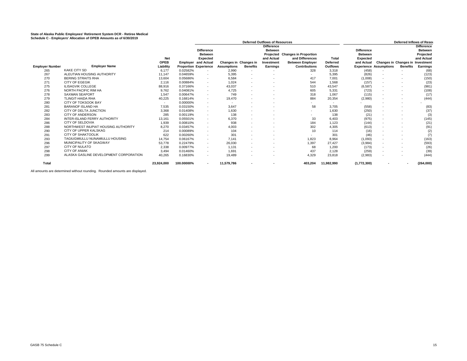|                        |                                        |             |                              | <b>Deferred Outflows of Resources</b> |                              |                          |                   | <b>Deferred Inflows of Resor</b> |                          |                   |                                  |                          |                   |
|------------------------|----------------------------------------|-------------|------------------------------|---------------------------------------|------------------------------|--------------------------|-------------------|----------------------------------|--------------------------|-------------------|----------------------------------|--------------------------|-------------------|
|                        |                                        |             |                              |                                       |                              |                          | <b>Difference</b> |                                  |                          |                   |                                  |                          | <b>Difference</b> |
|                        |                                        |             |                              | <b>Difference</b>                     |                              |                          | <b>Between</b>    |                                  |                          | <b>Difference</b> |                                  |                          | <b>Between</b>    |
|                        |                                        |             |                              | <b>Between</b>                        |                              |                          |                   | Projected Changes in Proportion  |                          | <b>Between</b>    |                                  |                          | Projected         |
|                        |                                        | Net         |                              | <b>Expected</b>                       |                              |                          | and Actual        | and Differences                  | Total                    | <b>Expected</b>   |                                  |                          | and Actual        |
|                        |                                        | <b>OPEB</b> |                              | <b>Employer and Actual</b>            | <b>Changes in Changes in</b> |                          | Investment        | <b>Between Emplover</b>          | <b>Deferred</b>          | and Actual        | Changes in Changes in Investment |                          |                   |
| <b>Employer Number</b> | <b>Employer Name</b>                   | Liability   | <b>Proportion Experience</b> |                                       | <b>Assumptions</b>           | <b>Benefits</b>          | Earnings          | <b>Contributions</b>             | <b>Outflows</b>          |                   | <b>Experience Assumptions</b>    | <b>Benefits</b>          | Earnings          |
| 265                    | <b>KAKE CITY SD</b>                    | 6.177       | 0.02582%                     | $\sim$                                | 2,990                        |                          |                   | 328                              | 3,318                    | (458)             | $\sim$                           |                          | (68)              |
| 267                    | ALEUTIAN HOUSING AUTHORITY             | 11,147      | 0.04659%                     | $\sim$                                | 5,395                        | $\overline{\phantom{a}}$ | $\overline{a}$    |                                  | 5,395                    | (826)             | $\overline{\phantom{a}}$         |                          | (123)             |
| 270                    | <b>BERING STRAITS RHA</b>              | 13,604      | 0.05686%                     | ۰.                                    | 6,584                        | $\sim$                   | ٠                 | 417                              | 7.001                    | (1,008)           | $\sim$                           | $\overline{\phantom{a}}$ | (150)             |
| 271                    | <b>CITY OF EGEGIK</b>                  | 2.116       | 0.00884%                     | $\sim$                                | 1.024                        | $\sim$                   | $\sim$            | 544                              | 1.568                    | (157)             | $\overline{\phantom{a}}$         | $\sim$                   | (23)              |
| 275                    | <b>ILISAGVIK COLLEGE</b>               | 88,916      | 0.37166%                     | ۰.                                    | 43,037                       | $\sim$                   |                   | 510                              | 43,547                   | (6, 587)          | $\overline{\phantom{a}}$         |                          | (981)             |
| 276                    | NORTH PACIFIC RIM HA                   | 9.762       | 0.04081%                     | $\sim$                                | 4,725                        | $\overline{a}$           | $\sim$            | 605                              | 5,331                    | (723)             | $\sim$                           |                          | (108)             |
| 278                    | <b>SAXMAN SEAPORT</b>                  | 1,547       | 0.00647%                     | $\sim$                                | 749                          | $\sim$                   | ٠                 | 318                              | 1.067                    | (115)             | $\overline{\phantom{a}}$         | $\overline{a}$           | (17)              |
| 279                    | <b>TLINGIT-HAIDA RHA</b>               | 40,225      | 0.16814%                     | ۰.                                    | 19,470                       | $\sim$                   |                   | 884                              | 20,354                   | (2,980)           | $\overline{\phantom{a}}$         |                          | (444)             |
| 280                    | CITY OF TOKSOOK BAY                    | $\sim$      | 0.00000%                     | $\sim$                                | $\sim$                       | $\overline{\phantom{a}}$ | $\sim$            | $\sim$                           | $\overline{\phantom{a}}$ |                   | $\sim$                           | $\overline{\phantom{a}}$ |                   |
| 281                    | <b>BARANOF ISLAND HA</b>               | 7,535       | 0.03150%                     | ۰.                                    | 3,647                        | $\overline{a}$           | $\sim$            | 58                               | 3.705                    | (558)             | $\overline{\phantom{a}}$         |                          | (83)              |
| 282                    | CITY OF DELTA JUNCTION                 | 3,368       | 0.01408%                     | $\sim$                                | 1,630                        | $\sim$                   |                   | $\overline{a}$                   | 1.630                    | (250)             | $\overline{\phantom{a}}$         |                          | (37)              |
| 283                    | <b>CITY OF ANDERSON</b>                | 285         | 0.00119%                     | $\sim$                                | 138                          | $\sim$                   | ٠                 |                                  | 138                      | (21)              | $\overline{\phantom{a}}$         | $\overline{\phantom{a}}$ | (3)               |
| 284                    | INTER-ISLAND FERRY AUTHORITY           | 13,161      | 0.05501%                     | $\sim$                                | 6,370                        | $\overline{a}$           |                   | 33                               | 6.403                    | (975)             | $\sim$                           |                          | (145)             |
| 286                    | <b>CITY OF SELDOVIA</b>                | 1.939       | 0.00810%                     | $\sim$                                | 938                          | $\sim$                   | $\sim$            | 184                              | 1.123                    | (144)             | $\overline{\phantom{a}}$         |                          | (21)              |
| 288                    | NORTHWEST INUPIAT HOUSING AUTHORITY    | 8,270       | 0.03457%                     | $\sim$                                | 4,003                        | $\sim$                   | $\sim$            | 302                              | 4.305                    | (613)             | $\overline{\phantom{a}}$         | $\overline{\phantom{a}}$ | (91)              |
| 290                    | CITY OF UPPER KALSKAG                  | 214         | 0.00089%                     | ٠                                     | 104                          | $\sim$                   |                   | 10                               | 114                      | (16)              | $\overline{\phantom{a}}$         |                          | (2)               |
| 291                    | <b>CITY OF SHAKTOOLIK</b>              | 622         | 0.00260%                     | $\sim$                                | 301                          | $\sim$                   | $\sim$            |                                  | 301                      | (46)              | $\overline{\phantom{a}}$         |                          | (7)               |
| 293                    | TAGIUGMIULLU NUNAMIULLU HOUSING        | 14,754      | 0.06167%                     | $\sim$                                | 7.141                        | $\overline{a}$           | $\sim$            | 1,823                            | 8.964                    | (1,093)           | $\overline{\phantom{a}}$         |                          | (163)             |
| 296                    | MUNICIPALITY OF SKAGWAY                | 53,778      | 0.22479%                     | $\sim$                                | 26,030                       | $\sim$                   |                   | 1,397                            | 27.427                   | (3,984)           | $\overline{\phantom{a}}$         |                          | (593)             |
| 297                    | <b>CITY OF NULATO</b>                  | 2.338       | 0.00977%                     | $\sim$                                | 1.131                        | $\sim$                   | $\sim$            | 68                               | 1.200                    | (173)             | $\sim$                           |                          | (26)              |
| 298                    | <b>CITY OF ANIAK</b>                   | 3.494       | 0.01460%                     | $\sim$                                | 1,691                        | $\overline{\phantom{a}}$ | $\sim$            | 437                              | 2,128                    | (259)             | $\sim$                           |                          | (39)              |
| 299                    | ALASKA GASLINE DEVELOPMENT CORPORATION | 40,265      | 0.16830%                     | $\sim$                                | 19,489                       | $\overline{\phantom{a}}$ | ٠                 | 4,329                            | 23,818                   | (2,983)           | $\sim$                           | $\sim$                   | (444)             |
| Total                  |                                        | 23,924,000  | 100.00000%                   | $\blacksquare$                        | 11,579,786                   | $\overline{\phantom{a}}$ |                   | 403,204                          | 11,982,990               | (1,772,300)       |                                  | $\blacksquare$           | (264,000)         |

All amounts are determined without rounding. Rounded amounts are displayed.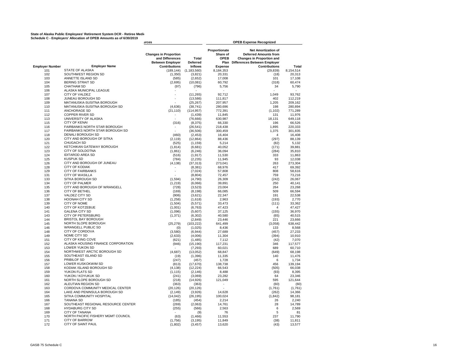# State of Alaska Public Employees' Retirement System DCR - Retiree Medi**ration and State**<br>Schedule C - Employers' Allocation of OPEB Amounts as of 6/30/2019

|                        |                                                      | urces                                                                      |                          |                                                  | <b>OPEB Expense Recognized</b>                                                                                                        |                   |
|------------------------|------------------------------------------------------|----------------------------------------------------------------------------|--------------------------|--------------------------------------------------|---------------------------------------------------------------------------------------------------------------------------------------|-------------------|
|                        |                                                      | <b>Changes in Proportion</b><br>and Differences<br><b>Between Employer</b> | Total<br><b>Deferred</b> | Proportionate<br>Share of<br><b>OPEB</b><br>Plan | <b>Net Amortization of</b><br><b>Deferred Amounts from</b><br><b>Changes in Proportion and</b><br><b>Differences Between Employer</b> |                   |
| <b>Employer Number</b> | <b>Employer Name</b>                                 | <b>Contributions</b>                                                       | <b>Inflows</b>           | <b>Expense</b>                                   | <b>Contributions</b>                                                                                                                  | <b>Total</b>      |
| 101                    | <b>STATE OF ALASKA</b><br>SOUTHWEST REGION SD        | (189, 144)                                                                 | (1, 183, 560)            | 8,184,353                                        | (29, 839)                                                                                                                             | 8,154,514         |
| 102                    |                                                      | (1,350)                                                                    | (3,821)                  | 20,331                                           | (18)                                                                                                                                  | 20,313            |
| 103                    | ANNETTE ISLAND SD<br><b>BERING STRAIT SD</b>         | (585)                                                                      | (2,652)                  | 17,008                                           | 101                                                                                                                                   | 17,108            |
| 104<br>105             | <b>CHATHAM SD</b>                                    | (2,695)<br>(97)                                                            | (10,081)<br>(796)        | 60,792<br>5,756                                  | (318)<br>34                                                                                                                           | 60,474<br>5,790   |
| 106                    | ALASKA MUNICIPAL LEAGUE                              |                                                                            |                          | ×                                                |                                                                                                                                       |                   |
| 107                    | <b>CITY OF VALDEZ</b>                                |                                                                            | (11, 265)                | 92,712                                           | 1,049                                                                                                                                 | 93,762            |
| 108                    | JUNEAU BOROUGH SD                                    |                                                                            | (13, 586)                | 111,817                                          | 402                                                                                                                                   | 112,219           |
| 109                    | MATANUSKA-SUSITNA BOROUGH                            |                                                                            | (25, 267)                | 207,957                                          | 1,205                                                                                                                                 | 209,162           |
| 110                    | MATANUSKA-SUSITNA BOROUGH SD                         | (4,636)                                                                    | (38, 741)                | 280,696                                          | 198                                                                                                                                   | 280,894           |
| 111                    | ANCHORAGE SD                                         | (21, 110)                                                                  | (114, 957)               | 772,391                                          | (1, 102)                                                                                                                              | 771,289           |
| 112                    | <b>COPPER RIVER SD</b>                               |                                                                            | (1, 439)                 | 11,845                                           | 131                                                                                                                                   | 11,976            |
| 113                    | UNIVERSITY OF ALASKA                                 | ÷.                                                                         | (76, 666)                | 630,987                                          | 18,131                                                                                                                                | 649,118           |
| 115                    | <b>CITY OF KENAI</b>                                 | (316)                                                                      | (8, 375)                 | 66,330                                           | 196                                                                                                                                   | 66,526            |
| 116                    | FAIRBANKS NORTH STAR BOROUGH                         |                                                                            | (26, 541)                | 218,438                                          | 1,895                                                                                                                                 | 220,333           |
| 117                    | FAIRBANKS NORTH STAR BOROUGH SD                      |                                                                            | (36, 506)                | 300,459                                          | 1,375                                                                                                                                 | 301,835           |
| 118                    | <b>DENALI BOROUGH SD</b>                             | (460)                                                                      | (2, 453)                 | 16,404                                           | $\overline{4}$                                                                                                                        | 16,408            |
| 120                    | CITY AND BOROUGH OF SITKA                            | (2, 119)                                                                   | (12, 864)                | 88,436                                           | (297)                                                                                                                                 | 88,139            |
| 121                    | CHUGACH SD                                           | (525)                                                                      | (1, 159)                 | 5,214                                            | (82)                                                                                                                                  | 5,132             |
| 122                    | KETCHIKAN GATEWAY BOROUGH                            | (1, 814)                                                                   | (6,681)                  | 40.052                                           | (171)                                                                                                                                 | 39.881            |
| 123                    | CITY OF SOLDOTNA                                     | (1,861)                                                                    | (6, 246)                 | 36,094                                           | (284)                                                                                                                                 | 35,810            |
| 124                    | <b>IDITAROD AREA SD</b>                              | (516)                                                                      | (1, 917)                 | 11,530                                           | 333                                                                                                                                   | 11,863            |
| 125<br>126             | <b>KUSPUK SD</b><br>CITY AND BOROUGH OF JUNEAU       | (784)                                                                      | (2, 235)                 | 11,945<br>273,041                                | 93<br>263                                                                                                                             | 12,038<br>273,304 |
| 128                    | <b>CITY OF KODIAK</b>                                | (4, 138)                                                                   | (37, 313)                | 68,976                                           | 417                                                                                                                                   | 69,392            |
| 129                    | <b>CITY OF FAIRBANKS</b>                             |                                                                            | (8, 381)<br>(7,024)      | 57,808                                           | 808                                                                                                                                   | 58.616            |
| 131                    | <b>CITY OF WASILLA</b>                               |                                                                            | (8,804)                  | 72,457                                           | 759                                                                                                                                   | 73,216            |
| 133                    | SITKA BOROUGH SD                                     | (1,594)                                                                    | (4,790)                  | 26,309                                           | (242)                                                                                                                                 | 26,067            |
| 134                    | <b>CITY OF PALMER</b>                                | (1, 219)                                                                   | (6,066)                  | 39,891                                           | 250                                                                                                                                   | 40.141            |
| 135                    | CITY AND BOROUGH OF WRANGELL                         | (728)                                                                      | (3, 523)                 | 23,004                                           | 264                                                                                                                                   | 23,268            |
| 136                    | <b>CITY OF BETHEL</b>                                | (169)                                                                      | (8, 198)                 | 66.085                                           | 509                                                                                                                                   | 66.594            |
| 137                    | VALDEZ CITY SD                                       | (906)                                                                      | (3,621)                  | 22,347                                           | 191                                                                                                                                   | 22,538            |
| 138                    | <b>HOONAH CITY SD</b>                                | (1,258)                                                                    | (1,618)                  | 2,963                                            | (193)                                                                                                                                 | 2,770             |
| 139                    | CITY OF NOME                                         | (1,504)                                                                    | (5, 571)                 | 33,473                                           | (111)                                                                                                                                 | 33,362            |
| 140                    | <b>CITY OF KOTZEBUE</b>                              | (1,001)                                                                    | (6, 763)                 | 47,423                                           | $\overline{4}$                                                                                                                        | 47,427            |
| 141                    | <b>GALENA CITY SD</b>                                | (1,096)                                                                    | (5,607)                  | 37,125                                           | (155)                                                                                                                                 | 36,970            |
| 143                    | <b>CITY OF PETERSBURG</b>                            | (1, 371)                                                                   | (6, 302)                 | 40,580                                           | (65)                                                                                                                                  | 40,515            |
| 144                    | <b>BRISTOL BAY BOROUGH</b>                           |                                                                            | (2,849)                  | 23,446                                           | 221                                                                                                                                   | 23,666            |
| 145                    | NORTH SLOPE BOROUGH                                  | (25, 279)                                                                  | (103, 222)               | 641,499                                          | (3,058)                                                                                                                               | 638,442           |
| 146                    | <b>WRANGELL PUBLIC SD</b>                            | (0)                                                                        | (1,025)                  | 8,436                                            | 133                                                                                                                                   | 8,568             |
| 148                    | CITY OF CORDOVA                                      | (3,580)                                                                    | (6, 944)                 | 27.689                                           | (457)                                                                                                                                 | 27.233            |
| 149                    | NOME CITY SD                                         | (2,633)                                                                    | (4,006)                  | 11,304                                           | (394)                                                                                                                                 | 10,910            |
| 151                    | CITY OF KING COVE                                    | (621)                                                                      | (1, 485)                 | 7,112                                            | (42)                                                                                                                                  | 7,070             |
| 152<br>153             | ALASKA HOUSING FINANCE CORPORATION<br>LOWER YUKON SD | (946)                                                                      | (15, 190)                | 117,231<br>60,021                                | 346<br>689                                                                                                                            | 117,577<br>60,710 |
| 154                    | NORTHWEST ARCTIC BOROUGH SD                          | (4.687)                                                                    | (7, 293)<br>(13,052)     | 68.847                                           | (649)                                                                                                                                 | 68.198            |
| 155                    | SOUTHEAST ISLAND SD                                  | (19)                                                                       | (1, 396)                 | 11,335                                           | 140                                                                                                                                   | 11,476            |
| 156                    | PRIBILOF SD                                          | (247)                                                                      | (457)                    | 1,728                                            | 6                                                                                                                                     | 1,734             |
| 157                    | LOWER KUSKOKWIM SD                                   | (813)                                                                      | (17, 670)                | 138,738                                          | 456                                                                                                                                   | 139,194           |
| 158                    | KODIAK ISLAND BOROUGH SD                             | (4, 138)                                                                   | (12, 224)                | 66,543                                           | (505)                                                                                                                                 | 66,038            |
| 159                    | YUKON FLATS SD                                       | (1, 115)                                                                   | (2, 146)                 | 8,488                                            | (93)                                                                                                                                  | 8,395             |
| 160                    | YUKON / KOYUKUK SD                                   | (241)                                                                      | (3,069)                  | 23,282                                           | 64                                                                                                                                    | 23,346            |
| 161                    | NORTH SLOPE BOROUGH SD                               | (218)                                                                      | (14, 926)                | 121,049                                          | 595                                                                                                                                   | 121,644           |
| 162                    | ALEUTIAN REGION SD                                   | (363)                                                                      | (363)                    | $\sim$                                           | (60)                                                                                                                                  | (60)              |
| 163                    | CORDOVA COMMUNITY MEDICAL CENTER                     | (20, 126)                                                                  | (20, 126)                | ÷.                                               | (1,761)                                                                                                                               | (1,761)           |
| 164                    | LAKE AND PENINSULA BOROUGH SD                        | (2, 149)                                                                   | (3,926)                  | 14,628                                           | (262)                                                                                                                                 | 14,366            |
| 165                    | SITKA COMMUNITY HOSPITAL                             | (14, 042)                                                                  | (26, 195)                | 100,024                                          | (1, 842)                                                                                                                              | 98,181            |
| 166                    | <b>TANANA SD</b>                                     | (185)                                                                      | (454)                    | 2,214                                            | 26                                                                                                                                    | 2,240             |
| 167                    | SOUTHEAST REGIONAL RESOURCE CENTER                   | (269)                                                                      | (2,063)                  | 14,761                                           | 28                                                                                                                                    | 14,789            |
| 168                    | <b>HYDABURG CITY SD</b>                              | (255)                                                                      | (566)                    | 2,563                                            | 6                                                                                                                                     | 2,569             |
| 169                    | <b>CITY OF TANANA</b>                                |                                                                            | (9)                      | 76                                               | 5                                                                                                                                     | 81                |
| 170                    | NORTH PACIFIC FISHERY MGMT COUNCIL                   | (63)                                                                       | (1, 466)                 | 11,553                                           | 237                                                                                                                                   | 11.790            |
| 171                    | <b>CITY OF BARROW</b>                                | (1,756)                                                                    | (3, 195)                 | 11.849                                           | (38)                                                                                                                                  | 11,811            |
| 172                    | CITY OF SAINT PAUL                                   | (1,802)                                                                    | (3, 457)                 | 13,620                                           | (43)                                                                                                                                  | 13,577            |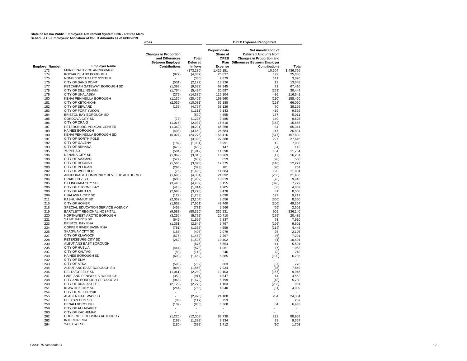# State of Alaska Public Employees' Retirement System DCR - Retiree Medi**ration and State**<br>Schedule C - Employers' Allocation of OPEB Amounts as of 6/30/2019

|                        |                                                        | urces                                                                      |                      |                                           |                                                                                                                                |                 |
|------------------------|--------------------------------------------------------|----------------------------------------------------------------------------|----------------------|-------------------------------------------|--------------------------------------------------------------------------------------------------------------------------------|-----------------|
|                        |                                                        | <b>Changes in Proportion</b><br>and Differences<br><b>Between Employer</b> | Total<br>Deferred    | Proportionate<br>Share of<br>OPEB<br>Plan | <b>Net Amortization of</b><br><b>Deferred Amounts from</b><br><b>Changes in Proportion and</b><br>Differences Between Employer |                 |
| <b>Employer Number</b> | <b>Employer Name</b>                                   | <b>Contributions</b>                                                       | <b>Inflows</b>       | <b>Expense</b>                            | <b>Contributions</b>                                                                                                           | Total           |
| 173                    | MUNICIPALITY OF ANCHORAGE                              |                                                                            | (173, 280)           | 1,426,151                                 | 10,604                                                                                                                         | 1,436,756       |
| 174                    | KODIAK ISLAND BOROUGH                                  | (972)                                                                      | (4,087)              | 25,637                                    | 199                                                                                                                            | 25,836          |
| 175                    | NOME JOINT UTILITY SYSTEM                              |                                                                            | (350)                | 2,879                                     | 141                                                                                                                            | 3,020           |
| 176                    | <b>CITY OF SAND POINT</b>                              | (501)                                                                      | (2, 122)             | 13.336                                    | 12                                                                                                                             | 13.348          |
| 177                    | KETCHIKAN GATEWAY BOROUGH SD                           | (1, 399)                                                                   | (9, 582)             | 67,345                                    | 71                                                                                                                             | 67,416          |
| 178                    | <b>CITY OF DILLINGHAM</b>                              | (1,764)                                                                    | (5, 494)             | 30,697                                    | (253)                                                                                                                          | 30,444          |
| 179                    | <b>CITY OF UNALASKA</b>                                | (279)                                                                      | (14, 386)            | 116,104                                   | 436                                                                                                                            | 116,541         |
| 180                    | KENAI PENINSULA BOROUGH                                | (1, 136)                                                                   | (20, 402)            | 158,560                                   | (110)                                                                                                                          | 158,450         |
| 181                    | <b>CITY OF KETCHIKAN</b>                               | (2,039)                                                                    | (10,081)             | 66.188                                    | (128)                                                                                                                          | 66.060          |
| 182                    | <b>CITY OF SEWARD</b>                                  | (135)                                                                      | (4, 767)             | 38,126                                    | 70                                                                                                                             | 38,195          |
| 183                    | CITY OF FORT YUKON                                     | ٠                                                                          | (1, 111)             | 9,143                                     | 419                                                                                                                            | 9,562           |
| 184                    | BRISTOL BAY BOROUGH SD                                 | ä,                                                                         | (590)                | 4,855                                     | 157                                                                                                                            | 5,011           |
| 185                    | CORDOVA CITY SD                                        | (73)                                                                       | (1, 226)             | 9,485                                     | 140                                                                                                                            | 9,625           |
| 186                    | <b>CITY OF CRAIG</b>                                   | (1,016)                                                                    | (2, 937)             | 15,810                                    | (153)                                                                                                                          | 15,656          |
| 187                    | PETERSBURG MEDICAL CENTER                              | (1, 362)                                                                   | (9, 291)             | 65,258                                    | 84                                                                                                                             | 65,341          |
| 189                    | <b>HAINES BOROUGH</b>                                  | (408)                                                                      | (3,650)              | 26,684                                    | 147                                                                                                                            | 26,831          |
| 190                    | KENAI PENINSULA BOROUGH SD                             | (5,027)                                                                    | (24, 275)            | 158,416                                   | (577)                                                                                                                          | 157,839         |
| 191                    | CITY OF NORTH POLE                                     |                                                                            | (3,328)              | 27,388                                    | 227                                                                                                                            | 27,616          |
| 192                    | <b>CITY OF GALENA</b>                                  | (182)                                                                      | (1,031)              | 6.991                                     | 42                                                                                                                             | 7,033           |
| 193                    | <b>CITY OF NENANA</b>                                  | (670)                                                                      | (688)                | 147                                       | (34)                                                                                                                           | 113             |
| 195                    | <b>YUPIIT SD</b>                                       | (504)                                                                      | (1, 912)             | 11,590                                    | 164                                                                                                                            | 11,754          |
| 196                    | NENANA CITY SD                                         | (1,069)                                                                    | (3,045)              | 16,269                                    | (17)                                                                                                                           | 16,251          |
| 198                    | <b>CITY OF SAXMAN</b>                                  | (579)                                                                      | (659)                | 659                                       | (90)                                                                                                                           | 568             |
| 199                    | <b>CITY OF HOONAH</b>                                  | (1,586)                                                                    | (3,090)              | 12,375                                    | (148)                                                                                                                          | 12.227          |
| 200                    | CITY OF PELICAN                                        | (298)                                                                      | (393)                | 781                                       | (20)                                                                                                                           | 761             |
| 202                    | <b>CITY OF WHITTIER</b>                                | (78)                                                                       | (1, 498)             | 11,684                                    | 120                                                                                                                            | 11,804          |
| 203                    | ANCHORAGE COMMUNITY DEVELOP AUTHORITY                  | (1,698)                                                                    | (4, 334)             | 21,692                                    | (256)                                                                                                                          | 21,436          |
| 204                    | <b>CRAIG CITY SD</b>                                   | (685)                                                                      | (1,902)              | 10,019                                    | (76)                                                                                                                           | 9,943           |
| 205                    | DILLINGHAM CITY SD                                     | (3, 448)                                                                   | (4, 439)             | 8,155                                     | (376)                                                                                                                          | 7,779           |
| 206                    | CITY OF THORNE BAY                                     | (418)                                                                      | (1,014)              | 4,905                                     | (36)                                                                                                                           | 4,869           |
| 208                    | <b>CITY OF AKUTAN</b>                                  | (2,698)                                                                    | (3,728)              | 8,478                                     | 81                                                                                                                             | 8,558           |
| 209                    | UNALASKA CITY SD<br><b>KASHUNAMIUT SD</b>              | (129)                                                                      | (1, 233)             | 9,090                                     | 127                                                                                                                            | 9,217<br>8.350  |
| 211<br>215             | <b>CITY OF HOMER</b>                                   | (2,052)                                                                    | (3, 104)             | 8.656                                     | (306)                                                                                                                          |                 |
| 218                    | SPECIAL EDUCATION SERVICE AGENCY                       | (1,652)                                                                    | (7,661)              | 49,460                                    | (206)                                                                                                                          | 49,254          |
|                        |                                                        | (459)                                                                      | (771)                | 2,566                                     | (65)<br>909                                                                                                                    | 2,501           |
| 219                    | BARTLETT REGIONAL HOSPITAL<br>NORTHWEST ARCTIC BOROUGH | (9,588)                                                                    | (50, 320)            | 335,231                                   |                                                                                                                                | 336,140         |
| 220<br>221             | <b>SAINT MARY'S SD</b>                                 | (3,256)<br>(642)                                                           | (5, 772)<br>(1, 595) | 20,710<br>7.837                           | (275)<br>73                                                                                                                    | 20,435<br>7,910 |
| 223                    | <b>BRISTOL BAY RHA</b>                                 | (1, 351)                                                                   |                      | 9,797                                     | (196)                                                                                                                          | 9,601           |
| 224                    | COPPER RIVER BASIN RHA                                 | (781)                                                                      | (2, 542)<br>(1, 335) | 4,559                                     | (114)                                                                                                                          | 4,445           |
| 225                    | <b>SKAGWAY CITY SD</b>                                 |                                                                            |                      | 2,079                                     | 26                                                                                                                             | 2,105           |
| 227                    | <b>CITY OF KLAWOCK</b>                                 | (156)<br>(575)                                                             | (408)<br>(1, 462)    | 7,297                                     | (6)                                                                                                                            | 7,291           |
| 228                    | PETERSBURG CITY SD                                     | (262)                                                                      | (1,526)              | 10.402                                    | (1)                                                                                                                            | 10.401          |
| 230                    | ALEUTIANS EAST BOROUGH                                 |                                                                            | (675)                | 5,554                                     | 41                                                                                                                             | 5,594           |
| 235                    | <b>CITY OF HUSLIA</b>                                  | (444)                                                                      | (573)                | 1,061                                     | (7)                                                                                                                            | 1,053           |
| 237                    | <b>CITY OF KALTAG</b>                                  | (83)                                                                       | (113)                | 246                                       | (3)                                                                                                                            | 243             |
| 240                    | HAINES BOROUGH SD                                      | (693)                                                                      | (1, 469)             | 6,385                                     | (100)                                                                                                                          | 6,285           |
| 242                    | <b>CITY OF ELIM</b>                                    |                                                                            |                      |                                           |                                                                                                                                |                 |
| 243                    | <b>CITY OF ATKA</b>                                    | (598)                                                                      | (702)                | 863                                       | (87)                                                                                                                           | 776             |
| 244                    | ALEUTIANS EAST BOROUGH SD                              | (894)                                                                      | (1, 858)             | 7,934                                     | (85)                                                                                                                           | 7,849           |
| 246                    | DELTA/GREELY SD                                        | (1,061)                                                                    | (2, 289)             | 10,103                                    | (157)                                                                                                                          | 9,945           |
| 247                    | LAKE AND PENINSULA BOROUGH                             | (359)                                                                      | (911)                | 4,547                                     | 14                                                                                                                             | 4,562           |
| 248                    | CITY AND BOROUGH OF YAKUTAT                            | (968)                                                                      | (1,672)              | 5,799                                     | (18)                                                                                                                           | 5,780           |
| 249                    | <b>CITY OF UNALAKLEET</b>                              | (2, 129)                                                                   | (2, 270)             | 1,163                                     | (203)                                                                                                                          | 961             |
| 251                    | <b>KLAWOCK CITY SD</b>                                 | (264)                                                                      | (755)                | 4,040                                     | (31)                                                                                                                           | 4,009           |
| 254                    | <b>CITY OF MEKORYUK</b>                                |                                                                            |                      |                                           |                                                                                                                                |                 |
| 255                    | ALASKA GATEWAY SD                                      |                                                                            | (2,928)              | 24,100                                    | 284                                                                                                                            | 24,384          |
| 257                    | PELICAN CITY SD                                        | (86)                                                                       | (117)                | 253                                       | 5                                                                                                                              | 257             |
| 258                    | <b>DENALI BOROUGH</b>                                  | (109)                                                                      | (883)                | 6,368                                     | 64                                                                                                                             | 6,433           |
| 259                    | CITY OF ALLAKAKET                                      | ä,                                                                         | ٠                    | ×                                         | ٠                                                                                                                              | $\sim$          |
| 260                    | <b>CITY OF KACHEMAK</b>                                |                                                                            |                      | ×,                                        |                                                                                                                                | ÷               |
| 262                    | COOK INLET HOUSING AUTHORITY                           | (1.226)                                                                    | (12,008)             | 88.738                                    | 222                                                                                                                            | 88.959          |
| 263                    | <b>INTERIOR RHA</b>                                    | (199)                                                                      | (1, 333)             | 9,334                                     | 23                                                                                                                             | 9,357           |
| 264                    | YAKUTAT SD                                             | (180)                                                                      | (388)                | 1,712                                     | (10)                                                                                                                           | 1,703           |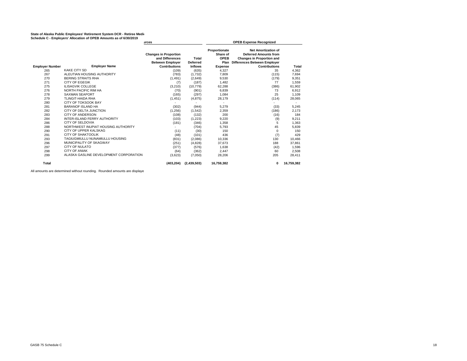# State of Alaska Public Employees' Retirement System DCR - Retiree Medi**ration and State**<br>Schedule C - Employers' Allocation of OPEB Amounts as of 6/30/2019

|                        | Scriedule C - Employers, Allocation of OPED Amounts as of 6/30/2019 | urces                                                                      |                          |                                                  | <b>OPEB Expense Recognized</b>                                                                                                 |            |
|------------------------|---------------------------------------------------------------------|----------------------------------------------------------------------------|--------------------------|--------------------------------------------------|--------------------------------------------------------------------------------------------------------------------------------|------------|
|                        |                                                                     | <b>Changes in Proportion</b><br>and Differences<br><b>Between Employer</b> | Total<br><b>Deferred</b> | Proportionate<br>Share of<br><b>OPEB</b><br>Plan | <b>Net Amortization of</b><br><b>Deferred Amounts from</b><br><b>Changes in Proportion and</b><br>Differences Between Employer |            |
| <b>Employer Number</b> | <b>Employer Name</b>                                                | <b>Contributions</b>                                                       | <b>Inflows</b>           | <b>Expense</b>                                   | <b>Contributions</b>                                                                                                           | Total      |
| 265                    | <b>KAKE CITY SD</b>                                                 | (109)                                                                      | (635)                    | 4,327                                            | 35                                                                                                                             | 4,362      |
| 267                    | ALEUTIAN HOUSING AUTHORITY                                          | (783)                                                                      | (1,732)                  | 7,809                                            | (115)                                                                                                                          | 7,694      |
| 270                    | <b>BERING STRAITS RHA</b>                                           | (1, 491)                                                                   | (2,649)                  | 9,530                                            | (179)                                                                                                                          | 9,351      |
| 271                    | <b>CITY OF EGEGIK</b>                                               | (7)                                                                        | (187)                    | 1,482                                            | 77                                                                                                                             | 1,559      |
| 275                    | <b>ILISAGVIK COLLEGE</b>                                            | (3,210)                                                                    | (10, 779)                | 62,288                                           | (386)                                                                                                                          | 61,902     |
| 276                    | NORTH PACIFIC RIM HA                                                | (70)                                                                       | (901)                    | 6,839                                            | 73                                                                                                                             | 6,912      |
| 278                    | <b>SAXMAN SEAPORT</b>                                               | (165)                                                                      | (297)                    | 1,084                                            | 25                                                                                                                             | 1,109      |
| 279                    | <b>TLINGIT-HAIDA RHA</b>                                            | (1, 451)                                                                   | (4, 875)                 | 28,179                                           | (114)                                                                                                                          | 28,065     |
| 280                    | <b>CITY OF TOKSOOK BAY</b>                                          |                                                                            |                          |                                                  |                                                                                                                                |            |
| 281                    | <b>BARANOF ISLAND HA</b>                                            | (302)                                                                      | (944)                    | 5,279                                            | (33)                                                                                                                           | 5,245      |
| 282                    | CITY OF DELTA JUNCTION                                              | (1,256)                                                                    | (1, 542)                 | 2,359                                            | (186)                                                                                                                          | 2,173      |
| 283                    | <b>CITY OF ANDERSON</b>                                             | (108)                                                                      | (132)                    | 200                                              | (16)                                                                                                                           | 184        |
| 284                    | INTER-ISLAND FERRY AUTHORITY                                        | (103)                                                                      | (1, 223)                 | 9,220                                            | (9)                                                                                                                            | 9,211      |
| 286                    | <b>CITY OF SELDOVIA</b>                                             | (181)                                                                      | (346)                    | 1,358                                            | 5                                                                                                                              | 1,363      |
| 288                    | NORTHWEST INUPIAT HOUSING AUTHORITY                                 |                                                                            | (704)                    | 5,793                                            | 45                                                                                                                             | 5,839      |
| 290                    | CITY OF UPPER KALSKAG                                               | (11)                                                                       | (30)                     | 150                                              | $\Omega$                                                                                                                       | 150        |
| 291                    | <b>CITY OF SHAKTOOLIK</b>                                           | (48)                                                                       | (101)                    | 436                                              | (7)                                                                                                                            | 429        |
| 293                    | TAGIUGMIULLU NUNAMIULLU HOUSING                                     | (831)                                                                      | (2,086)                  | 10,336                                           | 130                                                                                                                            | 10,466     |
| 296                    | MUNICIPALITY OF SKAGWAY                                             | (251)                                                                      | (4,828)                  | 37,673                                           | 188                                                                                                                            | 37,861     |
| 297                    | <b>CITY OF NULATO</b>                                               | (377)                                                                      | (576)                    | 1,638                                            | (42)                                                                                                                           | 1,596      |
| 298                    | <b>CITY OF ANIAK</b>                                                | (64)                                                                       | (362)                    | 2,447                                            | 60                                                                                                                             | 2,508      |
| 299                    | ALASKA GASLINE DEVELOPMENT CORPORATION                              | (3,623)                                                                    | (7,050)                  | 28,206                                           | 205                                                                                                                            | 28.411     |
| Total                  |                                                                     | (403.204)                                                                  | (2,439,503)              | 16,759,382                                       | 0                                                                                                                              | 16,759,382 |

All amounts are determined without rounding. Rounded amounts are displaye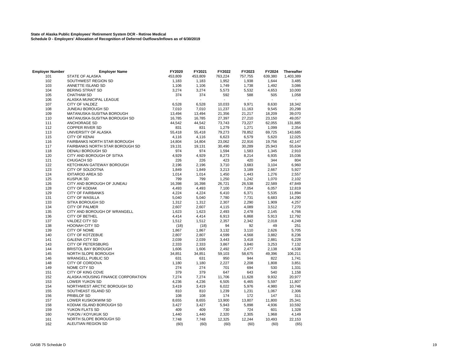# **State of Alaska Public Employees' Retirement System DCR - Retiree Medical Schedule D - Employers' Allocation of Recognition of Deferred Outflows/Inflows as of 6/30/2019**

| <b>Employer Number</b> | <b>Employer Name</b>               | FY2020  | FY2021  | FY2022                   | FY2023  | FY2024  | <b>Thereafter</b> |
|------------------------|------------------------------------|---------|---------|--------------------------|---------|---------|-------------------|
| 101                    | <b>STATE OF ALASKA</b>             | 453,809 | 453,809 | 763,224                  | 757,755 | 639,380 | 1,403,389         |
| 102                    | SOUTHWEST REGION SD                | 1,183   | 1,183   | 1,952                    | 1,938   | 1,644   | 3,485             |
| 103                    | ANNETTE ISLAND SD                  | 1,106   | 1,106   | 1,749                    | 1,738   | 1,492   | 3,086             |
| 104                    | BERING STRAIT SD                   | 3,274   | 3,274   | 5,573                    | 5,532   | 4,653   | 10,000            |
| 105                    | <b>CHATHAM SD</b>                  | 374     | 374     | 592                      | 588     | 505     | 1,058             |
| 106                    | ALASKA MUNICIPAL LEAGUE            |         |         | $\overline{\phantom{a}}$ |         |         |                   |
| 107                    | CITY OF VALDEZ                     | 6,528   | 6,528   | 10,033                   | 9,971   | 8,630   | 18,342            |
| 108                    | JUNEAU BOROUGH SD                  | 7,010   | 7,010   | 11,237                   | 11,163  | 9,545   | 20,298            |
| 109                    | MATANUSKA-SUSITNA BOROUGH          | 13,494  | 13,494  | 21,356                   | 21,217  | 18,209  | 39,070            |
| 110                    | MATANUSKA-SUSITNA BOROUGH SD       | 16,785  | 16,785  | 27,397                   | 27,210  | 23,150  | 49,057            |
| 111                    | ANCHORAGE SD                       | 44,542  | 44,542  | 73,743                   | 73,227  | 62,055  | 131,885           |
| 112                    | <b>COPPER RIVER SD</b>             | 831     | 831     | 1,279                    | 1,271   | 1,099   | 2,354             |
| 113                    | UNIVERSITY OF ALASKA               | 55,418  | 55,418  | 79,273                   | 78,852  | 69,725  | 143,685           |
| 115                    | <b>CITY OF KENAI</b>               | 4,116   | 4,116   | 6,623                    | 6,579   | 5,620   | 12,025            |
| 116                    | FAIRBANKS NORTH STAR BOROUGH       | 14,804  | 14,804  | 23,062                   | 22,916  | 19,756  | 42,147            |
| 117                    | FAIRBANKS NORTH STAR BOROUGH SD    | 19,131  | 19,131  | 30,490                   | 30,289  | 25,943  | 55,634            |
| 118                    | DENALI BOROUGH SD                  | 974     | 974     | 1,594                    | 1,583   | 1,345   | 2,910             |
| 120                    | CITY AND BOROUGH OF SITKA          | 4,929   | 4,929   | 8,273                    | 8,214   | 6,935   | 15,036            |
| 121                    | CHUGACH SD                         | 226     | 226     | 423                      | 420     | 344     | 804               |
| 122                    | KETCHIKAN GATEWAY BOROUGH          | 2,196   | 2,196   | 3,710                    | 3,683   | 3,104   | 6,960             |
| 123                    | CITY OF SOLDOTNA                   | 1,849   | 1,849   | 3,213                    | 3,189   | 2,667   | 5,927             |
| 124                    | <b>IDITAROD AREA SD</b>            | 1,014   | 1,014   | 1,450                    | 1,443   | 1,276   | 2,557             |
| 125                    | <b>KUSPUK SD</b>                   | 799     | 799     | 1,250                    | 1,242   | 1,070   | 2,102             |
| 126                    | CITY AND BOROUGH OF JUNEAU         | 16,398  | 16,398  | 26,721                   | 26,538  | 22,589  | 47,849            |
| 128                    | <b>CITY OF KODIAK</b>              | 4,493   | 4,493   | 7,100                    | 7,054   | 6,057   | 12,819            |
| 129                    | <b>CITY OF FAIRBANKS</b>           | 4,224   | 4,224   | 6,410                    | 6,371   | 5,535   | 11,894            |
| 131                    | <b>CITY OF WASILLA</b>             | 5,040   | 5,040   | 7,780                    | 7,731   | 6,683   | 14,290            |
| 133                    | SITKA BOROUGH SD                   | 1,312   | 1,312   | 2,307                    | 2,290   | 1,909   | 4,257             |
| 134                    | <b>CITY OF PALMER</b>              | 2,607   | 2,607   | 4,115                    | 4,089   | 3,512   | 7,270             |
| 135                    | CITY AND BOROUGH OF WRANGELL       | 1,623   | 1,623   | 2,493                    | 2,478   | 2,145   | 4,766             |
| 136                    | <b>CITY OF BETHEL</b>              | 4,414   | 4,414   | 6,913                    | 6,868   | 5,913   | 12,792            |
| 137                    | <b>VALDEZ CITY SD</b>              | 1,512   | 1,512   | 2,357                    | 2,342   | 2,018   | 4,249             |
| 138                    | HOONAH CITY SD                     | (18)    | (18)    | 94                       | 92      | 49      | 251               |
| 139                    | CITY OF NOME                       | 1,867   | 1,867   | 3,132                    | 3,110   | 2,626   | 5,705             |
| 140                    | <b>CITY OF KOTZEBUE</b>            | 2,807   | 2,807   | 4,599                    | 4,568   | 3,882   | 8,236             |
| 141                    | <b>GALENA CITY SD</b>              | 2,039   | 2,039   | 3,443                    | 3,418   | 2,881   | 6,228             |
| 143                    | <b>CITY OF PETERSBURG</b>          | 2,333   | 2,333   | 3,867                    | 3,840   | 3,253   | 7,132             |
| 144                    | <b>BRISTOL BAY BOROUGH</b>         | 1,606   | 1,606   | 2,492                    | 2,477   | 2,138   | 4,538             |
| 145                    | NORTH SLOPE BOROUGH                | 34,851  | 34,851  | 59,103                   | 58,675  | 49,396  | 106,211           |
| 146                    | <b>WRANGELL PUBLIC SD</b>          | 631     | 631     | 950                      | 944     | 822     | 1,741             |
| 148                    | CITY OF CORDOVA                    | 1,180   | 1,180   | 2,227                    | 2,208   | 1,808   | 3,851             |
| 149                    | NOME CITY SD                       | 274     | 274     | 701                      | 694     | 530     | 1,331             |
| 151                    | CITY OF KING COVE                  | 379     | 379     | 647                      | 643     | 540     | 1,158             |
| 152                    | ALASKA HOUSING FINANCE CORPORATION | 7,274   | 7,274   | 11,706                   | 11,628  | 9,932   | 20,977            |
| 153                    | LOWER YUKON SD                     | 4,236   | 4,236   | 6,505                    | 6,465   | 5,597   | 11,807            |
| 154                    | NORTHWEST ARCTIC BOROUGH SD        | 3,419   | 3,419   | 6,022                    | 5,976   | 4,980   | 10,746            |
| 155                    | SOUTHEAST ISLAND SD                | 810     | 810     | 1,239                    | 1,231   | 1,067   | 2,306             |
| 156                    | PRIBILOF SD                        | 108     | 108     | 174                      | 172     | 147     | 311               |
| 157                    | LOWER KUSKOKWIM SD                 | 8,655   | 8,655   | 13,900                   | 13,807  | 11,800  | 25,341            |
| 158                    | KODIAK ISLAND BOROUGH SD           | 3,427   | 3,427   | 5,943                    | 5,898   | 4,936   | 10,592            |
| 159                    | YUKON FLATS SD                     | 409     | 409     | 730                      | 724     | 601     | 1,328             |
| 160                    | YUKON / KOYUKUK SD                 | 1,440   | 1,440   | 2,320                    | 2,305   | 1,968   | 4,149             |
| 161                    | NORTH SLOPE BOROUGH SD             | 7,748   | 7,748   | 12,325                   | 12,244  | 10,493  | 22,153            |
| 162                    | ALEUTIAN REGION SD                 | (60)    | (60)    | (60)                     | (60)    | (60)    | (65)              |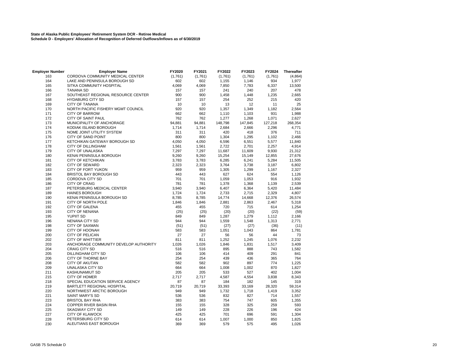# **State of Alaska Public Employees' Retirement System DCR - Retiree Medical Schedule D - Employers' Allocation of Recognition of Deferred Outflows/Inflows as of 6/30/2019**

| <b>Employer Number</b> | <b>Employer Name</b>                  | FY2020  | FY2021  | FY2022  | FY2023  | FY2024  | <b>Thereafter</b> |
|------------------------|---------------------------------------|---------|---------|---------|---------|---------|-------------------|
| 163                    | CORDOVA COMMUNITY MEDICAL CENTER      | (1,761) | (1,761) | (1,761) | (1,761) | (1,761) | (4,864)           |
| 164                    | LAKE AND PENINSULA BOROUGH SD         | 602     | 602     | 1,155   | 1,146   | 934     | 1,977             |
| 165                    | SITKA COMMUNITY HOSPITAL              | 4,069   | 4,069   | 7,850   | 7,783   | 6,337   | 13,500            |
| 166                    | <b>TANANA SD</b>                      | 157     | 157     | 241     | 240     | 207     | 478               |
| 167                    | SOUTHEAST REGIONAL RESOURCE CENTER    | 900     | 900     | 1,458   | 1,448   | 1,235   | 2,665             |
| 168                    | <b>HYDABURG CITY SD</b>               | 157     | 157     | 254     | 252     | 215     | 420               |
| 169                    | <b>CITY OF TANANA</b>                 | 10      | 10      | 13      | 12      | 11      | 25                |
| 170                    | NORTH PACIFIC FISHERY MGMT COUNCIL    | 920     | 920     | 1,357   | 1,349   | 1,182   | 2,564             |
| 171                    | <b>CITY OF BARROW</b>                 | 662     | 662     | 1,110   | 1,103   | 931     | 1,988             |
| 172                    | CITY OF SAINT PAUL                    | 762     | 762     | 1,277   | 1,268   | 1,071   | 2,627             |
| 173                    | MUNICIPALITY OF ANCHORAGE             | 94,881  | 94,881  | 148,798 | 147,845 | 127,218 | 268,354           |
| 174                    | KODIAK ISLAND BOROUGH                 | 1,714   | 1,714   | 2,684   | 2,666   | 2,296   | 4,771             |
| 175                    | NOME JOINT UTILITY SYSTEM             | 311     | 311     | 420     | 418     | 376     | 711               |
| 176                    | CITY OF SAND POINT                    | 800     | 800     | 1,304   | 1,295   | 1,102   | 2,466             |
| 177                    | KETCHIKAN GATEWAY BOROUGH SD          | 4,050   | 4,050   | 6,596   | 6,551   | 5,577   | 11,840            |
| 178                    | <b>CITY OF DILLINGHAM</b>             | 1,561   | 1,561   | 2,722   | 2,701   | 2,257   | 4,914             |
| 179                    | CITY OF UNALASKA                      | 7,297   | 7,297   | 11,687  | 11,609  | 9,930   | 21,312            |
| 180                    | KENAI PENINSULA BOROUGH               | 9,260   | 9,260   | 15,254  | 15,149  | 12,855  | 27,676            |
| 181                    | <b>CITY OF KETCHIKAN</b>              | 3,783   | 3,783   | 6,285   | 6,241   | 5,284   | 11,505            |
| 182                    | <b>CITY OF SEWARD</b>                 | 2,323   | 2,323   | 3,764   | 3,738   | 3,187   | 6,802             |
| 183                    | CITY OF FORT YUKON                    | 959     | 959     | 1,305   | 1,299   | 1,167   | 2,327             |
| 184                    | <b>BRISTOL BAY BOROUGH SD</b>         | 443     | 443     | 627     | 624     | 554     | 1,126             |
| 185                    | CORDOVA CITY SD                       | 701     | 701     | 1,059   | 1,053   | 916     | 1,932             |
| 186                    | <b>CITY OF CRAIG</b>                  | 781     | 781     | 1,378   | 1,368   | 1,139   | 2,539             |
| 187                    | PETERSBURG MEDICAL CENTER             | 3,940   | 3,940   | 6,407   | 6,364   | 5,420   | 11,484            |
| 189                    | <b>HAINES BOROUGH</b>                 | 1,724   | 1,724   | 2,733   | 2,715   | 2,329   | 4,807             |
| 190                    | KENAI PENINSULA BOROUGH SD            | 8,785   | 8,785   | 14,774  | 14,668  | 12,376  | 26,574            |
| 191                    | CITY OF NORTH POLE                    | 1,846   | 1,846   | 2,881   | 2,863   | 2,467   | 5,318             |
| 192                    | <b>CITY OF GALENA</b>                 | 455     | 455     | 720     | 715     | 614     | 1,254             |
| 193                    | <b>CITY OF NENANA</b>                 | (25)    | (25)    | (20)    | (20)    | (22)    | (59)              |
| 195                    | YUPIIT SD                             | 849     | 849     | 1,287   | 1,279   | 1,112   | 2,166             |
| 196                    | <b>NENANA CITY SD</b>                 | 944     | 944     | 1,559   | 1,548   | 1,313   | 2,771             |
| 198                    | <b>CITY OF SAXMAN</b>                 | (51)    | (51)    | (27)    | (27)    | (36)    | (11)              |
| 199                    | <b>CITY OF HOONAH</b>                 | 583     | 583     | 1,051   | 1,043   | 864     | 1,781             |
| 200                    | CITY OF PELICAN                       | 27      | 27      | 56      | 56      | 44      | 73                |
| 202                    | <b>CITY OF WHITTIER</b>               | 811     | 811     | 1,252   | 1,245   | 1,076   | 2,232             |
| 203                    | ANCHORAGE COMMUNITY DEVELOP AUTHORITY | 1,026   | 1,026   | 1,846   | 1,831   | 1,517   | 3,409             |
| 204                    | <b>CRAIG CITY SD</b>                  | 516     | 516     | 895     | 888     | 743     | 1,582             |
| 205                    | DILLINGHAM CITY SD                    | 106     | 106     | 414     | 409     | 291     | 841               |
| 206                    | CITY OF THORNE BAY                    | 254     | 254     | 439     | 436     | 365     | 764               |
| 208                    | <b>CITY OF AKUTAN</b>                 | 582     | 582     | 902     | 897     | 774     | 1,225             |
| 209                    | UNALASKA CITY SD                      | 664     | 664     | 1,008   | 1,002   | 870     | 1,827             |
| 211                    | KASHUNAMIUT SD                        | 205     | 205     | 533     | 527     | 402     | 1,004             |
| 215                    | <b>CITY OF HOMER</b>                  | 2,717   | 2,717   | 4,587   | 4,554   | 3,838   | 8,343             |
| 218                    | SPECIAL EDUCATION SERVICE AGENCY      | 87      | 87      | 184     | 182     | 145     | 319               |
| 219                    | <b>BARTLETT REGIONAL HOSPITAL</b>     | 20,719  | 20,719  | 33,393  | 33,169  | 28,320  | 59,314            |
| 220                    | NORTHWEST ARCTIC BOROUGH              | 949     | 949     | 1,732   | 1,718   | 1,419   | 3,352             |
| 221                    | <b>SAINT MARY'S SD</b>                | 536     | 536     | 832     | 827     | 714     | 1,557             |
| 223                    | <b>BRISTOL BAY RHA</b>                | 383     | 383     | 754     | 747     | 605     | 1,355             |
| 224                    | COPPER RIVER BASIN RHA                | 155     | 155     | 328     | 325     | 259     | 593               |
| 225                    | <b>SKAGWAY CITY SD</b>                | 149     | 149     | 228     | 226     | 196     | 424               |
| 227                    | <b>CITY OF KLAWOCK</b>                | 425     | 425     | 701     | 696     | 591     | 1,304             |
| 228                    | PETERSBURG CITY SD                    | 614     | 614     | 1,007   | 1,000   | 850     | 1,825             |
| 230                    | ALEUTIANS EAST BOROUGH                | 369     | 369     | 579     | 575     | 495     | 1,026             |
|                        |                                       |         |         |         |         |         |                   |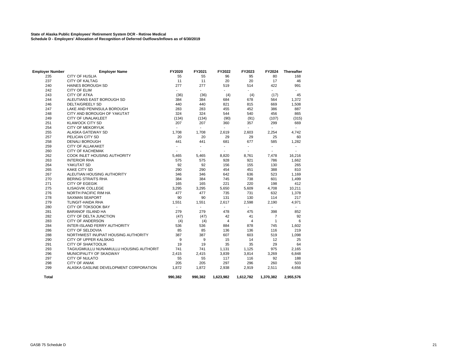# **State of Alaska Public Employees' Retirement System DCR - Retiree Medical Schedule D - Employers' Allocation of Recognition of Deferred Outflows/Inflows as of 6/30/2019**

| <b>Employer Number</b> | <b>Employer Name</b>                     | FY2020                   | FY2021                   | FY2022                   | FY2023         | FY2024         | <b>Thereafter</b> |
|------------------------|------------------------------------------|--------------------------|--------------------------|--------------------------|----------------|----------------|-------------------|
| 235                    | <b>CITY OF HUSLIA</b>                    | 55                       | 55                       | 96                       | 95             | 80             | 168               |
| 237                    | <b>CITY OF KALTAG</b>                    | 11                       | 11                       | 20                       | 20             | 17             | 46                |
| 240                    | <b>HAINES BOROUGH SD</b>                 | 277                      | 277                      | 519                      | 514            | 422            | 991               |
| 242                    | CITY OF ELIM                             | $\overline{\phantom{a}}$ | $\overline{\phantom{a}}$ | $\overline{\phantom{a}}$ | L.             | ٠              |                   |
| 243                    | <b>CITY OF ATKA</b>                      | (36)                     | (36)                     | (4)                      | (4)            | (17)           | 45                |
| 244                    | ALEUTIANS EAST BOROUGH SD                | 384                      | 384                      | 684                      | 678            | 564            | 1,372             |
| 246                    | <b>DELTA/GREELY SD</b>                   | 440                      | 440                      | 821                      | 815            | 669            | 1,508             |
| 247                    | LAKE AND PENINSULA BOROUGH               | 283                      | 283                      | 455                      | 452            | 386            | 887               |
| 248                    | CITY AND BOROUGH OF YAKUTAT              | 324                      | 324                      | 544                      | 540            | 456            | 865               |
| 249                    | CITY OF UNALAKLEET                       | (134)                    | (134)                    | (90)                     | (91)           | (107)          | (315)             |
| 251                    | <b>KLAWOCK CITY SD</b>                   | 207                      | 207                      | 360                      | 357            | 299            | 669               |
| 254                    | <b>CITY OF MEKORYUK</b>                  |                          | $\blacksquare$           |                          |                |                |                   |
| 255                    | ALASKA GATEWAY SD                        | 1,708                    | 1,708                    | 2,619                    | 2,603          | 2,254          | 4,742             |
| 257                    | PELICAN CITY SD                          | 20                       | 20                       | 29                       | 29             | 25             | 60                |
| 258                    | <b>DENALI BOROUGH</b>                    | 441                      | 441                      | 681                      | 677            | 585            | 1,282             |
| 259                    | CITY OF ALLAKAKET                        | $\blacksquare$           | $\overline{\phantom{a}}$ | $\blacksquare$           | $\overline{a}$ | ٠              |                   |
| 260                    | <b>CITY OF KACHEMAK</b>                  |                          |                          |                          | $\overline{a}$ |                |                   |
| 262                    | COOK INLET HOUSING AUTHORITY             | 5,465                    | 5,465                    | 8,820                    | 8,761          | 7,478          | 16,216            |
| 263                    | <b>INTERIOR RHA</b>                      | 575                      | 575                      | 928                      | 921            | 786            | 1,662             |
| 264                    | YAKUTAT SD                               | 92                       | 92                       | 156                      | 155            | 130            | 265               |
| 265                    | <b>KAKE CITY SD</b>                      | 290                      | 290                      | 454                      | 451            | 388            | 810               |
| 267                    | ALEUTIAN HOUSING AUTHORITY               | 346                      | 346                      | 642                      | 636            | 523            | 1,169             |
| 270                    | <b>BERING STRAITS RHA</b>                | 384                      | 384                      | 745                      | 738            | 601            | 1,499             |
| 271                    | <b>CITY OF EGEGIK</b>                    | 165                      | 165                      | 221                      | 220            | 198            | 412               |
| 275                    | <b>ILISAGVIK COLLEGE</b>                 | 3,295                    | 3,295                    | 5,650                    | 5,609          | 4,708          | 10,211            |
| 276                    | NORTH PACIFIC RIM HA                     | 477                      | 477                      | 735                      | 731            | 632            | 1,378             |
| 278                    | <b>SAXMAN SEAPORT</b>                    | 90                       | 90                       | 131                      | 130            | 114            | 217               |
| 279                    | <b>TLINGIT-HAIDA RHA</b>                 | 1,551                    | 1,551                    | 2,617                    | 2,598          | 2,190          | 4,971             |
| 280                    | CITY OF TOKSOOK BAY                      |                          |                          | $\sim$                   | $\sim$         |                |                   |
| 281                    | <b>BARANOF ISLAND HA</b>                 | 279                      | 279                      | 478                      | 475            | 398            | 852               |
| 282                    | CITY OF DELTA JUNCTION                   | (47)                     | (47)                     | 42                       | 41             | $\overline{7}$ | 92                |
| 283                    | CITY OF ANDERSON                         | (4)                      | (4)                      | $\overline{4}$           | $\overline{4}$ | $\mathbf{1}$   | 6                 |
| 284                    | INTER-ISLAND FERRY AUTHORITY             | 536                      | 536                      | 884                      | 878            | 745            | 1,602             |
| 286                    | CITY OF SELDOVIA                         | 85                       | 85                       | 136                      | 136            | 116            | 219               |
| 288                    | NORTHWEST INUPIAT HOUSING AUTHORITY      | 387                      | 387                      | 607                      | 603            | 519            | 1,098             |
| 290                    | CITY OF UPPER KALSKAG                    | 9                        | 9                        | 15                       | 14             | 12             | 25                |
| 291                    | CITY OF SHAKTOOLIK                       | 19                       | 19                       | 35                       | 35             | 29             | 64                |
| 293                    | TAGIUGMIULLU NUNAMIULLU HOUSING AUTHORIT | 741                      | 741                      | 1,131                    | 1,125          | 975            | 2,165             |
| 296                    | MUNICIPALITY OF SKAGWAY                  | 2,415                    | 2,415                    | 3,839                    | 3,814          | 3,269          | 6,848             |
| 297                    | <b>CITY OF NULATO</b>                    | 55                       | 55                       | 117                      | 116            | 92             | 188               |
| 298                    | <b>CITY OF ANIAK</b>                     | 205                      | 205                      | 297                      | 296            | 260            | 503               |
| 299                    | ALASKA GASLINE DEVELOPMENT CORPORATION   | 1,872                    | 1,872                    | 2,938                    | 2,919          | 2,511          | 4,656             |
| <b>Total</b>           |                                          | 990,382                  | 990,382                  | 1,623,982                | 1,612,782      | 1,370,382      | 2,955,576         |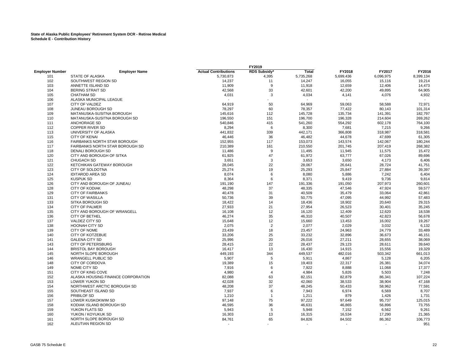|                        |                                     |                             | FY2019           |                |                          |                          |           |
|------------------------|-------------------------------------|-----------------------------|------------------|----------------|--------------------------|--------------------------|-----------|
| <b>Employer Number</b> | <b>Employer Name</b>                | <b>Actual Contributions</b> | RDS Subsidy*     | Total          | FY2018                   | FY2017                   | FY2016    |
| 101                    | STATE OF ALASKA                     | 5,730,873                   | 4,395            | 5,735,268      | 5,699,436                | 6,096,975                | 8,399,134 |
| 102                    | SOUTHWEST REGION SD                 | 14,237                      | 11               | 14,247         | 16,055                   | 15,116                   | 19,214    |
| 103                    | ANNETTE ISLAND SD                   | 11,909                      | 9                | 11,918         | 12,659                   | 12,406                   | 14,473    |
| 104                    | <b>BERING STRAIT SD</b>             | 42,568                      | 33               | 42,601         | 42,200                   | 49,895                   | 64,905    |
| 105                    | <b>CHATHAM SD</b>                   | 4,031                       | 3                | 4,034          | 4,141                    | 4,076                    | 4,932     |
| 106                    | ALASKA MUNICIPAL LEAGUE             |                             |                  | $\overline{a}$ |                          |                          |           |
| 107                    | CITY OF VALDEZ                      | 64,919                      | 50               | 64,969         | 59,063                   | 58,588                   | 72,971    |
| 108                    | JUNEAU BOROUGH SD                   | 78,297                      | 60               | 78,357         | 77,422                   | 80,143                   | 101,314   |
| 109                    | MATANUSKA-SUSITNA BOROUGH           | 145,616                     | 112              | 145,728        | 135,734                  | 141,391                  | 182,797   |
| 110                    | MATANUSKA-SUSITNA BOROUGH SD        | 196,550                     | 151              | 196,700        | 196,328                  | 214,604                  | 269,262   |
| 111                    | ANCHORAGE SD                        | 540,846                     | 415              | 541,260        | 554,292                  | 602,178                  | 764,100   |
| 112                    | <b>COPPER RIVER SD</b>              | 8,294                       | 6                | 8,300          | 7,681                    | 7,215                    | 9,266     |
| 113                    | UNIVERSITY OF ALASKA                | 441,832                     | 339              | 442,171        | 366,808                  | 318,987                  | 318,581   |
| 115                    | <b>CITY OF KENAI</b>                | 46,446                      | 36               | 46,482         | 44,678                   | 47,699                   | 61,305    |
| 116                    | <b>FAIRBANKS NORTH STAR BOROUGH</b> | 152,955                     | 117              | 153,073        | 143,574                  | 142,067                  | 180,244   |
| 117                    | FAIRBANKS NORTH STAR BOROUGH SD     | 210,389                     | 161              | 210,550        | 201,745                  | 207,419                  | 268,382   |
| 118                    | DENALI BOROUGH SD                   | 11,486                      | $\boldsymbol{9}$ | 11,495         | 11,945                   | 11,575                   | 15,472    |
| 120                    | CITY AND BOROUGH OF SITKA           | 61,925                      | 47               | 61,972         | 63,777                   | 67,026                   | 89,696    |
| 121                    | <b>CHUGACH SD</b>                   | 3,651                       | 3                | 3,653          | 3,650                    | 4,173                    | 6,406     |
| 122                    | KETCHIKAN GATEWAY BOROUGH           | 28,045                      | 22               | 28,067         | 26,641                   | 28,724                   | 41,751    |
| 123                    | <b>CITY OF SOLDOTNA</b>             | 25,274                      | 19               | 25,293         | 25,847                   | 27,884                   | 39,397    |
| 124                    | <b>IDITAROD AREA SD</b>             | 8,074                       | 6                | 8,080          | 5,886                    | 7,242                    | 6,404     |
| 125                    | <b>KUSPUK SD</b>                    | 8,364                       | 6                | 8,371          | 9,419                    | 9,736                    | 9,814     |
|                        |                                     |                             |                  |                |                          |                          |           |
| 126                    | CITY AND BOROUGH OF JUNEAU          | 191,190                     | 147              | 191,336        | 191,050                  | 207,973                  | 260,601   |
| 128                    | <b>CITY OF KODIAK</b>               | 48,298                      | 37               | 48,335         | 47,546                   | 47,924                   | 59,577    |
| 129                    | <b>CITY OF FAIRBANKS</b>            | 40,478                      | 31               | 40,509         | 35,479                   | 33,064                   | 42,861    |
| 131                    | <b>CITY OF WASILLA</b>              | 50,736                      | 39               | 50,775         | 47,095                   | 44,992                   | 57,483    |
| 133                    | SITKA BOROUGH SD                    | 18,422                      | 14               | 18,436         | 18,902                   | 20,640                   | 29,315    |
| 134                    | <b>CITY OF PALMER</b>               | 27,933                      | 21               | 27,954         | 26,523                   | 30,401                   | 35,245    |
| 135                    | CITY AND BOROUGH OF WRANGELL        | 16,108                      | 12               | 16,120         | 12,409                   | 12,620                   | 18,538    |
| 136                    | <b>CITY OF BETHEL</b>               | 46,274                      | 35               | 46,310         | 40,507                   | 42,823                   | 56,678    |
| 137                    | <b>VALDEZ CITY SD</b>               | 15,648                      | 12               | 15,660         | 13,453                   | 16,002                   | 19,267    |
| 138                    | <b>HOONAH CITY SD</b>               | 2,075                       | $\sqrt{2}$       | 2,077          | 2,029                    | 3,032                    | 6,132     |
| 139                    | CITY OF NOME                        | 23,439                      | 18               | 23,457         | 24,963                   | 24,779                   | 33,489    |
| 140                    | CITY OF KOTZEBUE                    | 33,206                      | 25               | 33,232         | 32,896                   | 36,673                   | 46,151    |
| 141                    | <b>GALENA CITY SD</b>               | 25,996                      | 20               | 26,016         | 27,211                   | 28,655                   | 38,069    |
| 143                    | CITY OF PETERSBURG                  | 28,415                      | 22               | 28,437         | 29,123                   | 28,611                   | 39,640    |
| 144                    | <b>BRISTOL BAY BOROUGH</b>          | 16,417                      | 13               | 16,430         | 14,915                   | 15,556                   | 19,329    |
| 145                    | NORTH SLOPE BOROUGH                 | 449,193                     | 344              | 449,537        | 482,016                  | 503,342                  | 661,013   |
| 146                    | <b>WRANGELL PUBLIC SD</b>           | 5,907                       | 5                | 5,911          | 4,867                    | 5,128                    | 6,205     |
| 148                    | CITY OF CORDOVA                     | 19,389                      | 15               | 19,403         | 22,317                   | 26,381                   | 34,074    |
| 149                    | NOME CITY SD                        | 7,916                       | 6                | 7,922          | 8,888                    | 11,068                   | 17,377    |
| 151                    | CITY OF KING COVE                   | 4,980                       | 4                | 4,984          | 5,826                    | 5,503                    | 7,248     |
| 152                    | ALASKA HOUSING FINANCE CORPORATION  | 82,088                      | 63               | 82,151         | 82,879                   | 86,341                   | 107,224   |
| 153                    | <b>LOWER YUKON SD</b>               | 42,028                      | 32               | 42,060         | 38,533                   | 38,904                   | 47,168    |
| 154                    | NORTHWEST ARCTIC BOROUGH SD         | 48,208                      | 37               | 48,245         | 50,433                   | 58,962                   | 77,591    |
| 155                    | SOUTHEAST ISLAND SD                 | 7,937                       | 6                | 7,943          | 6,974                    | 6,569                    | 8,707     |
| 156                    | PRIBILOF SD                         | 1,210                       | $\mathbf{1}$     | 1,211          | 879                      | 1,426                    | 1,731     |
| 157                    | LOWER KUSKOKWIM SD                  | 97,148                      | 75               | 97,222         | 97,649                   | 95,737                   | 125,015   |
| 158                    | KODIAK ISLAND BOROUGH SD            | 46,595                      | 36               | 46,631         | 46,865                   | 56,896                   | 73,755    |
| 159                    | YUKON FLATS SD                      | 5,943                       | 5                | 5,948          |                          | 6,562                    | 9,261     |
|                        |                                     |                             |                  |                | 7,152                    |                          |           |
| 160                    | YUKON / KOYUKUK SD                  | 16,303                      | 13               | 16,315         | 16,534                   | 17,290                   | 21,365    |
| 161                    | NORTH SLOPE BOROUGH SD              | 84,761                      | 65               | 84,826         | 84,502                   | 86,362                   | 106,773   |
| 162                    | ALEUTIAN REGION SD                  | $\overline{\phantom{a}}$    | $\overline{a}$   | $\blacksquare$ | $\overline{\phantom{a}}$ | $\overline{\phantom{a}}$ | 951       |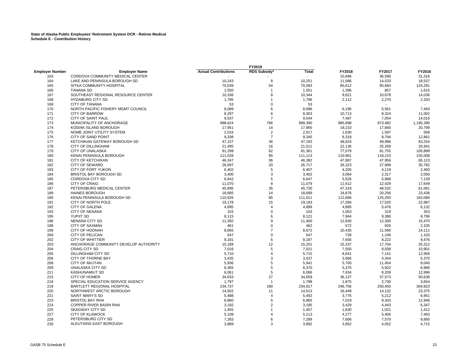# **State of Alaska Public Employees' Retirement System DCR - Retiree Medical Schedule E - Contribution History**

| RDS Subsidy*<br>FY2018<br>FY2017<br>FY2016<br><b>Total</b><br><b>Employer Name</b><br><b>Actual Contributions</b><br>CORDOVA COMMUNITY MEDICAL CENTER<br>31,316<br>10,946<br>36,590<br>163<br>LAKE AND PENINSULA BOROUGH SD<br>10,243<br>8<br>10,251<br>14,533<br>18,537<br>164<br>11,586<br>SITKA COMMUNITY HOSPITAL<br>165<br>70,039<br>54<br>70,093<br>95,684<br>124,291<br>85,612<br><b>TANANA SD</b><br>1,551<br>1,396<br>857<br>1,615<br>166<br>1,550<br>$\mathbf{1}$<br>8<br>SOUTHEAST REGIONAL RESOURCE CENTER<br>10,344<br>14,036<br>167<br>10,336<br>9,621<br>10,678<br>2,333<br><b>HYDABURG CITY SD</b><br>1,795<br>1,796<br>2,270<br>168<br>2,112<br>-1<br><b>CITY OF TANANA</b><br>53<br>$\mathbf 0$<br>53<br>169<br>NORTH PACIFIC FISHERY MGMT COUNCIL<br>6<br>8,096<br>6,196<br>5,561<br>7,493<br>170<br>8,089<br><b>CITY OF BARROW</b><br>171<br>8,297<br>6<br>8,303<br>8,324<br>11,002<br>10,713<br>CITY OF SAINT PAUL<br>172<br>9,537<br>$\overline{7}$<br>9,544<br>7,487<br>7,054<br>14,016<br>MUNICIPALITY OF ANCHORAGE<br>766<br>173<br>999,390<br>985,898<br>973,482<br>1,195,396<br>998,624<br>KODIAK ISLAND BOROUGH<br>17,965<br>17,660<br>20,799<br>174<br>17,951<br>14<br>19,210<br>175<br>NOME JOINT UTILITY SYSTEM<br>2,016<br>2<br>2,017<br>1,597<br>569<br>1,630<br>$\overline{7}$<br>176<br>CITY OF SAND POINT<br>9,338<br>9,345<br>8,318<br>8,794<br>12,861<br>177<br>KETCHIKAN GATEWAY BOROUGH SD<br>47,157<br>36<br>47,193<br>49,996<br>63,254<br>48,824<br><b>CITY OF DILLINGHAM</b><br>178<br>21,495<br>16<br>21,511<br>22,136<br>25,269<br>33,941<br>CITY OF UNALASKA<br>179<br>81,299<br>62<br>81,361<br>77,079<br>81,755<br>105,899<br>KENAI PENINSULA BOROUGH<br>155,008<br>180<br>111,028<br>85<br>111,113<br>110,961<br>118,210<br>CITY OF KETCHIKAN<br>36<br>46,382<br>47,956<br>65,123<br>181<br>46,347<br>47,887<br><b>CITY OF SEWARD</b><br>35,792<br>182<br>26,697<br>20<br>26,717<br>26,323<br>27,999<br>183<br>CITY OF FORT YUKON<br>6,402<br>5<br>6,407<br>4,205<br>4,119<br>2,450<br>3<br>2,317<br>2,056<br><b>BRISTOL BAY BOROUGH SD</b><br>3,400<br>3,402<br>3,064<br>184<br>5<br><b>CORDOVA CITY SD</b><br>6,647<br>5,968<br>7,139<br>185<br>6,642<br>5,526<br><b>CITY OF CRAIG</b><br>11,070<br>8<br>11,079<br>11,612<br>12,429<br>17,649<br>186<br>PETERSBURG MEDICAL CENTER<br>35<br>45,730<br>47,319<br>48,532<br>61,061<br>187<br>45,695<br><b>HAINES BOROUGH</b><br>14<br>18,699<br>20,256<br>23,436<br>189<br>18,685<br>18,876<br>KENAI PENINSULA BOROUGH SD<br>110,926<br>85<br>111,011<br>112,666<br>125,293<br>163,086<br>190<br>CITY OF NORTH POLE<br>22,987<br>191<br>19,178<br>15<br>19,193<br>17,284<br>17,520<br><b>CITY OF GALENA</b><br>4,899<br>6,132<br>4,895<br>4,895<br>5,476<br>192<br>$\overline{4}$<br><b>CITY OF NENANA</b><br>103<br>$\mathbf 0$<br>103<br>319<br>353<br>193<br>1,053<br>8,796<br>195<br>YUPIIT SD<br>6<br>8,121<br>7,944<br>9,386<br>8,115<br><b>NENANA CITY SD</b><br>9<br>11,400<br>12,300<br>15,470<br>196<br>11,392<br>12,830<br><b>CITY OF SAXMAN</b><br>$\mathbf 0$<br>462<br>2,105<br>198<br>461<br>572<br>826<br><b>CITY OF HOONAH</b><br>199<br>8,665<br>$\overline{7}$<br>8,672<br>10,435<br>11,590<br>14,111<br>CITY OF PELICAN<br>200<br>547<br>$\mathbf 0$<br>547<br>728<br>1,106<br>1,103<br><b>CITY OF WHITTIER</b><br>6<br>8,187<br>9,476<br>202<br>7,656<br>8,222<br>8,181<br>203<br>ANCHORAGE COMMUNITY DEVELOP AUTHORITY<br>12<br>15,201<br>17,704<br>25,312<br>15,189<br>15,337<br>5<br>204<br><b>CRAIG CITY SD</b><br>7,016<br>7,021<br>7,550<br>8,508<br>10,901<br>205<br>DILLINGHAM CITY SD<br>12,956<br>5,710<br>$\overline{4}$<br>5,715<br>8,641<br>7,141<br>CITY OF THORNE BAY<br>3<br>5,370<br>206<br>3,437<br>4,344<br>3,435<br>3,666<br>CITY OF AKUTAN<br>5<br>208<br>5,936<br>5,941<br>5,700<br>11,454<br>8,040<br>UNALASKA CITY SD<br>5<br>209<br>6,365<br>6,370<br>5,375<br>5,922<br>6,966<br><b>KASHUNAMIUT SD</b><br>5<br>12,996<br>211<br>6,061<br>6,066<br>7,634<br>8,209<br><b>CITY OF HOMER</b><br>27<br>215<br>34,659<br>37,573<br>50,638<br>34,633<br>36,137<br>1,798<br>3,654<br>218<br>SPECIAL EDUCATION SERVICE AGENCY<br>1,797<br>1,875<br>2,730<br>$\overline{1}$<br>304,823<br>219<br>BARTLETT REGIONAL HOSPITAL<br>234,737<br>180<br>234,917<br>246,756<br>250,455<br>14,513<br>23,375<br>220<br>NORTHWEST ARCTIC BOROUGH<br>14,502<br>11<br>14,132<br>16,449<br><b>SAINT MARY'S SD</b><br>221<br>5,488<br>5,492<br>3,776<br>5,212<br>6,951<br>$\overline{4}$<br><b>BRISTOL BAY RHA</b><br>223<br>5<br>6,865<br>7,019<br>9,343<br>12,946<br>6,860<br>COPPER RIVER BASIN RHA<br>$\overline{2}$<br>224<br>3,195<br>3,429<br>6,347<br>3,192<br>4,443<br><b>SKAGWAY CITY SD</b><br>225<br>1,457<br>1,412<br>1,455<br>1,630<br>1,021<br>-1<br><b>CITY OF KLAWOCK</b><br>227<br>5,113<br>5,406<br>7,463<br>5,109<br>$\overline{4}$<br>4,277<br>228<br>PETERSBURG CITY SD<br>7,283<br>6<br>7,289<br>7,606<br>7,570<br>9,895<br>3<br>3,892<br>230<br>ALEUTIANS EAST BOROUGH<br>3,889<br>3,852<br>4,052<br>4,715 |                        |  | FY2019 |  |  |
|---------------------------------------------------------------------------------------------------------------------------------------------------------------------------------------------------------------------------------------------------------------------------------------------------------------------------------------------------------------------------------------------------------------------------------------------------------------------------------------------------------------------------------------------------------------------------------------------------------------------------------------------------------------------------------------------------------------------------------------------------------------------------------------------------------------------------------------------------------------------------------------------------------------------------------------------------------------------------------------------------------------------------------------------------------------------------------------------------------------------------------------------------------------------------------------------------------------------------------------------------------------------------------------------------------------------------------------------------------------------------------------------------------------------------------------------------------------------------------------------------------------------------------------------------------------------------------------------------------------------------------------------------------------------------------------------------------------------------------------------------------------------------------------------------------------------------------------------------------------------------------------------------------------------------------------------------------------------------------------------------------------------------------------------------------------------------------------------------------------------------------------------------------------------------------------------------------------------------------------------------------------------------------------------------------------------------------------------------------------------------------------------------------------------------------------------------------------------------------------------------------------------------------------------------------------------------------------------------------------------------------------------------------------------------------------------------------------------------------------------------------------------------------------------------------------------------------------------------------------------------------------------------------------------------------------------------------------------------------------------------------------------------------------------------------------------------------------------------------------------------------------------------------------------------------------------------------------------------------------------------------------------------------------------------------------------------------------------------------------------------------------------------------------------------------------------------------------------------------------------------------------------------------------------------------------------------------------------------------------------------------------------------------------------------------------------------------------------------------------------------------------------------------------------------------------------------------------------------------------------------------------------------------------------------------------------------------------------------------------------------------------------------------------------------------------------------------------------------------------------------------------------------------------------------------------------------------------------------------------------------------------------------------------------------------------------------------------------------------------------------------------------------------------------------------------------------------------------------------------------------------------------------------------------------------------------------------------------------------------------------------------------------------------------------------------------------------------------------------------------------------------------------------------------------------------------------------------------------------------------------------------------------------------------------------------------------------------------------------------------------------------------------------------------------------|------------------------|--|--------|--|--|
|                                                                                                                                                                                                                                                                                                                                                                                                                                                                                                                                                                                                                                                                                                                                                                                                                                                                                                                                                                                                                                                                                                                                                                                                                                                                                                                                                                                                                                                                                                                                                                                                                                                                                                                                                                                                                                                                                                                                                                                                                                                                                                                                                                                                                                                                                                                                                                                                                                                                                                                                                                                                                                                                                                                                                                                                                                                                                                                                                                                                                                                                                                                                                                                                                                                                                                                                                                                                                                                                                                                                                                                                                                                                                                                                                                                                                                                                                                                                                                                                                                                                                                                                                                                                                                                                                                                                                                                                                                                                                                                                                                                                                                                                                                                                                                                                                                                                                                                                                                                                                                                         | <b>Employer Number</b> |  |        |  |  |
|                                                                                                                                                                                                                                                                                                                                                                                                                                                                                                                                                                                                                                                                                                                                                                                                                                                                                                                                                                                                                                                                                                                                                                                                                                                                                                                                                                                                                                                                                                                                                                                                                                                                                                                                                                                                                                                                                                                                                                                                                                                                                                                                                                                                                                                                                                                                                                                                                                                                                                                                                                                                                                                                                                                                                                                                                                                                                                                                                                                                                                                                                                                                                                                                                                                                                                                                                                                                                                                                                                                                                                                                                                                                                                                                                                                                                                                                                                                                                                                                                                                                                                                                                                                                                                                                                                                                                                                                                                                                                                                                                                                                                                                                                                                                                                                                                                                                                                                                                                                                                                                         |                        |  |        |  |  |
|                                                                                                                                                                                                                                                                                                                                                                                                                                                                                                                                                                                                                                                                                                                                                                                                                                                                                                                                                                                                                                                                                                                                                                                                                                                                                                                                                                                                                                                                                                                                                                                                                                                                                                                                                                                                                                                                                                                                                                                                                                                                                                                                                                                                                                                                                                                                                                                                                                                                                                                                                                                                                                                                                                                                                                                                                                                                                                                                                                                                                                                                                                                                                                                                                                                                                                                                                                                                                                                                                                                                                                                                                                                                                                                                                                                                                                                                                                                                                                                                                                                                                                                                                                                                                                                                                                                                                                                                                                                                                                                                                                                                                                                                                                                                                                                                                                                                                                                                                                                                                                                         |                        |  |        |  |  |
|                                                                                                                                                                                                                                                                                                                                                                                                                                                                                                                                                                                                                                                                                                                                                                                                                                                                                                                                                                                                                                                                                                                                                                                                                                                                                                                                                                                                                                                                                                                                                                                                                                                                                                                                                                                                                                                                                                                                                                                                                                                                                                                                                                                                                                                                                                                                                                                                                                                                                                                                                                                                                                                                                                                                                                                                                                                                                                                                                                                                                                                                                                                                                                                                                                                                                                                                                                                                                                                                                                                                                                                                                                                                                                                                                                                                                                                                                                                                                                                                                                                                                                                                                                                                                                                                                                                                                                                                                                                                                                                                                                                                                                                                                                                                                                                                                                                                                                                                                                                                                                                         |                        |  |        |  |  |
|                                                                                                                                                                                                                                                                                                                                                                                                                                                                                                                                                                                                                                                                                                                                                                                                                                                                                                                                                                                                                                                                                                                                                                                                                                                                                                                                                                                                                                                                                                                                                                                                                                                                                                                                                                                                                                                                                                                                                                                                                                                                                                                                                                                                                                                                                                                                                                                                                                                                                                                                                                                                                                                                                                                                                                                                                                                                                                                                                                                                                                                                                                                                                                                                                                                                                                                                                                                                                                                                                                                                                                                                                                                                                                                                                                                                                                                                                                                                                                                                                                                                                                                                                                                                                                                                                                                                                                                                                                                                                                                                                                                                                                                                                                                                                                                                                                                                                                                                                                                                                                                         |                        |  |        |  |  |
|                                                                                                                                                                                                                                                                                                                                                                                                                                                                                                                                                                                                                                                                                                                                                                                                                                                                                                                                                                                                                                                                                                                                                                                                                                                                                                                                                                                                                                                                                                                                                                                                                                                                                                                                                                                                                                                                                                                                                                                                                                                                                                                                                                                                                                                                                                                                                                                                                                                                                                                                                                                                                                                                                                                                                                                                                                                                                                                                                                                                                                                                                                                                                                                                                                                                                                                                                                                                                                                                                                                                                                                                                                                                                                                                                                                                                                                                                                                                                                                                                                                                                                                                                                                                                                                                                                                                                                                                                                                                                                                                                                                                                                                                                                                                                                                                                                                                                                                                                                                                                                                         |                        |  |        |  |  |
|                                                                                                                                                                                                                                                                                                                                                                                                                                                                                                                                                                                                                                                                                                                                                                                                                                                                                                                                                                                                                                                                                                                                                                                                                                                                                                                                                                                                                                                                                                                                                                                                                                                                                                                                                                                                                                                                                                                                                                                                                                                                                                                                                                                                                                                                                                                                                                                                                                                                                                                                                                                                                                                                                                                                                                                                                                                                                                                                                                                                                                                                                                                                                                                                                                                                                                                                                                                                                                                                                                                                                                                                                                                                                                                                                                                                                                                                                                                                                                                                                                                                                                                                                                                                                                                                                                                                                                                                                                                                                                                                                                                                                                                                                                                                                                                                                                                                                                                                                                                                                                                         |                        |  |        |  |  |
|                                                                                                                                                                                                                                                                                                                                                                                                                                                                                                                                                                                                                                                                                                                                                                                                                                                                                                                                                                                                                                                                                                                                                                                                                                                                                                                                                                                                                                                                                                                                                                                                                                                                                                                                                                                                                                                                                                                                                                                                                                                                                                                                                                                                                                                                                                                                                                                                                                                                                                                                                                                                                                                                                                                                                                                                                                                                                                                                                                                                                                                                                                                                                                                                                                                                                                                                                                                                                                                                                                                                                                                                                                                                                                                                                                                                                                                                                                                                                                                                                                                                                                                                                                                                                                                                                                                                                                                                                                                                                                                                                                                                                                                                                                                                                                                                                                                                                                                                                                                                                                                         |                        |  |        |  |  |
|                                                                                                                                                                                                                                                                                                                                                                                                                                                                                                                                                                                                                                                                                                                                                                                                                                                                                                                                                                                                                                                                                                                                                                                                                                                                                                                                                                                                                                                                                                                                                                                                                                                                                                                                                                                                                                                                                                                                                                                                                                                                                                                                                                                                                                                                                                                                                                                                                                                                                                                                                                                                                                                                                                                                                                                                                                                                                                                                                                                                                                                                                                                                                                                                                                                                                                                                                                                                                                                                                                                                                                                                                                                                                                                                                                                                                                                                                                                                                                                                                                                                                                                                                                                                                                                                                                                                                                                                                                                                                                                                                                                                                                                                                                                                                                                                                                                                                                                                                                                                                                                         |                        |  |        |  |  |
|                                                                                                                                                                                                                                                                                                                                                                                                                                                                                                                                                                                                                                                                                                                                                                                                                                                                                                                                                                                                                                                                                                                                                                                                                                                                                                                                                                                                                                                                                                                                                                                                                                                                                                                                                                                                                                                                                                                                                                                                                                                                                                                                                                                                                                                                                                                                                                                                                                                                                                                                                                                                                                                                                                                                                                                                                                                                                                                                                                                                                                                                                                                                                                                                                                                                                                                                                                                                                                                                                                                                                                                                                                                                                                                                                                                                                                                                                                                                                                                                                                                                                                                                                                                                                                                                                                                                                                                                                                                                                                                                                                                                                                                                                                                                                                                                                                                                                                                                                                                                                                                         |                        |  |        |  |  |
|                                                                                                                                                                                                                                                                                                                                                                                                                                                                                                                                                                                                                                                                                                                                                                                                                                                                                                                                                                                                                                                                                                                                                                                                                                                                                                                                                                                                                                                                                                                                                                                                                                                                                                                                                                                                                                                                                                                                                                                                                                                                                                                                                                                                                                                                                                                                                                                                                                                                                                                                                                                                                                                                                                                                                                                                                                                                                                                                                                                                                                                                                                                                                                                                                                                                                                                                                                                                                                                                                                                                                                                                                                                                                                                                                                                                                                                                                                                                                                                                                                                                                                                                                                                                                                                                                                                                                                                                                                                                                                                                                                                                                                                                                                                                                                                                                                                                                                                                                                                                                                                         |                        |  |        |  |  |
|                                                                                                                                                                                                                                                                                                                                                                                                                                                                                                                                                                                                                                                                                                                                                                                                                                                                                                                                                                                                                                                                                                                                                                                                                                                                                                                                                                                                                                                                                                                                                                                                                                                                                                                                                                                                                                                                                                                                                                                                                                                                                                                                                                                                                                                                                                                                                                                                                                                                                                                                                                                                                                                                                                                                                                                                                                                                                                                                                                                                                                                                                                                                                                                                                                                                                                                                                                                                                                                                                                                                                                                                                                                                                                                                                                                                                                                                                                                                                                                                                                                                                                                                                                                                                                                                                                                                                                                                                                                                                                                                                                                                                                                                                                                                                                                                                                                                                                                                                                                                                                                         |                        |  |        |  |  |
|                                                                                                                                                                                                                                                                                                                                                                                                                                                                                                                                                                                                                                                                                                                                                                                                                                                                                                                                                                                                                                                                                                                                                                                                                                                                                                                                                                                                                                                                                                                                                                                                                                                                                                                                                                                                                                                                                                                                                                                                                                                                                                                                                                                                                                                                                                                                                                                                                                                                                                                                                                                                                                                                                                                                                                                                                                                                                                                                                                                                                                                                                                                                                                                                                                                                                                                                                                                                                                                                                                                                                                                                                                                                                                                                                                                                                                                                                                                                                                                                                                                                                                                                                                                                                                                                                                                                                                                                                                                                                                                                                                                                                                                                                                                                                                                                                                                                                                                                                                                                                                                         |                        |  |        |  |  |
|                                                                                                                                                                                                                                                                                                                                                                                                                                                                                                                                                                                                                                                                                                                                                                                                                                                                                                                                                                                                                                                                                                                                                                                                                                                                                                                                                                                                                                                                                                                                                                                                                                                                                                                                                                                                                                                                                                                                                                                                                                                                                                                                                                                                                                                                                                                                                                                                                                                                                                                                                                                                                                                                                                                                                                                                                                                                                                                                                                                                                                                                                                                                                                                                                                                                                                                                                                                                                                                                                                                                                                                                                                                                                                                                                                                                                                                                                                                                                                                                                                                                                                                                                                                                                                                                                                                                                                                                                                                                                                                                                                                                                                                                                                                                                                                                                                                                                                                                                                                                                                                         |                        |  |        |  |  |
|                                                                                                                                                                                                                                                                                                                                                                                                                                                                                                                                                                                                                                                                                                                                                                                                                                                                                                                                                                                                                                                                                                                                                                                                                                                                                                                                                                                                                                                                                                                                                                                                                                                                                                                                                                                                                                                                                                                                                                                                                                                                                                                                                                                                                                                                                                                                                                                                                                                                                                                                                                                                                                                                                                                                                                                                                                                                                                                                                                                                                                                                                                                                                                                                                                                                                                                                                                                                                                                                                                                                                                                                                                                                                                                                                                                                                                                                                                                                                                                                                                                                                                                                                                                                                                                                                                                                                                                                                                                                                                                                                                                                                                                                                                                                                                                                                                                                                                                                                                                                                                                         |                        |  |        |  |  |
|                                                                                                                                                                                                                                                                                                                                                                                                                                                                                                                                                                                                                                                                                                                                                                                                                                                                                                                                                                                                                                                                                                                                                                                                                                                                                                                                                                                                                                                                                                                                                                                                                                                                                                                                                                                                                                                                                                                                                                                                                                                                                                                                                                                                                                                                                                                                                                                                                                                                                                                                                                                                                                                                                                                                                                                                                                                                                                                                                                                                                                                                                                                                                                                                                                                                                                                                                                                                                                                                                                                                                                                                                                                                                                                                                                                                                                                                                                                                                                                                                                                                                                                                                                                                                                                                                                                                                                                                                                                                                                                                                                                                                                                                                                                                                                                                                                                                                                                                                                                                                                                         |                        |  |        |  |  |
|                                                                                                                                                                                                                                                                                                                                                                                                                                                                                                                                                                                                                                                                                                                                                                                                                                                                                                                                                                                                                                                                                                                                                                                                                                                                                                                                                                                                                                                                                                                                                                                                                                                                                                                                                                                                                                                                                                                                                                                                                                                                                                                                                                                                                                                                                                                                                                                                                                                                                                                                                                                                                                                                                                                                                                                                                                                                                                                                                                                                                                                                                                                                                                                                                                                                                                                                                                                                                                                                                                                                                                                                                                                                                                                                                                                                                                                                                                                                                                                                                                                                                                                                                                                                                                                                                                                                                                                                                                                                                                                                                                                                                                                                                                                                                                                                                                                                                                                                                                                                                                                         |                        |  |        |  |  |
|                                                                                                                                                                                                                                                                                                                                                                                                                                                                                                                                                                                                                                                                                                                                                                                                                                                                                                                                                                                                                                                                                                                                                                                                                                                                                                                                                                                                                                                                                                                                                                                                                                                                                                                                                                                                                                                                                                                                                                                                                                                                                                                                                                                                                                                                                                                                                                                                                                                                                                                                                                                                                                                                                                                                                                                                                                                                                                                                                                                                                                                                                                                                                                                                                                                                                                                                                                                                                                                                                                                                                                                                                                                                                                                                                                                                                                                                                                                                                                                                                                                                                                                                                                                                                                                                                                                                                                                                                                                                                                                                                                                                                                                                                                                                                                                                                                                                                                                                                                                                                                                         |                        |  |        |  |  |
|                                                                                                                                                                                                                                                                                                                                                                                                                                                                                                                                                                                                                                                                                                                                                                                                                                                                                                                                                                                                                                                                                                                                                                                                                                                                                                                                                                                                                                                                                                                                                                                                                                                                                                                                                                                                                                                                                                                                                                                                                                                                                                                                                                                                                                                                                                                                                                                                                                                                                                                                                                                                                                                                                                                                                                                                                                                                                                                                                                                                                                                                                                                                                                                                                                                                                                                                                                                                                                                                                                                                                                                                                                                                                                                                                                                                                                                                                                                                                                                                                                                                                                                                                                                                                                                                                                                                                                                                                                                                                                                                                                                                                                                                                                                                                                                                                                                                                                                                                                                                                                                         |                        |  |        |  |  |
|                                                                                                                                                                                                                                                                                                                                                                                                                                                                                                                                                                                                                                                                                                                                                                                                                                                                                                                                                                                                                                                                                                                                                                                                                                                                                                                                                                                                                                                                                                                                                                                                                                                                                                                                                                                                                                                                                                                                                                                                                                                                                                                                                                                                                                                                                                                                                                                                                                                                                                                                                                                                                                                                                                                                                                                                                                                                                                                                                                                                                                                                                                                                                                                                                                                                                                                                                                                                                                                                                                                                                                                                                                                                                                                                                                                                                                                                                                                                                                                                                                                                                                                                                                                                                                                                                                                                                                                                                                                                                                                                                                                                                                                                                                                                                                                                                                                                                                                                                                                                                                                         |                        |  |        |  |  |
|                                                                                                                                                                                                                                                                                                                                                                                                                                                                                                                                                                                                                                                                                                                                                                                                                                                                                                                                                                                                                                                                                                                                                                                                                                                                                                                                                                                                                                                                                                                                                                                                                                                                                                                                                                                                                                                                                                                                                                                                                                                                                                                                                                                                                                                                                                                                                                                                                                                                                                                                                                                                                                                                                                                                                                                                                                                                                                                                                                                                                                                                                                                                                                                                                                                                                                                                                                                                                                                                                                                                                                                                                                                                                                                                                                                                                                                                                                                                                                                                                                                                                                                                                                                                                                                                                                                                                                                                                                                                                                                                                                                                                                                                                                                                                                                                                                                                                                                                                                                                                                                         |                        |  |        |  |  |
|                                                                                                                                                                                                                                                                                                                                                                                                                                                                                                                                                                                                                                                                                                                                                                                                                                                                                                                                                                                                                                                                                                                                                                                                                                                                                                                                                                                                                                                                                                                                                                                                                                                                                                                                                                                                                                                                                                                                                                                                                                                                                                                                                                                                                                                                                                                                                                                                                                                                                                                                                                                                                                                                                                                                                                                                                                                                                                                                                                                                                                                                                                                                                                                                                                                                                                                                                                                                                                                                                                                                                                                                                                                                                                                                                                                                                                                                                                                                                                                                                                                                                                                                                                                                                                                                                                                                                                                                                                                                                                                                                                                                                                                                                                                                                                                                                                                                                                                                                                                                                                                         |                        |  |        |  |  |
|                                                                                                                                                                                                                                                                                                                                                                                                                                                                                                                                                                                                                                                                                                                                                                                                                                                                                                                                                                                                                                                                                                                                                                                                                                                                                                                                                                                                                                                                                                                                                                                                                                                                                                                                                                                                                                                                                                                                                                                                                                                                                                                                                                                                                                                                                                                                                                                                                                                                                                                                                                                                                                                                                                                                                                                                                                                                                                                                                                                                                                                                                                                                                                                                                                                                                                                                                                                                                                                                                                                                                                                                                                                                                                                                                                                                                                                                                                                                                                                                                                                                                                                                                                                                                                                                                                                                                                                                                                                                                                                                                                                                                                                                                                                                                                                                                                                                                                                                                                                                                                                         |                        |  |        |  |  |
|                                                                                                                                                                                                                                                                                                                                                                                                                                                                                                                                                                                                                                                                                                                                                                                                                                                                                                                                                                                                                                                                                                                                                                                                                                                                                                                                                                                                                                                                                                                                                                                                                                                                                                                                                                                                                                                                                                                                                                                                                                                                                                                                                                                                                                                                                                                                                                                                                                                                                                                                                                                                                                                                                                                                                                                                                                                                                                                                                                                                                                                                                                                                                                                                                                                                                                                                                                                                                                                                                                                                                                                                                                                                                                                                                                                                                                                                                                                                                                                                                                                                                                                                                                                                                                                                                                                                                                                                                                                                                                                                                                                                                                                                                                                                                                                                                                                                                                                                                                                                                                                         |                        |  |        |  |  |
|                                                                                                                                                                                                                                                                                                                                                                                                                                                                                                                                                                                                                                                                                                                                                                                                                                                                                                                                                                                                                                                                                                                                                                                                                                                                                                                                                                                                                                                                                                                                                                                                                                                                                                                                                                                                                                                                                                                                                                                                                                                                                                                                                                                                                                                                                                                                                                                                                                                                                                                                                                                                                                                                                                                                                                                                                                                                                                                                                                                                                                                                                                                                                                                                                                                                                                                                                                                                                                                                                                                                                                                                                                                                                                                                                                                                                                                                                                                                                                                                                                                                                                                                                                                                                                                                                                                                                                                                                                                                                                                                                                                                                                                                                                                                                                                                                                                                                                                                                                                                                                                         |                        |  |        |  |  |
|                                                                                                                                                                                                                                                                                                                                                                                                                                                                                                                                                                                                                                                                                                                                                                                                                                                                                                                                                                                                                                                                                                                                                                                                                                                                                                                                                                                                                                                                                                                                                                                                                                                                                                                                                                                                                                                                                                                                                                                                                                                                                                                                                                                                                                                                                                                                                                                                                                                                                                                                                                                                                                                                                                                                                                                                                                                                                                                                                                                                                                                                                                                                                                                                                                                                                                                                                                                                                                                                                                                                                                                                                                                                                                                                                                                                                                                                                                                                                                                                                                                                                                                                                                                                                                                                                                                                                                                                                                                                                                                                                                                                                                                                                                                                                                                                                                                                                                                                                                                                                                                         |                        |  |        |  |  |
|                                                                                                                                                                                                                                                                                                                                                                                                                                                                                                                                                                                                                                                                                                                                                                                                                                                                                                                                                                                                                                                                                                                                                                                                                                                                                                                                                                                                                                                                                                                                                                                                                                                                                                                                                                                                                                                                                                                                                                                                                                                                                                                                                                                                                                                                                                                                                                                                                                                                                                                                                                                                                                                                                                                                                                                                                                                                                                                                                                                                                                                                                                                                                                                                                                                                                                                                                                                                                                                                                                                                                                                                                                                                                                                                                                                                                                                                                                                                                                                                                                                                                                                                                                                                                                                                                                                                                                                                                                                                                                                                                                                                                                                                                                                                                                                                                                                                                                                                                                                                                                                         |                        |  |        |  |  |
|                                                                                                                                                                                                                                                                                                                                                                                                                                                                                                                                                                                                                                                                                                                                                                                                                                                                                                                                                                                                                                                                                                                                                                                                                                                                                                                                                                                                                                                                                                                                                                                                                                                                                                                                                                                                                                                                                                                                                                                                                                                                                                                                                                                                                                                                                                                                                                                                                                                                                                                                                                                                                                                                                                                                                                                                                                                                                                                                                                                                                                                                                                                                                                                                                                                                                                                                                                                                                                                                                                                                                                                                                                                                                                                                                                                                                                                                                                                                                                                                                                                                                                                                                                                                                                                                                                                                                                                                                                                                                                                                                                                                                                                                                                                                                                                                                                                                                                                                                                                                                                                         |                        |  |        |  |  |
|                                                                                                                                                                                                                                                                                                                                                                                                                                                                                                                                                                                                                                                                                                                                                                                                                                                                                                                                                                                                                                                                                                                                                                                                                                                                                                                                                                                                                                                                                                                                                                                                                                                                                                                                                                                                                                                                                                                                                                                                                                                                                                                                                                                                                                                                                                                                                                                                                                                                                                                                                                                                                                                                                                                                                                                                                                                                                                                                                                                                                                                                                                                                                                                                                                                                                                                                                                                                                                                                                                                                                                                                                                                                                                                                                                                                                                                                                                                                                                                                                                                                                                                                                                                                                                                                                                                                                                                                                                                                                                                                                                                                                                                                                                                                                                                                                                                                                                                                                                                                                                                         |                        |  |        |  |  |
|                                                                                                                                                                                                                                                                                                                                                                                                                                                                                                                                                                                                                                                                                                                                                                                                                                                                                                                                                                                                                                                                                                                                                                                                                                                                                                                                                                                                                                                                                                                                                                                                                                                                                                                                                                                                                                                                                                                                                                                                                                                                                                                                                                                                                                                                                                                                                                                                                                                                                                                                                                                                                                                                                                                                                                                                                                                                                                                                                                                                                                                                                                                                                                                                                                                                                                                                                                                                                                                                                                                                                                                                                                                                                                                                                                                                                                                                                                                                                                                                                                                                                                                                                                                                                                                                                                                                                                                                                                                                                                                                                                                                                                                                                                                                                                                                                                                                                                                                                                                                                                                         |                        |  |        |  |  |
|                                                                                                                                                                                                                                                                                                                                                                                                                                                                                                                                                                                                                                                                                                                                                                                                                                                                                                                                                                                                                                                                                                                                                                                                                                                                                                                                                                                                                                                                                                                                                                                                                                                                                                                                                                                                                                                                                                                                                                                                                                                                                                                                                                                                                                                                                                                                                                                                                                                                                                                                                                                                                                                                                                                                                                                                                                                                                                                                                                                                                                                                                                                                                                                                                                                                                                                                                                                                                                                                                                                                                                                                                                                                                                                                                                                                                                                                                                                                                                                                                                                                                                                                                                                                                                                                                                                                                                                                                                                                                                                                                                                                                                                                                                                                                                                                                                                                                                                                                                                                                                                         |                        |  |        |  |  |
|                                                                                                                                                                                                                                                                                                                                                                                                                                                                                                                                                                                                                                                                                                                                                                                                                                                                                                                                                                                                                                                                                                                                                                                                                                                                                                                                                                                                                                                                                                                                                                                                                                                                                                                                                                                                                                                                                                                                                                                                                                                                                                                                                                                                                                                                                                                                                                                                                                                                                                                                                                                                                                                                                                                                                                                                                                                                                                                                                                                                                                                                                                                                                                                                                                                                                                                                                                                                                                                                                                                                                                                                                                                                                                                                                                                                                                                                                                                                                                                                                                                                                                                                                                                                                                                                                                                                                                                                                                                                                                                                                                                                                                                                                                                                                                                                                                                                                                                                                                                                                                                         |                        |  |        |  |  |
|                                                                                                                                                                                                                                                                                                                                                                                                                                                                                                                                                                                                                                                                                                                                                                                                                                                                                                                                                                                                                                                                                                                                                                                                                                                                                                                                                                                                                                                                                                                                                                                                                                                                                                                                                                                                                                                                                                                                                                                                                                                                                                                                                                                                                                                                                                                                                                                                                                                                                                                                                                                                                                                                                                                                                                                                                                                                                                                                                                                                                                                                                                                                                                                                                                                                                                                                                                                                                                                                                                                                                                                                                                                                                                                                                                                                                                                                                                                                                                                                                                                                                                                                                                                                                                                                                                                                                                                                                                                                                                                                                                                                                                                                                                                                                                                                                                                                                                                                                                                                                                                         |                        |  |        |  |  |
|                                                                                                                                                                                                                                                                                                                                                                                                                                                                                                                                                                                                                                                                                                                                                                                                                                                                                                                                                                                                                                                                                                                                                                                                                                                                                                                                                                                                                                                                                                                                                                                                                                                                                                                                                                                                                                                                                                                                                                                                                                                                                                                                                                                                                                                                                                                                                                                                                                                                                                                                                                                                                                                                                                                                                                                                                                                                                                                                                                                                                                                                                                                                                                                                                                                                                                                                                                                                                                                                                                                                                                                                                                                                                                                                                                                                                                                                                                                                                                                                                                                                                                                                                                                                                                                                                                                                                                                                                                                                                                                                                                                                                                                                                                                                                                                                                                                                                                                                                                                                                                                         |                        |  |        |  |  |
|                                                                                                                                                                                                                                                                                                                                                                                                                                                                                                                                                                                                                                                                                                                                                                                                                                                                                                                                                                                                                                                                                                                                                                                                                                                                                                                                                                                                                                                                                                                                                                                                                                                                                                                                                                                                                                                                                                                                                                                                                                                                                                                                                                                                                                                                                                                                                                                                                                                                                                                                                                                                                                                                                                                                                                                                                                                                                                                                                                                                                                                                                                                                                                                                                                                                                                                                                                                                                                                                                                                                                                                                                                                                                                                                                                                                                                                                                                                                                                                                                                                                                                                                                                                                                                                                                                                                                                                                                                                                                                                                                                                                                                                                                                                                                                                                                                                                                                                                                                                                                                                         |                        |  |        |  |  |
|                                                                                                                                                                                                                                                                                                                                                                                                                                                                                                                                                                                                                                                                                                                                                                                                                                                                                                                                                                                                                                                                                                                                                                                                                                                                                                                                                                                                                                                                                                                                                                                                                                                                                                                                                                                                                                                                                                                                                                                                                                                                                                                                                                                                                                                                                                                                                                                                                                                                                                                                                                                                                                                                                                                                                                                                                                                                                                                                                                                                                                                                                                                                                                                                                                                                                                                                                                                                                                                                                                                                                                                                                                                                                                                                                                                                                                                                                                                                                                                                                                                                                                                                                                                                                                                                                                                                                                                                                                                                                                                                                                                                                                                                                                                                                                                                                                                                                                                                                                                                                                                         |                        |  |        |  |  |
|                                                                                                                                                                                                                                                                                                                                                                                                                                                                                                                                                                                                                                                                                                                                                                                                                                                                                                                                                                                                                                                                                                                                                                                                                                                                                                                                                                                                                                                                                                                                                                                                                                                                                                                                                                                                                                                                                                                                                                                                                                                                                                                                                                                                                                                                                                                                                                                                                                                                                                                                                                                                                                                                                                                                                                                                                                                                                                                                                                                                                                                                                                                                                                                                                                                                                                                                                                                                                                                                                                                                                                                                                                                                                                                                                                                                                                                                                                                                                                                                                                                                                                                                                                                                                                                                                                                                                                                                                                                                                                                                                                                                                                                                                                                                                                                                                                                                                                                                                                                                                                                         |                        |  |        |  |  |
|                                                                                                                                                                                                                                                                                                                                                                                                                                                                                                                                                                                                                                                                                                                                                                                                                                                                                                                                                                                                                                                                                                                                                                                                                                                                                                                                                                                                                                                                                                                                                                                                                                                                                                                                                                                                                                                                                                                                                                                                                                                                                                                                                                                                                                                                                                                                                                                                                                                                                                                                                                                                                                                                                                                                                                                                                                                                                                                                                                                                                                                                                                                                                                                                                                                                                                                                                                                                                                                                                                                                                                                                                                                                                                                                                                                                                                                                                                                                                                                                                                                                                                                                                                                                                                                                                                                                                                                                                                                                                                                                                                                                                                                                                                                                                                                                                                                                                                                                                                                                                                                         |                        |  |        |  |  |
|                                                                                                                                                                                                                                                                                                                                                                                                                                                                                                                                                                                                                                                                                                                                                                                                                                                                                                                                                                                                                                                                                                                                                                                                                                                                                                                                                                                                                                                                                                                                                                                                                                                                                                                                                                                                                                                                                                                                                                                                                                                                                                                                                                                                                                                                                                                                                                                                                                                                                                                                                                                                                                                                                                                                                                                                                                                                                                                                                                                                                                                                                                                                                                                                                                                                                                                                                                                                                                                                                                                                                                                                                                                                                                                                                                                                                                                                                                                                                                                                                                                                                                                                                                                                                                                                                                                                                                                                                                                                                                                                                                                                                                                                                                                                                                                                                                                                                                                                                                                                                                                         |                        |  |        |  |  |
|                                                                                                                                                                                                                                                                                                                                                                                                                                                                                                                                                                                                                                                                                                                                                                                                                                                                                                                                                                                                                                                                                                                                                                                                                                                                                                                                                                                                                                                                                                                                                                                                                                                                                                                                                                                                                                                                                                                                                                                                                                                                                                                                                                                                                                                                                                                                                                                                                                                                                                                                                                                                                                                                                                                                                                                                                                                                                                                                                                                                                                                                                                                                                                                                                                                                                                                                                                                                                                                                                                                                                                                                                                                                                                                                                                                                                                                                                                                                                                                                                                                                                                                                                                                                                                                                                                                                                                                                                                                                                                                                                                                                                                                                                                                                                                                                                                                                                                                                                                                                                                                         |                        |  |        |  |  |
|                                                                                                                                                                                                                                                                                                                                                                                                                                                                                                                                                                                                                                                                                                                                                                                                                                                                                                                                                                                                                                                                                                                                                                                                                                                                                                                                                                                                                                                                                                                                                                                                                                                                                                                                                                                                                                                                                                                                                                                                                                                                                                                                                                                                                                                                                                                                                                                                                                                                                                                                                                                                                                                                                                                                                                                                                                                                                                                                                                                                                                                                                                                                                                                                                                                                                                                                                                                                                                                                                                                                                                                                                                                                                                                                                                                                                                                                                                                                                                                                                                                                                                                                                                                                                                                                                                                                                                                                                                                                                                                                                                                                                                                                                                                                                                                                                                                                                                                                                                                                                                                         |                        |  |        |  |  |
|                                                                                                                                                                                                                                                                                                                                                                                                                                                                                                                                                                                                                                                                                                                                                                                                                                                                                                                                                                                                                                                                                                                                                                                                                                                                                                                                                                                                                                                                                                                                                                                                                                                                                                                                                                                                                                                                                                                                                                                                                                                                                                                                                                                                                                                                                                                                                                                                                                                                                                                                                                                                                                                                                                                                                                                                                                                                                                                                                                                                                                                                                                                                                                                                                                                                                                                                                                                                                                                                                                                                                                                                                                                                                                                                                                                                                                                                                                                                                                                                                                                                                                                                                                                                                                                                                                                                                                                                                                                                                                                                                                                                                                                                                                                                                                                                                                                                                                                                                                                                                                                         |                        |  |        |  |  |
|                                                                                                                                                                                                                                                                                                                                                                                                                                                                                                                                                                                                                                                                                                                                                                                                                                                                                                                                                                                                                                                                                                                                                                                                                                                                                                                                                                                                                                                                                                                                                                                                                                                                                                                                                                                                                                                                                                                                                                                                                                                                                                                                                                                                                                                                                                                                                                                                                                                                                                                                                                                                                                                                                                                                                                                                                                                                                                                                                                                                                                                                                                                                                                                                                                                                                                                                                                                                                                                                                                                                                                                                                                                                                                                                                                                                                                                                                                                                                                                                                                                                                                                                                                                                                                                                                                                                                                                                                                                                                                                                                                                                                                                                                                                                                                                                                                                                                                                                                                                                                                                         |                        |  |        |  |  |
|                                                                                                                                                                                                                                                                                                                                                                                                                                                                                                                                                                                                                                                                                                                                                                                                                                                                                                                                                                                                                                                                                                                                                                                                                                                                                                                                                                                                                                                                                                                                                                                                                                                                                                                                                                                                                                                                                                                                                                                                                                                                                                                                                                                                                                                                                                                                                                                                                                                                                                                                                                                                                                                                                                                                                                                                                                                                                                                                                                                                                                                                                                                                                                                                                                                                                                                                                                                                                                                                                                                                                                                                                                                                                                                                                                                                                                                                                                                                                                                                                                                                                                                                                                                                                                                                                                                                                                                                                                                                                                                                                                                                                                                                                                                                                                                                                                                                                                                                                                                                                                                         |                        |  |        |  |  |
|                                                                                                                                                                                                                                                                                                                                                                                                                                                                                                                                                                                                                                                                                                                                                                                                                                                                                                                                                                                                                                                                                                                                                                                                                                                                                                                                                                                                                                                                                                                                                                                                                                                                                                                                                                                                                                                                                                                                                                                                                                                                                                                                                                                                                                                                                                                                                                                                                                                                                                                                                                                                                                                                                                                                                                                                                                                                                                                                                                                                                                                                                                                                                                                                                                                                                                                                                                                                                                                                                                                                                                                                                                                                                                                                                                                                                                                                                                                                                                                                                                                                                                                                                                                                                                                                                                                                                                                                                                                                                                                                                                                                                                                                                                                                                                                                                                                                                                                                                                                                                                                         |                        |  |        |  |  |
|                                                                                                                                                                                                                                                                                                                                                                                                                                                                                                                                                                                                                                                                                                                                                                                                                                                                                                                                                                                                                                                                                                                                                                                                                                                                                                                                                                                                                                                                                                                                                                                                                                                                                                                                                                                                                                                                                                                                                                                                                                                                                                                                                                                                                                                                                                                                                                                                                                                                                                                                                                                                                                                                                                                                                                                                                                                                                                                                                                                                                                                                                                                                                                                                                                                                                                                                                                                                                                                                                                                                                                                                                                                                                                                                                                                                                                                                                                                                                                                                                                                                                                                                                                                                                                                                                                                                                                                                                                                                                                                                                                                                                                                                                                                                                                                                                                                                                                                                                                                                                                                         |                        |  |        |  |  |
|                                                                                                                                                                                                                                                                                                                                                                                                                                                                                                                                                                                                                                                                                                                                                                                                                                                                                                                                                                                                                                                                                                                                                                                                                                                                                                                                                                                                                                                                                                                                                                                                                                                                                                                                                                                                                                                                                                                                                                                                                                                                                                                                                                                                                                                                                                                                                                                                                                                                                                                                                                                                                                                                                                                                                                                                                                                                                                                                                                                                                                                                                                                                                                                                                                                                                                                                                                                                                                                                                                                                                                                                                                                                                                                                                                                                                                                                                                                                                                                                                                                                                                                                                                                                                                                                                                                                                                                                                                                                                                                                                                                                                                                                                                                                                                                                                                                                                                                                                                                                                                                         |                        |  |        |  |  |
|                                                                                                                                                                                                                                                                                                                                                                                                                                                                                                                                                                                                                                                                                                                                                                                                                                                                                                                                                                                                                                                                                                                                                                                                                                                                                                                                                                                                                                                                                                                                                                                                                                                                                                                                                                                                                                                                                                                                                                                                                                                                                                                                                                                                                                                                                                                                                                                                                                                                                                                                                                                                                                                                                                                                                                                                                                                                                                                                                                                                                                                                                                                                                                                                                                                                                                                                                                                                                                                                                                                                                                                                                                                                                                                                                                                                                                                                                                                                                                                                                                                                                                                                                                                                                                                                                                                                                                                                                                                                                                                                                                                                                                                                                                                                                                                                                                                                                                                                                                                                                                                         |                        |  |        |  |  |
|                                                                                                                                                                                                                                                                                                                                                                                                                                                                                                                                                                                                                                                                                                                                                                                                                                                                                                                                                                                                                                                                                                                                                                                                                                                                                                                                                                                                                                                                                                                                                                                                                                                                                                                                                                                                                                                                                                                                                                                                                                                                                                                                                                                                                                                                                                                                                                                                                                                                                                                                                                                                                                                                                                                                                                                                                                                                                                                                                                                                                                                                                                                                                                                                                                                                                                                                                                                                                                                                                                                                                                                                                                                                                                                                                                                                                                                                                                                                                                                                                                                                                                                                                                                                                                                                                                                                                                                                                                                                                                                                                                                                                                                                                                                                                                                                                                                                                                                                                                                                                                                         |                        |  |        |  |  |
|                                                                                                                                                                                                                                                                                                                                                                                                                                                                                                                                                                                                                                                                                                                                                                                                                                                                                                                                                                                                                                                                                                                                                                                                                                                                                                                                                                                                                                                                                                                                                                                                                                                                                                                                                                                                                                                                                                                                                                                                                                                                                                                                                                                                                                                                                                                                                                                                                                                                                                                                                                                                                                                                                                                                                                                                                                                                                                                                                                                                                                                                                                                                                                                                                                                                                                                                                                                                                                                                                                                                                                                                                                                                                                                                                                                                                                                                                                                                                                                                                                                                                                                                                                                                                                                                                                                                                                                                                                                                                                                                                                                                                                                                                                                                                                                                                                                                                                                                                                                                                                                         |                        |  |        |  |  |
|                                                                                                                                                                                                                                                                                                                                                                                                                                                                                                                                                                                                                                                                                                                                                                                                                                                                                                                                                                                                                                                                                                                                                                                                                                                                                                                                                                                                                                                                                                                                                                                                                                                                                                                                                                                                                                                                                                                                                                                                                                                                                                                                                                                                                                                                                                                                                                                                                                                                                                                                                                                                                                                                                                                                                                                                                                                                                                                                                                                                                                                                                                                                                                                                                                                                                                                                                                                                                                                                                                                                                                                                                                                                                                                                                                                                                                                                                                                                                                                                                                                                                                                                                                                                                                                                                                                                                                                                                                                                                                                                                                                                                                                                                                                                                                                                                                                                                                                                                                                                                                                         |                        |  |        |  |  |
|                                                                                                                                                                                                                                                                                                                                                                                                                                                                                                                                                                                                                                                                                                                                                                                                                                                                                                                                                                                                                                                                                                                                                                                                                                                                                                                                                                                                                                                                                                                                                                                                                                                                                                                                                                                                                                                                                                                                                                                                                                                                                                                                                                                                                                                                                                                                                                                                                                                                                                                                                                                                                                                                                                                                                                                                                                                                                                                                                                                                                                                                                                                                                                                                                                                                                                                                                                                                                                                                                                                                                                                                                                                                                                                                                                                                                                                                                                                                                                                                                                                                                                                                                                                                                                                                                                                                                                                                                                                                                                                                                                                                                                                                                                                                                                                                                                                                                                                                                                                                                                                         |                        |  |        |  |  |
|                                                                                                                                                                                                                                                                                                                                                                                                                                                                                                                                                                                                                                                                                                                                                                                                                                                                                                                                                                                                                                                                                                                                                                                                                                                                                                                                                                                                                                                                                                                                                                                                                                                                                                                                                                                                                                                                                                                                                                                                                                                                                                                                                                                                                                                                                                                                                                                                                                                                                                                                                                                                                                                                                                                                                                                                                                                                                                                                                                                                                                                                                                                                                                                                                                                                                                                                                                                                                                                                                                                                                                                                                                                                                                                                                                                                                                                                                                                                                                                                                                                                                                                                                                                                                                                                                                                                                                                                                                                                                                                                                                                                                                                                                                                                                                                                                                                                                                                                                                                                                                                         |                        |  |        |  |  |
|                                                                                                                                                                                                                                                                                                                                                                                                                                                                                                                                                                                                                                                                                                                                                                                                                                                                                                                                                                                                                                                                                                                                                                                                                                                                                                                                                                                                                                                                                                                                                                                                                                                                                                                                                                                                                                                                                                                                                                                                                                                                                                                                                                                                                                                                                                                                                                                                                                                                                                                                                                                                                                                                                                                                                                                                                                                                                                                                                                                                                                                                                                                                                                                                                                                                                                                                                                                                                                                                                                                                                                                                                                                                                                                                                                                                                                                                                                                                                                                                                                                                                                                                                                                                                                                                                                                                                                                                                                                                                                                                                                                                                                                                                                                                                                                                                                                                                                                                                                                                                                                         |                        |  |        |  |  |
|                                                                                                                                                                                                                                                                                                                                                                                                                                                                                                                                                                                                                                                                                                                                                                                                                                                                                                                                                                                                                                                                                                                                                                                                                                                                                                                                                                                                                                                                                                                                                                                                                                                                                                                                                                                                                                                                                                                                                                                                                                                                                                                                                                                                                                                                                                                                                                                                                                                                                                                                                                                                                                                                                                                                                                                                                                                                                                                                                                                                                                                                                                                                                                                                                                                                                                                                                                                                                                                                                                                                                                                                                                                                                                                                                                                                                                                                                                                                                                                                                                                                                                                                                                                                                                                                                                                                                                                                                                                                                                                                                                                                                                                                                                                                                                                                                                                                                                                                                                                                                                                         |                        |  |        |  |  |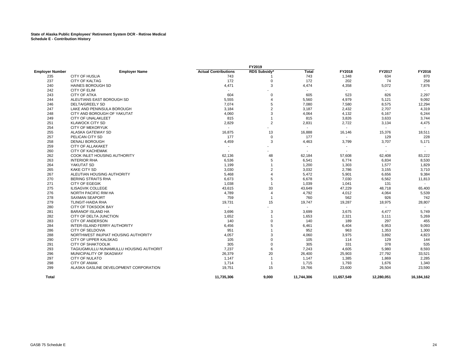# **State of Alaska Public Employees' Retirement System DCR - Retiree Medical Schedule E - Contribution History**

|                                          |                                                                                                                                                | <b>FY2019</b>          |                          |                                                        |                                                 |                              |
|------------------------------------------|------------------------------------------------------------------------------------------------------------------------------------------------|------------------------|--------------------------|--------------------------------------------------------|-------------------------------------------------|------------------------------|
| <b>Employer Name</b>                     | <b>Actual Contributions</b>                                                                                                                    | RDS Subsidy*           | <b>Total</b>             | FY2018                                                 | FY2017                                          | FY2016                       |
|                                          | 743                                                                                                                                            |                        |                          |                                                        |                                                 | 870                          |
|                                          |                                                                                                                                                | $\Omega$               |                          |                                                        | 74                                              | 258                          |
|                                          |                                                                                                                                                | 3                      |                          |                                                        |                                                 | 7,876                        |
|                                          | $\blacksquare$                                                                                                                                 |                        | $\sim$                   |                                                        | $\sim$                                          |                              |
| <b>CITY OF ATKA</b>                      | 604                                                                                                                                            | $\Omega$               |                          |                                                        |                                                 | 2,297                        |
|                                          | 5,555                                                                                                                                          | $\overline{4}$         |                          |                                                        |                                                 | 9,092                        |
| <b>DELTA/GREELY SD</b>                   | 7,074                                                                                                                                          | 5                      | 7,080                    | 7,580                                                  | 8,575                                           | 12,294                       |
|                                          | 3,184                                                                                                                                          | $\overline{2}$         | 3,187                    | 2,432                                                  | 2,707                                           | 4,319                        |
| CITY AND BOROUGH OF YAKUTAT              | 4,060                                                                                                                                          | 3                      | 4,064                    | 4,132                                                  | 6,167                                           | 6,244                        |
| CITY OF UNALAKLEET                       | 815                                                                                                                                            | $\overline{1}$         | 815                      | 3,826                                                  | 3,633                                           | 3,744                        |
| <b>KLAWOCK CITY SD</b>                   | 2,829                                                                                                                                          | $\overline{2}$         | 2,831                    | 2,722                                                  | 3,134                                           | 4,475                        |
| <b>CITY OF MEKORYUK</b>                  |                                                                                                                                                |                        |                          |                                                        |                                                 |                              |
| ALASKA GATEWAY SD                        | 16,875                                                                                                                                         | 13                     | 16,888                   | 16,146                                                 | 15,376                                          | 18,511                       |
| PELICAN CITY SD                          | 177                                                                                                                                            | $\mathbf 0$            | 177                      |                                                        | 129                                             | 228                          |
| <b>DENALI BOROUGH</b>                    | 4,459                                                                                                                                          | 3                      | 4,463                    | 3,799                                                  | 3,707                                           | 5,171                        |
| <b>CITY OF ALLAKAKET</b>                 |                                                                                                                                                |                        |                          |                                                        | $\blacksquare$                                  |                              |
| <b>CITY OF KACHEMAK</b>                  | $\overline{\phantom{a}}$                                                                                                                       | ٠                      | $\overline{\phantom{a}}$ |                                                        | $\overline{\phantom{a}}$                        |                              |
| COOK INLET HOUSING AUTHORITY             | 62,136                                                                                                                                         | 48                     | 62,184                   | 57,608                                                 | 62,408                                          | 83,222                       |
| <b>INTERIOR RHA</b>                      | 6,536                                                                                                                                          | 5                      | 6,541                    | 6,774                                                  | 6,834                                           | 8,530                        |
| YAKUTAT SD                               | 1,199                                                                                                                                          | $\overline{1}$         | 1,200                    | 1,303                                                  | 1,577                                           | 1,829                        |
| <b>KAKE CITY SD</b>                      | 3,030                                                                                                                                          | $\overline{2}$         | 3,032                    | 2,786                                                  | 3,155                                           | 3,710                        |
| ALEUTIAN HOUSING AUTHORITY               | 5,468                                                                                                                                          | $\overline{4}$         | 5,472                    | 5,901                                                  | 6,656                                           | 9,384                        |
| <b>BERING STRAITS RHA</b>                | 6,673                                                                                                                                          | 5                      | 6,678                    | 7,030                                                  | 6,562                                           | 11,813                       |
| <b>CITY OF EGEGIK</b>                    | 1,038                                                                                                                                          | $\overline{1}$         | 1,039                    | 1,041                                                  | 131                                             |                              |
| <b>ILISAGVIK COLLEGE</b>                 | 43,615                                                                                                                                         | 33                     | 43,649                   | 47,229                                                 | 48,718                                          | 65,400                       |
| NORTH PACIFIC RIM HA                     | 4,789                                                                                                                                          | $\overline{4}$         | 4,792                    | 4,012                                                  | 4,064                                           | 5,539                        |
| <b>SAXMAN SEAPORT</b>                    | 759                                                                                                                                            | $\overline{1}$         | 760                      | 562                                                    | 926                                             | 742                          |
| <b>TLINGIT-HAIDA RHA</b>                 | 19,731                                                                                                                                         | 15                     | 19,747                   | 19,287                                                 | 18,975                                          | 28,807                       |
| CITY OF TOKSOOK BAY                      |                                                                                                                                                |                        |                          |                                                        |                                                 |                              |
| <b>BARANOF ISLAND HA</b>                 | 3,696                                                                                                                                          | 3                      | 3,699                    | 3,675                                                  | 4,477                                           | 5,749                        |
| CITY OF DELTA JUNCTION                   | 1,652                                                                                                                                          | $\overline{1}$         | 1,653                    | 2,321                                                  | 3,111                                           | 5,269                        |
| CITY OF ANDERSON                         | 140                                                                                                                                            | $\mathbf 0$            | 140                      | 189                                                    | 297                                             | 455                          |
| INTER-ISLAND FERRY AUTHORITY             | 6,456                                                                                                                                          | 5                      | 6,461                    | 6,404                                                  | 6,953                                           | 9,093                        |
| CITY OF SELDOVIA                         | 951                                                                                                                                            |                        | 952                      | 963                                                    | 1,353                                           | 1,300                        |
| NORTHWEST INUPIAT HOUSING AUTHORITY      | 4,057                                                                                                                                          | 3                      | 4,060                    | 3,975                                                  | 3,892                                           | 4,823                        |
| CITY OF UPPER KALSKAG                    | 105                                                                                                                                            | $\Omega$               | 105                      | 114                                                    | 129                                             | 144                          |
| <b>CITY OF SHAKTOOLIK</b>                | 305                                                                                                                                            | $\Omega$               | 305                      | 331                                                    | 378                                             | 535                          |
| TAGIUGMIULLU NUNAMIULLU HOUSING AUTHORIT | 7,237                                                                                                                                          | 6                      | 7,243                    | 4,605                                                  | 5,980                                           | 8,593                        |
| MUNICIPALITY OF SKAGWAY                  |                                                                                                                                                |                        |                          |                                                        | 27,792                                          | 33,521                       |
| <b>CITY OF NULATO</b>                    | 1,147                                                                                                                                          | $\overline{1}$         | 1,147                    | 1,385                                                  | 1,869                                           | 2,285                        |
| <b>CITY OF ANIAK</b>                     | 1,714                                                                                                                                          | $\overline{1}$         |                          | 1,793                                                  | 1,676                                           | 1,340                        |
| ALASKA GASLINE DEVELOPMENT CORPORATION   | 19,751                                                                                                                                         | 15                     | 19,766                   | 23,600                                                 | 26,504                                          | 23,590                       |
|                                          | 11,735,306                                                                                                                                     | 9,000                  | 11,744,306               | 11,657,549                                             | 12,280,051                                      | 16,184,162                   |
|                                          | CITY OF HUSLIA<br><b>CITY OF KALTAG</b><br>HAINES BOROUGH SD<br><b>CITY OF ELIM</b><br>ALEUTIANS EAST BOROUGH SD<br>LAKE AND PENINSULA BOROUGH | 172<br>4,471<br>26,379 | 20                       | 743<br>172<br>4,474<br>605<br>5,560<br>26,400<br>1,715 | 1,348<br>202<br>4,358<br>523<br>4,979<br>25,903 | 634<br>5,072<br>826<br>5,121 |